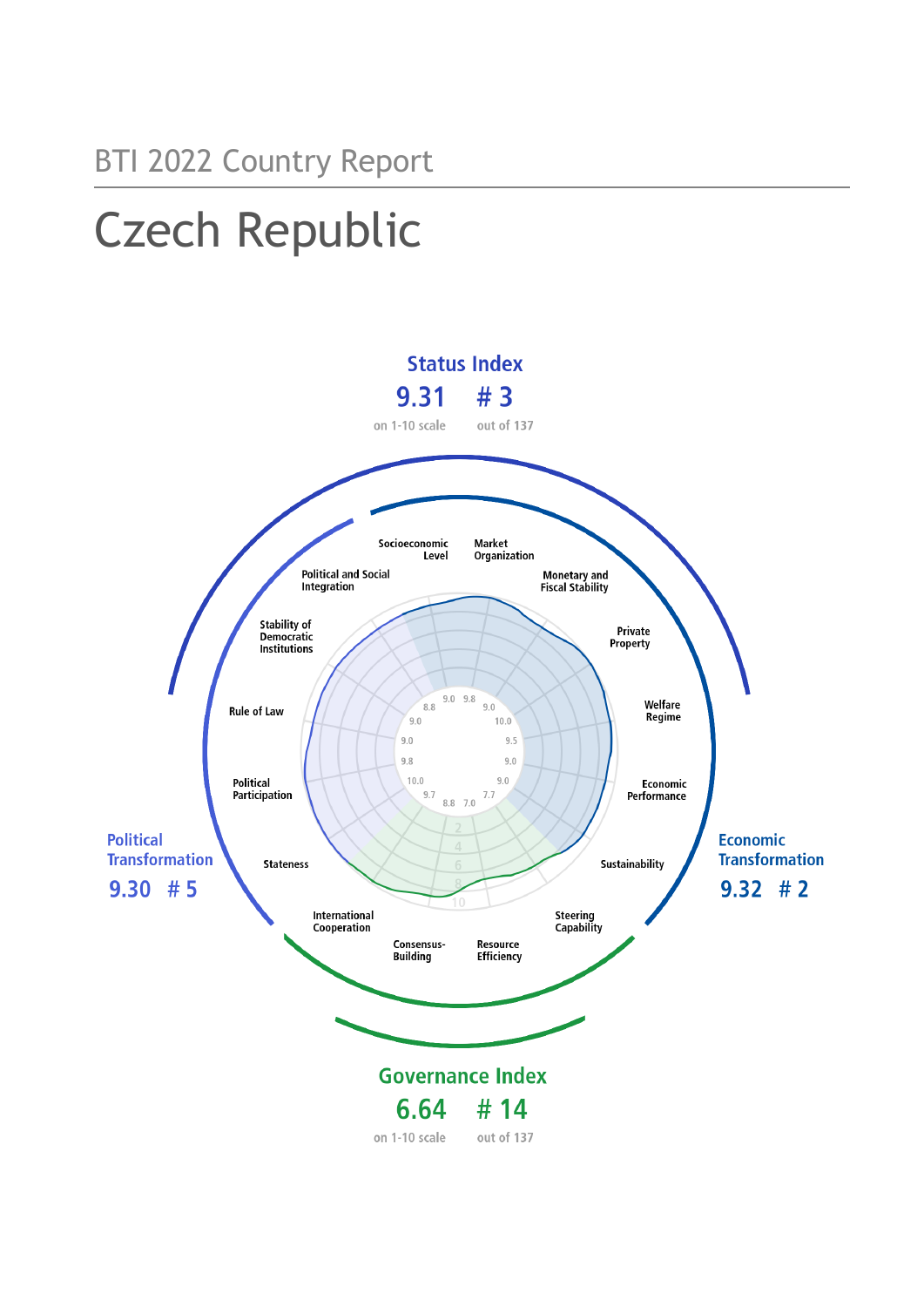# BTI 2022 Country Report Czech Republic



on 1-10 scale out of 137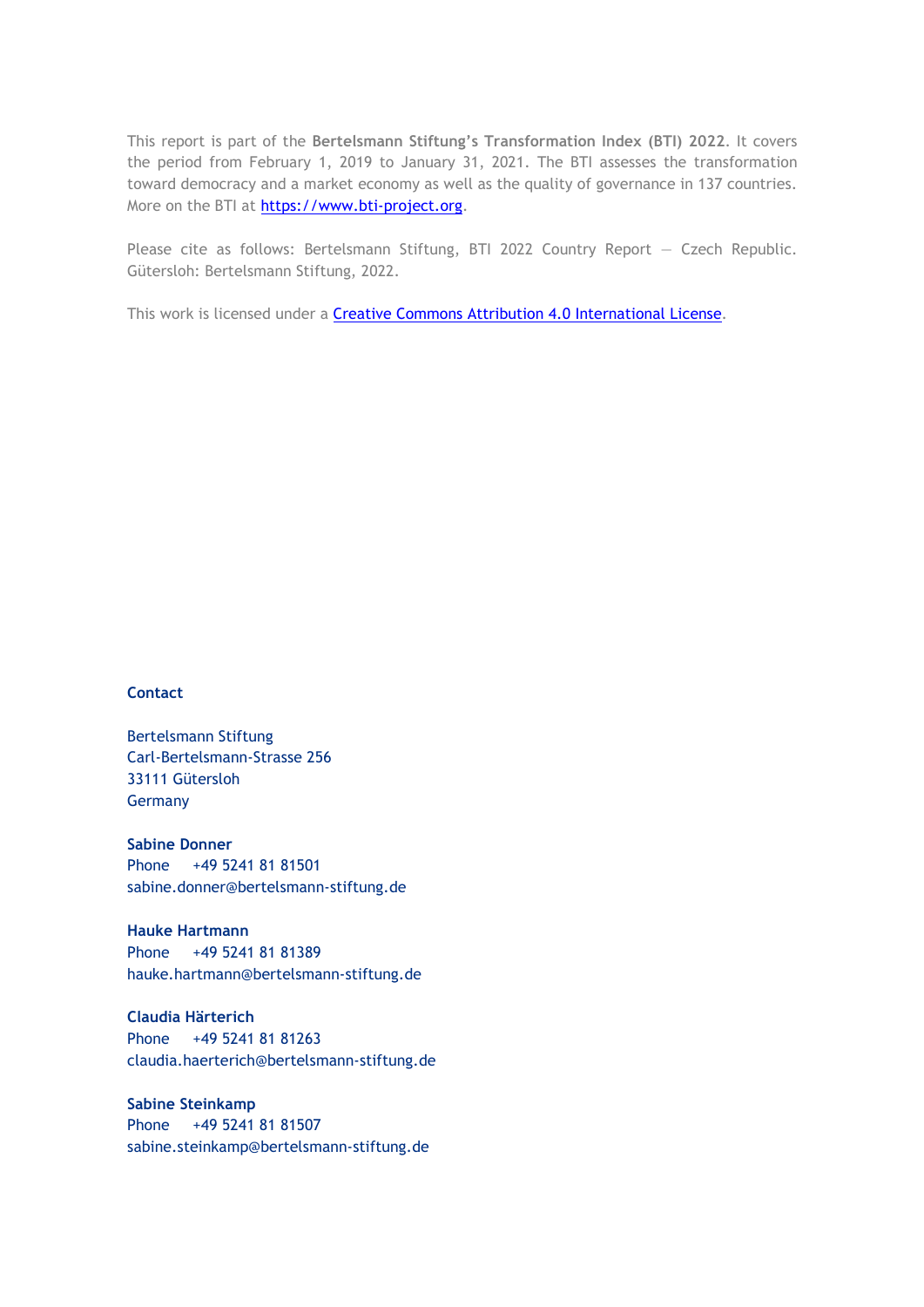This report is part of the **Bertelsmann Stiftung's Transformation Index (BTI) 2022**. It covers the period from February 1, 2019 to January 31, 2021. The BTI assesses the transformation toward democracy and a market economy as well as the quality of governance in 137 countries. More on the BTI at [https://www.bti-project.org.](https://www.bti-project.org/)

Please cite as follows: Bertelsmann Stiftung, BTI 2022 Country Report — Czech Republic. Gütersloh: Bertelsmann Stiftung, 2022.

This work is licensed under a **Creative Commons Attribution 4.0 International License**.

#### **Contact**

Bertelsmann Stiftung Carl-Bertelsmann-Strasse 256 33111 Gütersloh Germany

**Sabine Donner** Phone +49 5241 81 81501 sabine.donner@bertelsmann-stiftung.de

**Hauke Hartmann** Phone +49 5241 81 81389 hauke.hartmann@bertelsmann-stiftung.de

**Claudia Härterich** Phone +49 5241 81 81263 claudia.haerterich@bertelsmann-stiftung.de

### **Sabine Steinkamp** Phone +49 5241 81 81507 sabine.steinkamp@bertelsmann-stiftung.de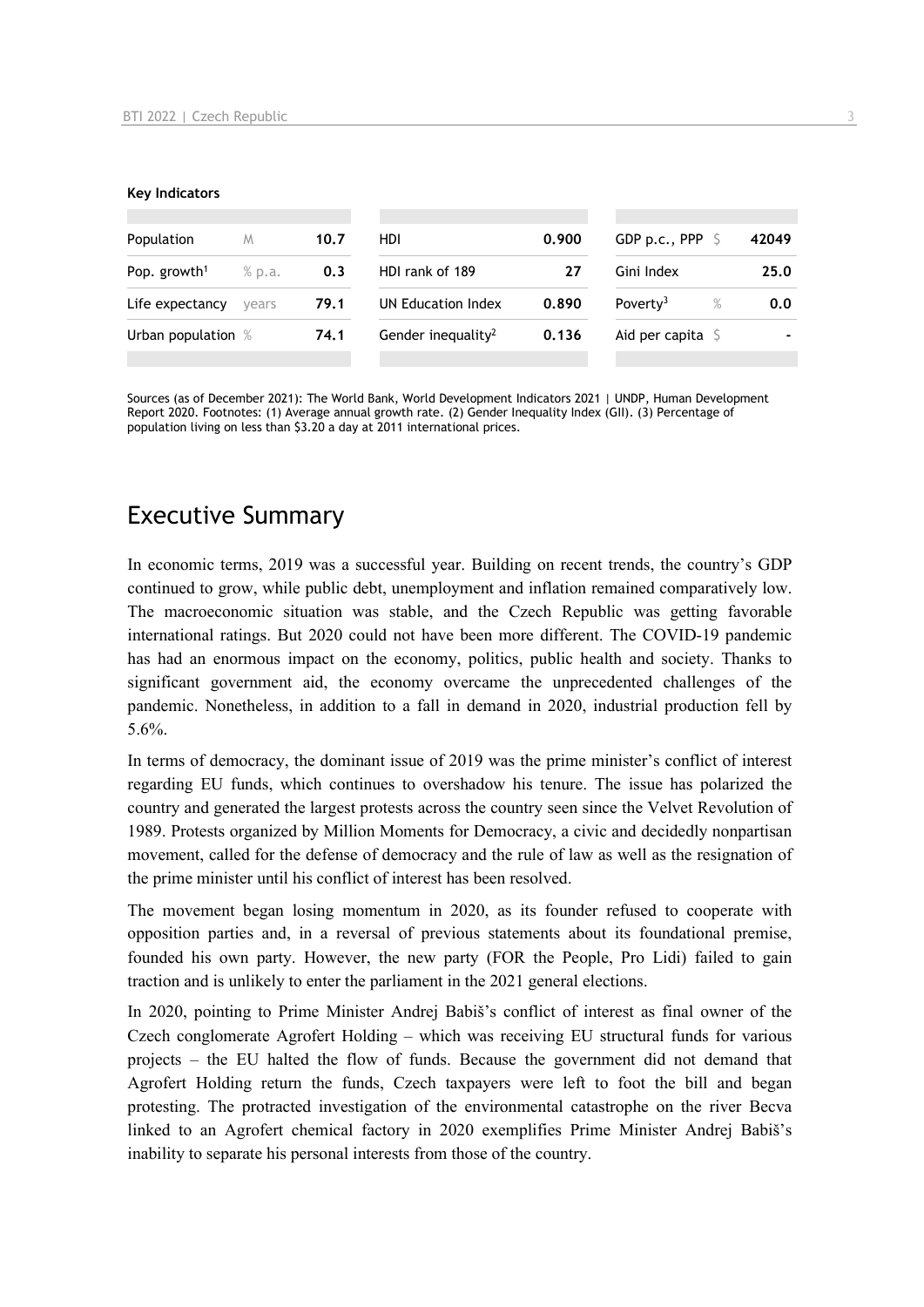#### **Key Indicators**

| Population                         | M     | 10.7 | HDI                            | 0.900 | GDP p.c., PPP $\sqrt{5}$     | 42049 |
|------------------------------------|-------|------|--------------------------------|-------|------------------------------|-------|
| Pop. growth <sup>1</sup><br>% p.a. |       | 0.3  | HDI rank of 189                |       | Gini Index                   | 25.0  |
| Life expectancy                    | vears | 79.1 | UN Education Index             | 0.890 | $\%$<br>Poverty <sup>3</sup> | 0.0   |
| Urban population %                 |       | 74.1 | Gender inequality <sup>2</sup> | 0.136 | Aid per capita $\sqrt{5}$    |       |
|                                    |       |      |                                |       |                              |       |

Sources (as of December 2021): The World Bank, World Development Indicators 2021 | UNDP, Human Development Report 2020. Footnotes: (1) Average annual growth rate. (2) Gender Inequality Index (GII). (3) Percentage of population living on less than \$3.20 a day at 2011 international prices.

# Executive Summary

In economic terms, 2019 was a successful year. Building on recent trends, the country's GDP continued to grow, while public debt, unemployment and inflation remained comparatively low. The macroeconomic situation was stable, and the Czech Republic was getting favorable international ratings. But 2020 could not have been more different. The COVID-19 pandemic has had an enormous impact on the economy, politics, public health and society. Thanks to significant government aid, the economy overcame the unprecedented challenges of the pandemic. Nonetheless, in addition to a fall in demand in 2020, industrial production fell by 5.6%.

In terms of democracy, the dominant issue of 2019 was the prime minister's conflict of interest regarding EU funds, which continues to overshadow his tenure. The issue has polarized the country and generated the largest protests across the country seen since the Velvet Revolution of 1989. Protests organized by Million Moments for Democracy, a civic and decidedly nonpartisan movement, called for the defense of democracy and the rule of law as well as the resignation of the prime minister until his conflict of interest has been resolved.

The movement began losing momentum in 2020, as its founder refused to cooperate with opposition parties and, in a reversal of previous statements about its foundational premise, founded his own party. However, the new party (FOR the People, Pro Lidi) failed to gain traction and is unlikely to enter the parliament in the 2021 general elections.

In 2020, pointing to Prime Minister Andrej Babiš's conflict of interest as final owner of the Czech conglomerate Agrofert Holding – which was receiving EU structural funds for various projects – the EU halted the flow of funds. Because the government did not demand that Agrofert Holding return the funds, Czech taxpayers were left to foot the bill and began protesting. The protracted investigation of the environmental catastrophe on the river Becva linked to an Agrofert chemical factory in 2020 exemplifies Prime Minister Andrej Babiš's inability to separate his personal interests from those of the country.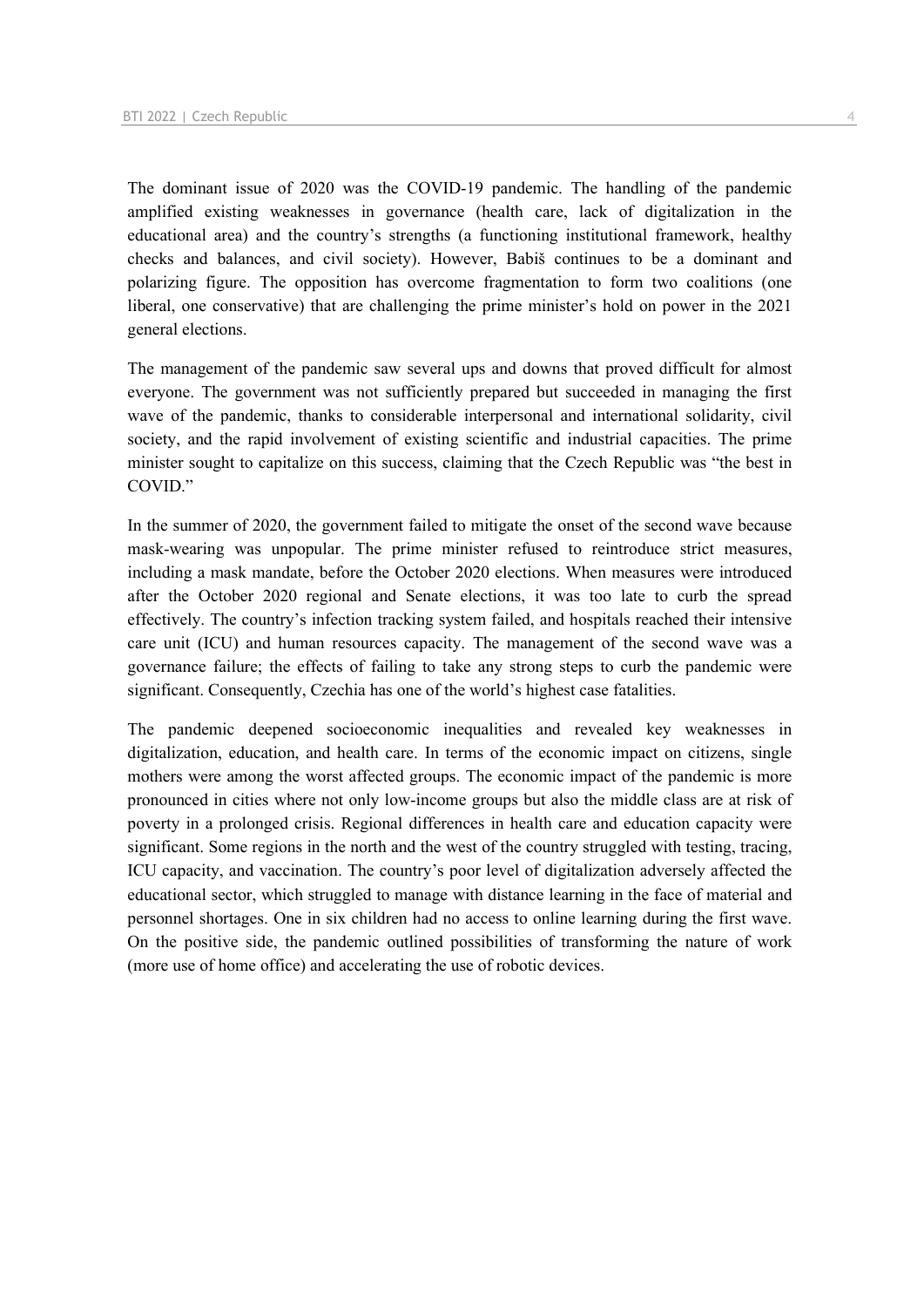The dominant issue of 2020 was the COVID-19 pandemic. The handling of the pandemic amplified existing weaknesses in governance (health care, lack of digitalization in the educational area) and the country's strengths (a functioning institutional framework, healthy checks and balances, and civil society). However, Babiš continues to be a dominant and polarizing figure. The opposition has overcome fragmentation to form two coalitions (one liberal, one conservative) that are challenging the prime minister's hold on power in the 2021 general elections.

The management of the pandemic saw several ups and downs that proved difficult for almost everyone. The government was not sufficiently prepared but succeeded in managing the first wave of the pandemic, thanks to considerable interpersonal and international solidarity, civil society, and the rapid involvement of existing scientific and industrial capacities. The prime minister sought to capitalize on this success, claiming that the Czech Republic was "the best in COVID."

In the summer of 2020, the government failed to mitigate the onset of the second wave because mask-wearing was unpopular. The prime minister refused to reintroduce strict measures, including a mask mandate, before the October 2020 elections. When measures were introduced after the October 2020 regional and Senate elections, it was too late to curb the spread effectively. The country's infection tracking system failed, and hospitals reached their intensive care unit (ICU) and human resources capacity. The management of the second wave was a governance failure; the effects of failing to take any strong steps to curb the pandemic were significant. Consequently, Czechia has one of the world's highest case fatalities.

The pandemic deepened socioeconomic inequalities and revealed key weaknesses in digitalization, education, and health care. In terms of the economic impact on citizens, single mothers were among the worst affected groups. The economic impact of the pandemic is more pronounced in cities where not only low-income groups but also the middle class are at risk of poverty in a prolonged crisis. Regional differences in health care and education capacity were significant. Some regions in the north and the west of the country struggled with testing, tracing, ICU capacity, and vaccination. The country's poor level of digitalization adversely affected the educational sector, which struggled to manage with distance learning in the face of material and personnel shortages. One in six children had no access to online learning during the first wave. On the positive side, the pandemic outlined possibilities of transforming the nature of work (more use of home office) and accelerating the use of robotic devices.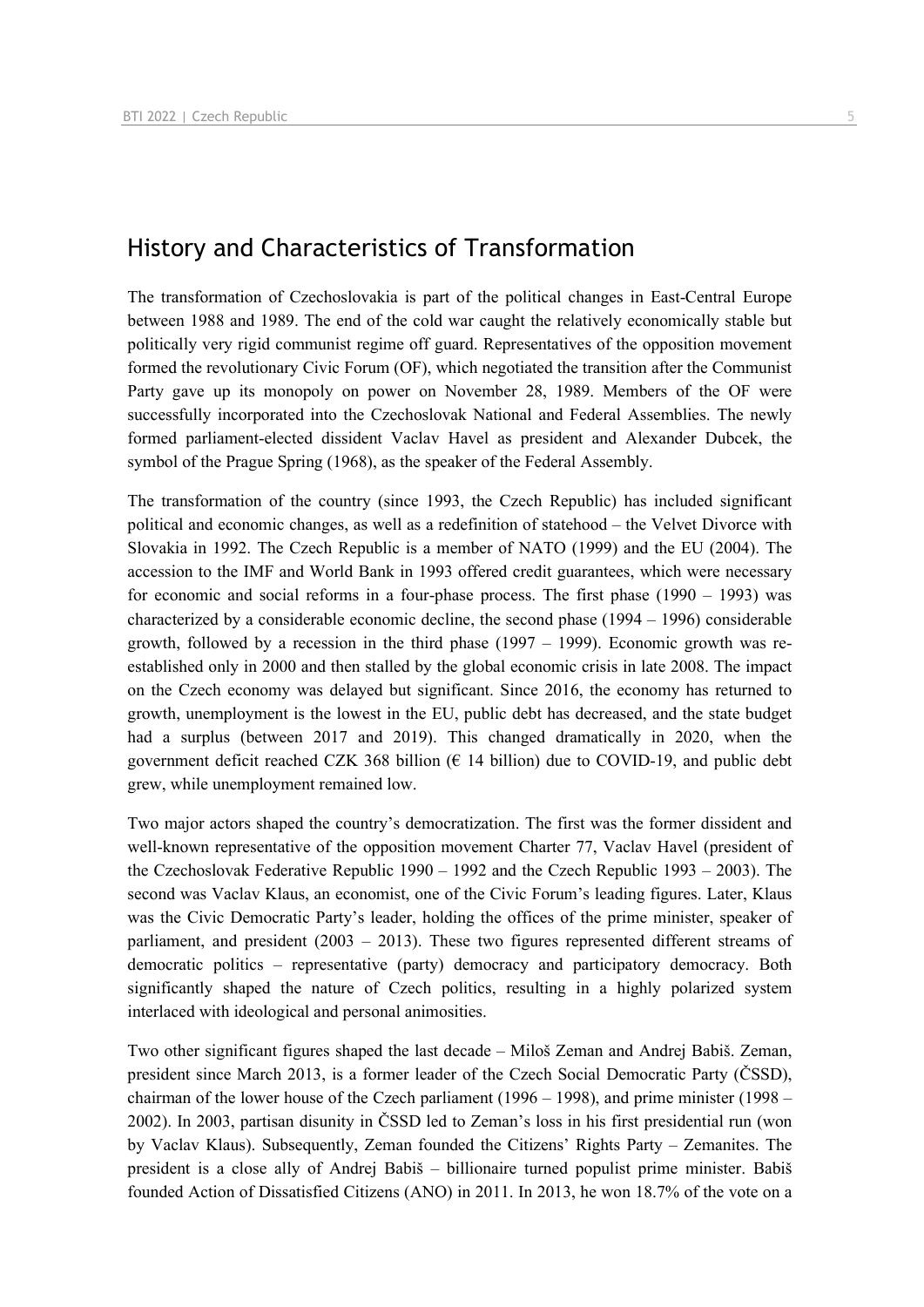# History and Characteristics of Transformation

The transformation of Czechoslovakia is part of the political changes in East-Central Europe between 1988 and 1989. The end of the cold war caught the relatively economically stable but politically very rigid communist regime off guard. Representatives of the opposition movement formed the revolutionary Civic Forum (OF), which negotiated the transition after the Communist Party gave up its monopoly on power on November 28, 1989. Members of the OF were successfully incorporated into the Czechoslovak National and Federal Assemblies. The newly formed parliament-elected dissident Vaclav Havel as president and Alexander Dubcek, the symbol of the Prague Spring (1968), as the speaker of the Federal Assembly.

The transformation of the country (since 1993, the Czech Republic) has included significant political and economic changes, as well as a redefinition of statehood – the Velvet Divorce with Slovakia in 1992. The Czech Republic is a member of NATO (1999) and the EU (2004). The accession to the IMF and World Bank in 1993 offered credit guarantees, which were necessary for economic and social reforms in a four-phase process. The first phase  $(1990 - 1993)$  was characterized by a considerable economic decline, the second phase (1994 – 1996) considerable growth, followed by a recession in the third phase (1997 – 1999). Economic growth was reestablished only in 2000 and then stalled by the global economic crisis in late 2008. The impact on the Czech economy was delayed but significant. Since 2016, the economy has returned to growth, unemployment is the lowest in the EU, public debt has decreased, and the state budget had a surplus (between 2017 and 2019). This changed dramatically in 2020, when the government deficit reached CZK 368 billion ( $\epsilon$  14 billion) due to COVID-19, and public debt grew, while unemployment remained low.

Two major actors shaped the country's democratization. The first was the former dissident and well-known representative of the opposition movement Charter 77, Vaclav Havel (president of the Czechoslovak Federative Republic 1990 – 1992 and the Czech Republic 1993 – 2003). The second was Vaclav Klaus, an economist, one of the Civic Forum's leading figures. Later, Klaus was the Civic Democratic Party's leader, holding the offices of the prime minister, speaker of parliament, and president (2003 – 2013). These two figures represented different streams of democratic politics – representative (party) democracy and participatory democracy. Both significantly shaped the nature of Czech politics, resulting in a highly polarized system interlaced with ideological and personal animosities.

Two other significant figures shaped the last decade – Miloš Zeman and Andrej Babiš. Zeman, president since March 2013, is a former leader of the Czech Social Democratic Party (ČSSD), chairman of the lower house of the Czech parliament (1996 – 1998), and prime minister (1998 – 2002). In 2003, partisan disunity in ČSSD led to Zeman's loss in his first presidential run (won by Vaclav Klaus). Subsequently, Zeman founded the Citizens' Rights Party – Zemanites. The president is a close ally of Andrej Babiš – billionaire turned populist prime minister. Babiš founded Action of Dissatisfied Citizens (ANO) in 2011. In 2013, he won 18.7% of the vote on a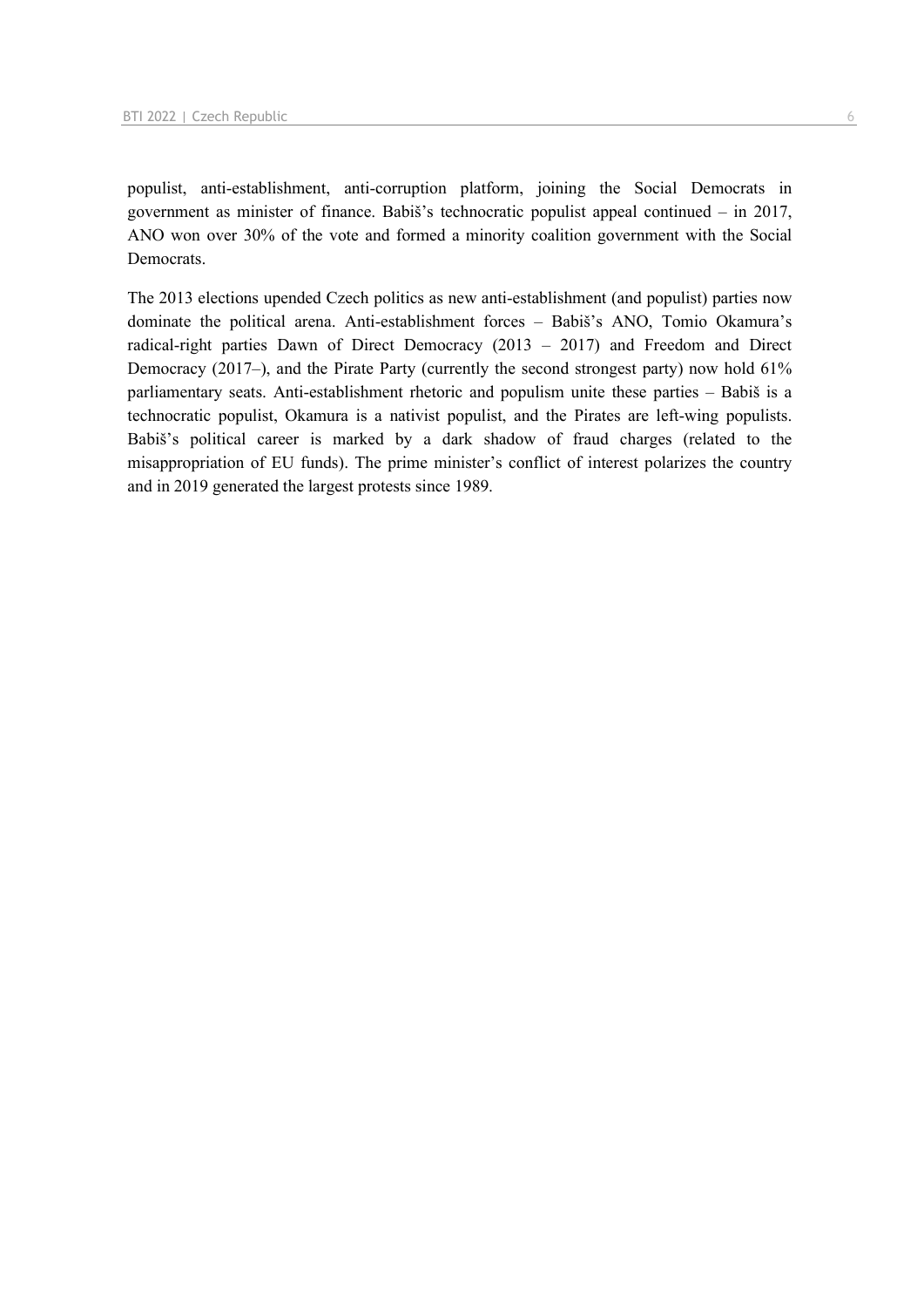populist, anti-establishment, anti-corruption platform, joining the Social Democrats in government as minister of finance. Babiš's technocratic populist appeal continued – in 2017, ANO won over 30% of the vote and formed a minority coalition government with the Social Democrats.

The 2013 elections upended Czech politics as new anti-establishment (and populist) parties now dominate the political arena. Anti-establishment forces – Babiš's ANO, Tomio Okamura's radical-right parties Dawn of Direct Democracy (2013 – 2017) and Freedom and Direct Democracy (2017–), and the Pirate Party (currently the second strongest party) now hold 61% parliamentary seats. Anti-establishment rhetoric and populism unite these parties – Babiš is a technocratic populist, Okamura is a nativist populist, and the Pirates are left-wing populists. Babiš's political career is marked by a dark shadow of fraud charges (related to the misappropriation of EU funds). The prime minister's conflict of interest polarizes the country and in 2019 generated the largest protests since 1989.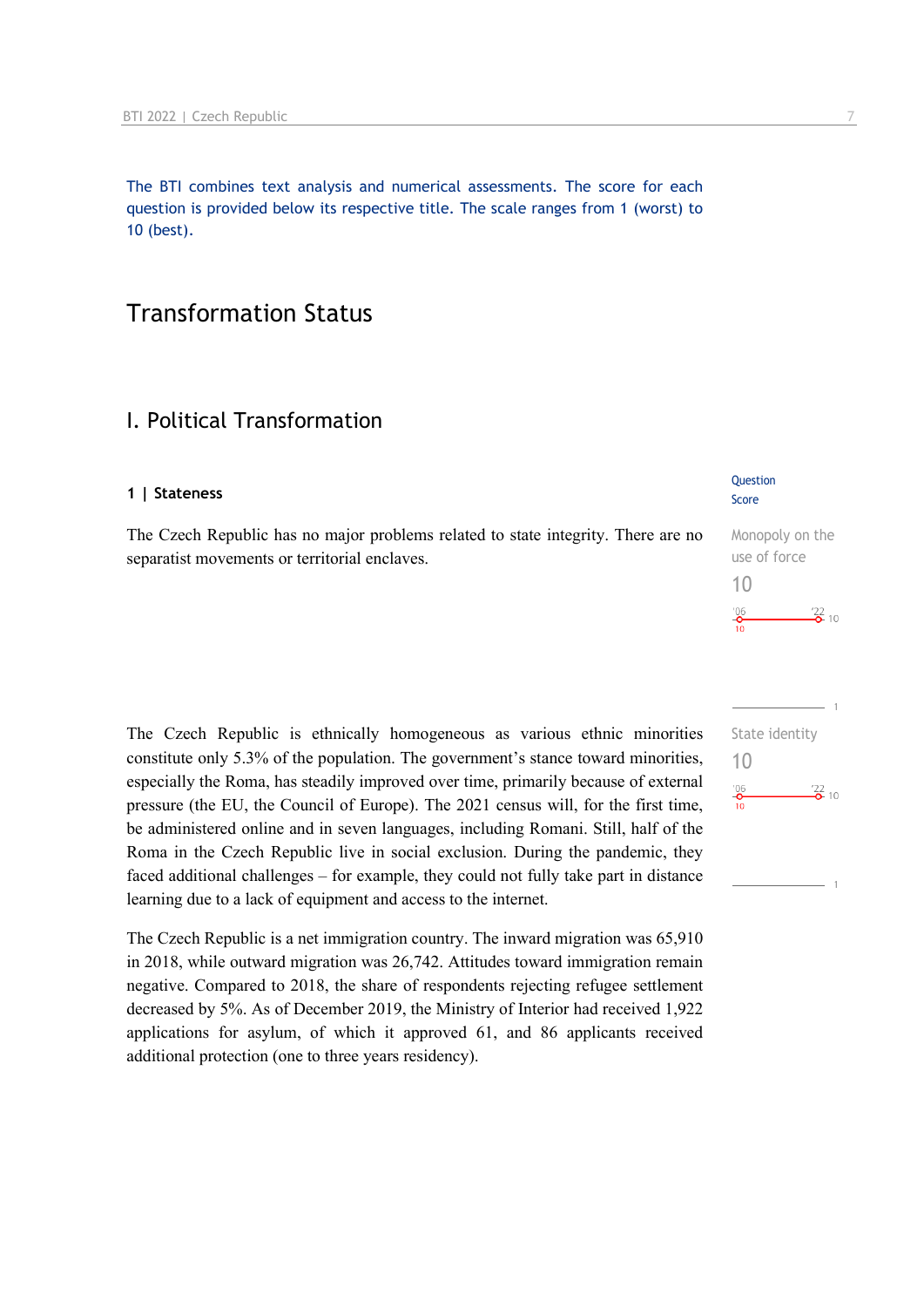The BTI combines text analysis and numerical assessments. The score for each question is provided below its respective title. The scale ranges from 1 (worst) to 10 (best).

# Transformation Status

# I. Political Transformation

#### **1 | Stateness**

The Czech Republic has no major problems related to state integrity. There are no separatist movements or territorial enclaves.

The Czech Republic is ethnically homogeneous as various ethnic minorities constitute only 5.3% of the population. The government's stance toward minorities, especially the Roma, has steadily improved over time, primarily because of external pressure (the EU, the Council of Europe). The 2021 census will, for the first time, be administered online and in seven languages, including Romani. Still, half of the Roma in the Czech Republic live in social exclusion. During the pandemic, they faced additional challenges – for example, they could not fully take part in distance learning due to a lack of equipment and access to the internet.

The Czech Republic is a net immigration country. The inward migration was 65,910 in 2018, while outward migration was 26,742. Attitudes toward immigration remain negative. Compared to 2018, the share of respondents rejecting refugee settlement decreased by 5%. As of December 2019, the Ministry of Interior had received 1,922 applications for asylum, of which it approved 61, and 86 applicants received additional protection (one to three years residency).

#### **Question** Score

| Monopoly on the          |
|--------------------------|
| use of force             |
| 10                       |
| '06<br>$\frac{22}{2}$ 10 |
|                          |

| State identity |                   |  |
|----------------|-------------------|--|
| 10             |                   |  |
| $^{206}$       | $\frac{22}{2}$ 10 |  |
| 10             |                   |  |
|                |                   |  |
|                |                   |  |
|                |                   |  |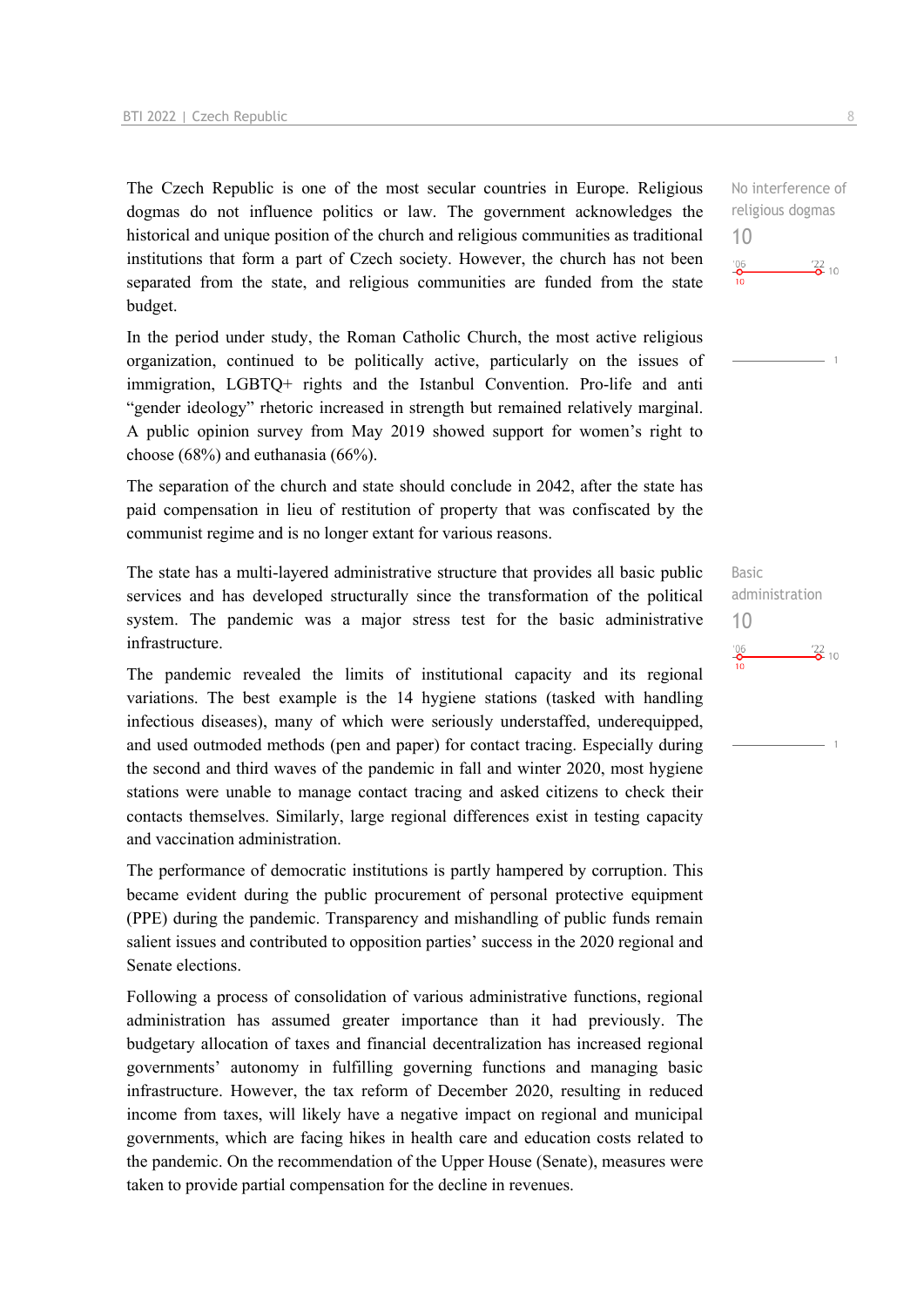The Czech Republic is one of the most secular countries in Europe. Religious dogmas do not influence politics or law. The government acknowledges the historical and unique position of the church and religious communities as traditional institutions that form a part of Czech society. However, the church has not been separated from the state, and religious communities are funded from the state budget.

In the period under study, the Roman Catholic Church, the most active religious organization, continued to be politically active, particularly on the issues of immigration, LGBTQ+ rights and the Istanbul Convention. Pro-life and anti "gender ideology" rhetoric increased in strength but remained relatively marginal. A public opinion survey from May 2019 showed support for women's right to choose (68%) and euthanasia (66%).

The separation of the church and state should conclude in 2042, after the state has paid compensation in lieu of restitution of property that was confiscated by the communist regime and is no longer extant for various reasons.

The state has a multi-layered administrative structure that provides all basic public services and has developed structurally since the transformation of the political system. The pandemic was a major stress test for the basic administrative infrastructure.

The pandemic revealed the limits of institutional capacity and its regional variations. The best example is the 14 hygiene stations (tasked with handling infectious diseases), many of which were seriously understaffed, underequipped, and used outmoded methods (pen and paper) for contact tracing. Especially during the second and third waves of the pandemic in fall and winter 2020, most hygiene stations were unable to manage contact tracing and asked citizens to check their contacts themselves. Similarly, large regional differences exist in testing capacity and vaccination administration.

The performance of democratic institutions is partly hampered by corruption. This became evident during the public procurement of personal protective equipment (PPE) during the pandemic. Transparency and mishandling of public funds remain salient issues and contributed to opposition parties' success in the 2020 regional and Senate elections.

Following a process of consolidation of various administrative functions, regional administration has assumed greater importance than it had previously. The budgetary allocation of taxes and financial decentralization has increased regional governments' autonomy in fulfilling governing functions and managing basic infrastructure. However, the tax reform of December 2020, resulting in reduced income from taxes, will likely have a negative impact on regional and municipal governments, which are facing hikes in health care and education costs related to the pandemic. On the recommendation of the Upper House (Senate), measures were taken to provide partial compensation for the decline in revenues.

No interference of religious dogmas 10  $\frac{106}{10}$  $\frac{22}{2}$  10



Basic administration 10 $\frac{106}{10}$  $\frac{22}{2}$  10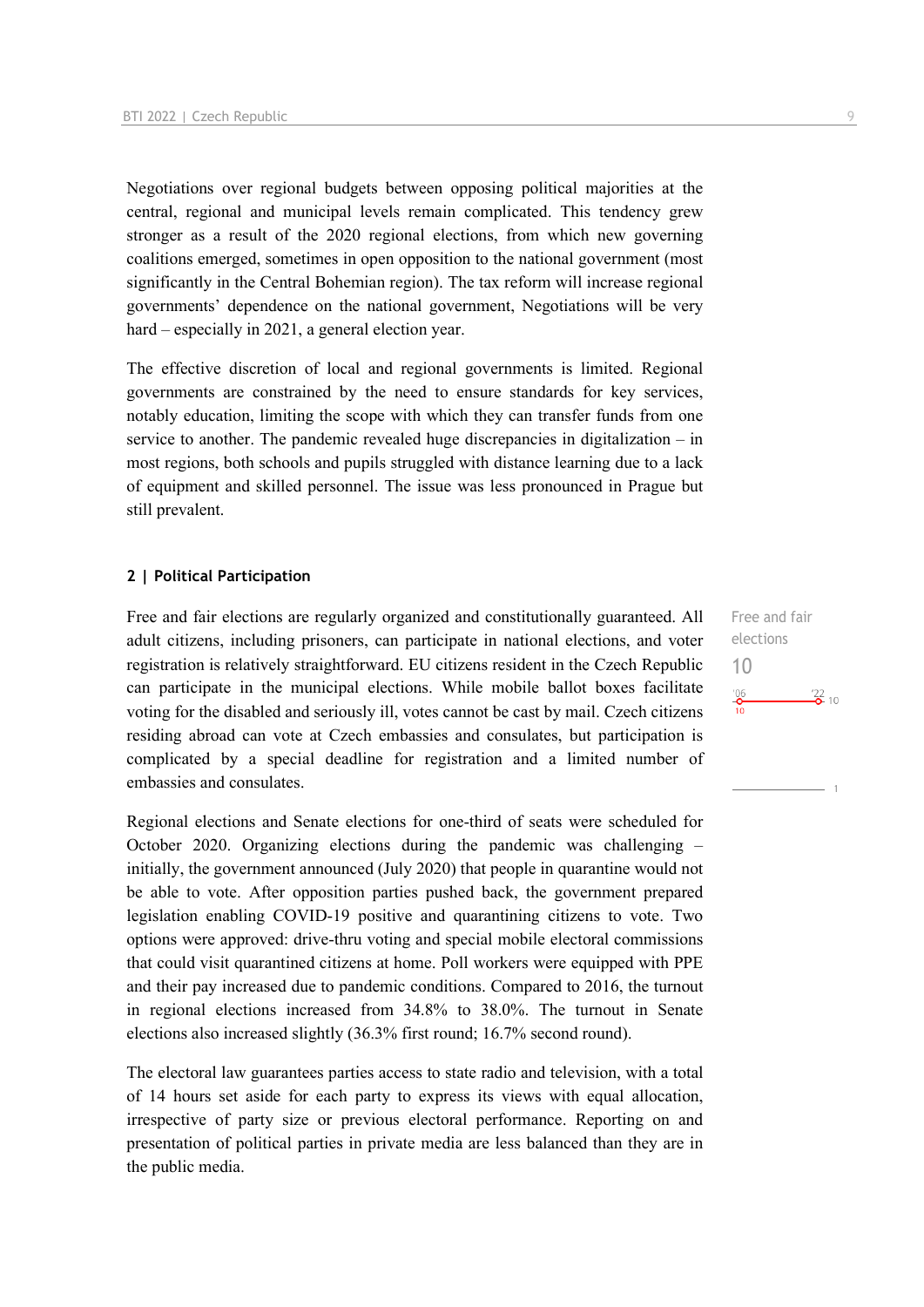Negotiations over regional budgets between opposing political majorities at the central, regional and municipal levels remain complicated. This tendency grew stronger as a result of the 2020 regional elections, from which new governing coalitions emerged, sometimes in open opposition to the national government (most significantly in the Central Bohemian region). The tax reform will increase regional governments' dependence on the national government, Negotiations will be very hard – especially in 2021, a general election year.

The effective discretion of local and regional governments is limited. Regional governments are constrained by the need to ensure standards for key services, notably education, limiting the scope with which they can transfer funds from one service to another. The pandemic revealed huge discrepancies in digitalization – in most regions, both schools and pupils struggled with distance learning due to a lack of equipment and skilled personnel. The issue was less pronounced in Prague but still prevalent.

#### **2 | Political Participation**

Free and fair elections are regularly organized and constitutionally guaranteed. All adult citizens, including prisoners, can participate in national elections, and voter registration is relatively straightforward. EU citizens resident in the Czech Republic can participate in the municipal elections. While mobile ballot boxes facilitate voting for the disabled and seriously ill, votes cannot be cast by mail. Czech citizens residing abroad can vote at Czech embassies and consulates, but participation is complicated by a special deadline for registration and a limited number of embassies and consulates.

Regional elections and Senate elections for one-third of seats were scheduled for October 2020. Organizing elections during the pandemic was challenging – initially, the government announced (July 2020) that people in quarantine would not be able to vote. After opposition parties pushed back, the government prepared legislation enabling COVID-19 positive and quarantining citizens to vote. Two options were approved: drive-thru voting and special mobile electoral commissions that could visit quarantined citizens at home. Poll workers were equipped with PPE and their pay increased due to pandemic conditions. Compared to 2016, the turnout in regional elections increased from 34.8% to 38.0%. The turnout in Senate elections also increased slightly (36.3% first round; 16.7% second round).

The electoral law guarantees parties access to state radio and television, with a total of 14 hours set aside for each party to express its views with equal allocation, irrespective of party size or previous electoral performance. Reporting on and presentation of political parties in private media are less balanced than they are in the public media.

Free and fair elections 10 $^{206}$  $\frac{1}{22}$  10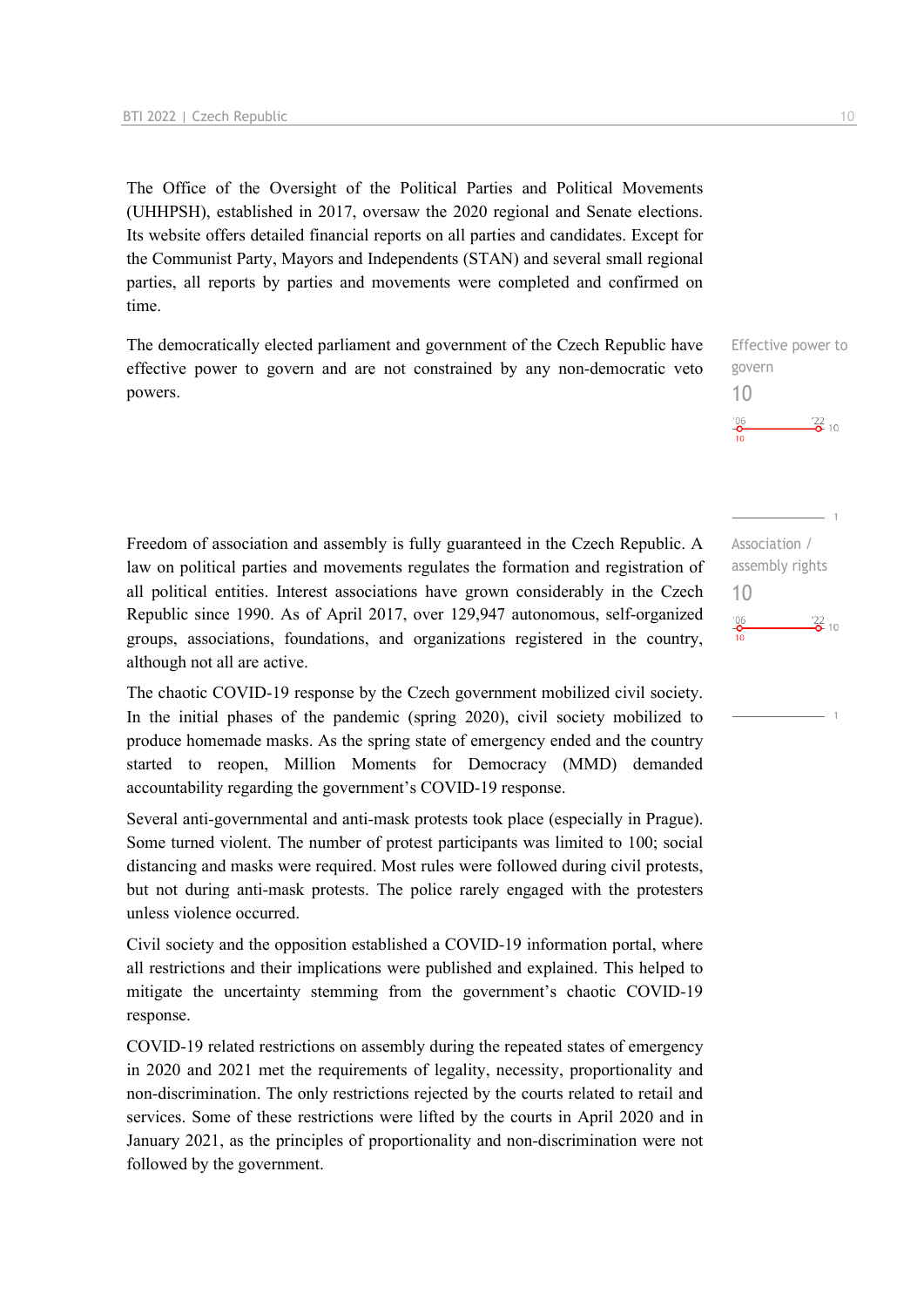The Office of the Oversight of the Political Parties and Political Movements (UHHPSH), established in 2017, oversaw the 2020 regional and Senate elections. Its website offers detailed financial reports on all parties and candidates. Except for the Communist Party, Mayors and Independents (STAN) and several small regional parties, all reports by parties and movements were completed and confirmed on time.

The democratically elected parliament and government of the Czech Republic have effective power to govern and are not constrained by any non-democratic veto powers.

Freedom of association and assembly is fully guaranteed in the Czech Republic. A law on political parties and movements regulates the formation and registration of all political entities. Interest associations have grown considerably in the Czech Republic since 1990. As of April 2017, over 129,947 autonomous, self-organized groups, associations, foundations, and organizations registered in the country, although not all are active.

The chaotic COVID-19 response by the Czech government mobilized civil society. In the initial phases of the pandemic (spring 2020), civil society mobilized to produce homemade masks. As the spring state of emergency ended and the country started to reopen, Million Moments for Democracy (MMD) demanded accountability regarding the government's COVID-19 response.

Several anti-governmental and anti-mask protests took place (especially in Prague). Some turned violent. The number of protest participants was limited to 100; social distancing and masks were required. Most rules were followed during civil protests, but not during anti-mask protests. The police rarely engaged with the protesters unless violence occurred.

Civil society and the opposition established a COVID-19 information portal, where all restrictions and their implications were published and explained. This helped to mitigate the uncertainty stemming from the government's chaotic COVID-19 response.

COVID-19 related restrictions on assembly during the repeated states of emergency in 2020 and 2021 met the requirements of legality, necessity, proportionality and non-discrimination. The only restrictions rejected by the courts related to retail and services. Some of these restrictions were lifted by the courts in April 2020 and in January 2021, as the principles of proportionality and non-discrimination were not followed by the government.



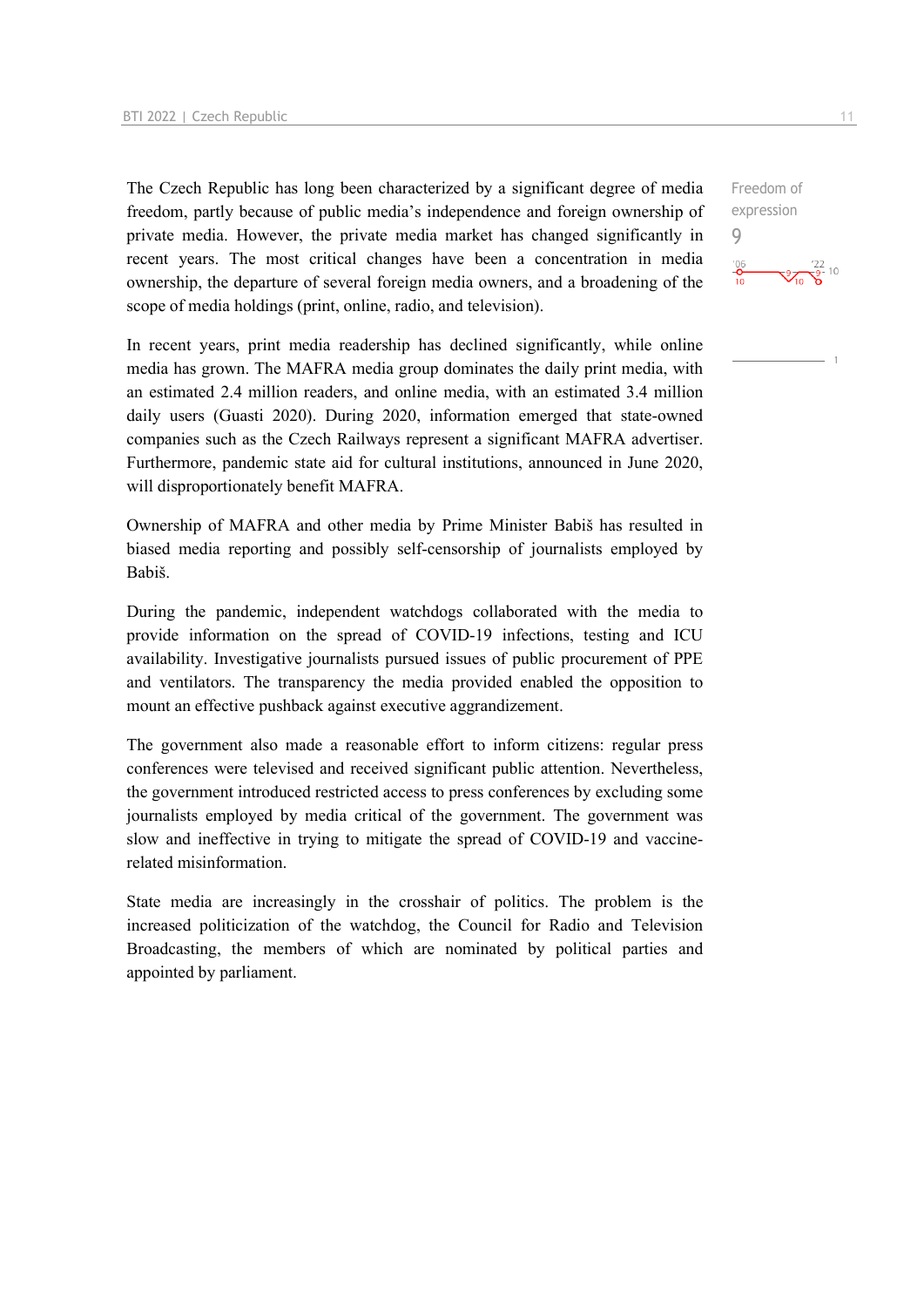The Czech Republic has long been characterized by a significant degree of media freedom, partly because of public media's independence and foreign ownership of private media. However, the private media market has changed significantly in recent years. The most critical changes have been a concentration in media ownership, the departure of several foreign media owners, and a broadening of the scope of media holdings (print, online, radio, and television).

In recent years, print media readership has declined significantly, while online media has grown. The MAFRA media group dominates the daily print media, with an estimated 2.4 million readers, and online media, with an estimated 3.4 million daily users (Guasti 2020). During 2020, information emerged that state-owned companies such as the Czech Railways represent a significant MAFRA advertiser. Furthermore, pandemic state aid for cultural institutions, announced in June 2020, will disproportionately benefit MAFRA.

Ownership of MAFRA and other media by Prime Minister Babiš has resulted in biased media reporting and possibly self-censorship of journalists employed by Babiš.

During the pandemic, independent watchdogs collaborated with the media to provide information on the spread of COVID-19 infections, testing and ICU availability. Investigative journalists pursued issues of public procurement of PPE and ventilators. The transparency the media provided enabled the opposition to mount an effective pushback against executive aggrandizement.

The government also made a reasonable effort to inform citizens: regular press conferences were televised and received significant public attention. Nevertheless, the government introduced restricted access to press conferences by excluding some journalists employed by media critical of the government. The government was slow and ineffective in trying to mitigate the spread of COVID-19 and vaccinerelated misinformation.

State media are increasingly in the crosshair of politics. The problem is the increased politicization of the watchdog, the Council for Radio and Television Broadcasting, the members of which are nominated by political parties and appointed by parliament.

Freedom of expression 9 $\frac{106}{10}$  $\frac{122}{9}$  10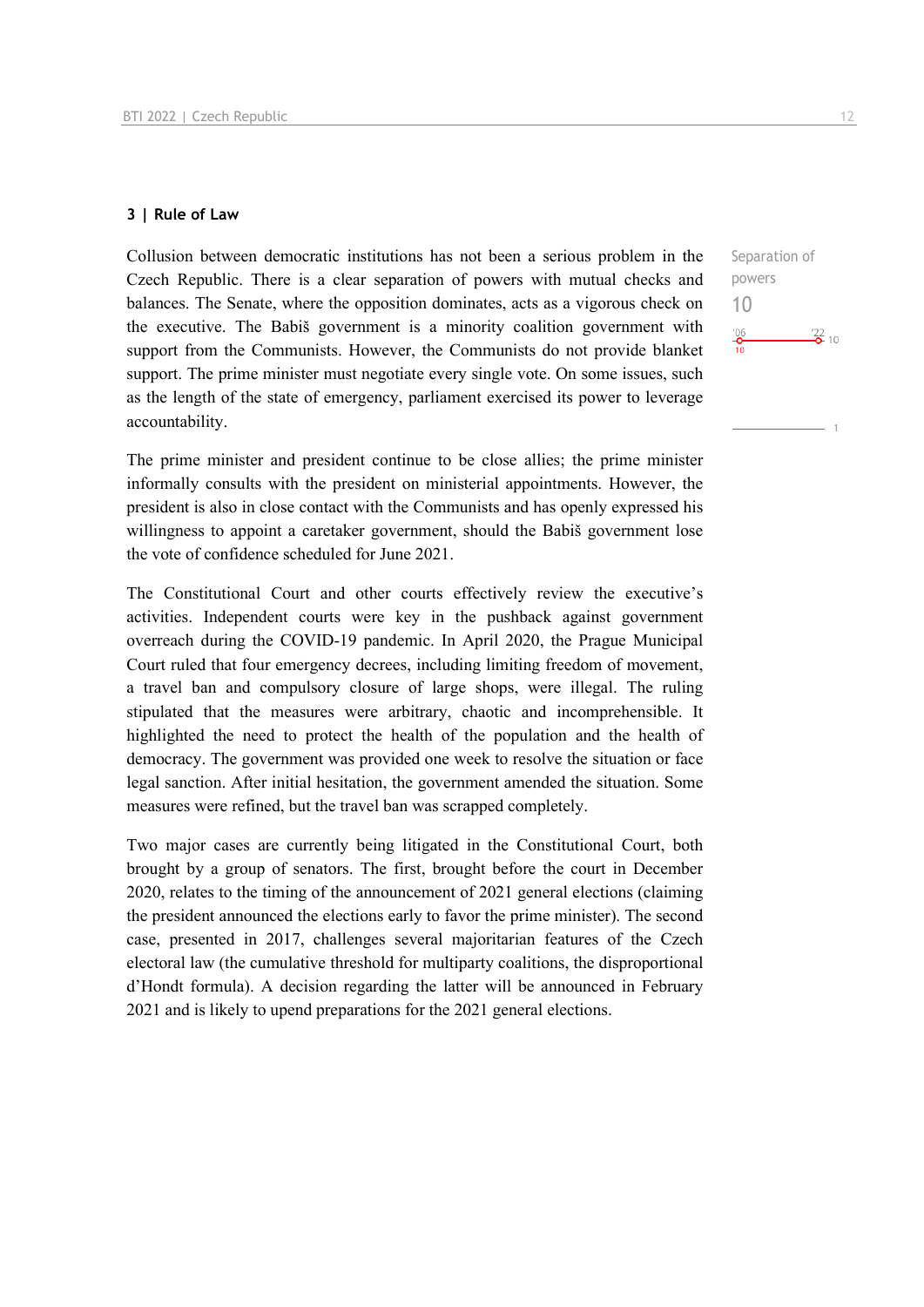#### **3 | Rule of Law**

Collusion between democratic institutions has not been a serious problem in the Czech Republic. There is a clear separation of powers with mutual checks and balances. The Senate, where the opposition dominates, acts as a vigorous check on the executive. The Babiš government is a minority coalition government with support from the Communists. However, the Communists do not provide blanket support. The prime minister must negotiate every single vote. On some issues, such as the length of the state of emergency, parliament exercised its power to leverage accountability.

The prime minister and president continue to be close allies; the prime minister informally consults with the president on ministerial appointments. However, the president is also in close contact with the Communists and has openly expressed his willingness to appoint a caretaker government, should the Babiš government lose the vote of confidence scheduled for June 2021.

The Constitutional Court and other courts effectively review the executive's activities. Independent courts were key in the pushback against government overreach during the COVID-19 pandemic. In April 2020, the Prague Municipal Court ruled that four emergency decrees, including limiting freedom of movement, a travel ban and compulsory closure of large shops, were illegal. The ruling stipulated that the measures were arbitrary, chaotic and incomprehensible. It highlighted the need to protect the health of the population and the health of democracy. The government was provided one week to resolve the situation or face legal sanction. After initial hesitation, the government amended the situation. Some measures were refined, but the travel ban was scrapped completely.

Two major cases are currently being litigated in the Constitutional Court, both brought by a group of senators. The first, brought before the court in December 2020, relates to the timing of the announcement of 2021 general elections (claiming the president announced the elections early to favor the prime minister). The second case, presented in 2017, challenges several majoritarian features of the Czech electoral law (the cumulative threshold for multiparty coalitions, the disproportional d'Hondt formula). A decision regarding the latter will be announced in February 2021 and is likely to upend preparations for the 2021 general elections.

 $\frac{22}{2}$  10

Separation of powers 10

 $^{206}_{-0}$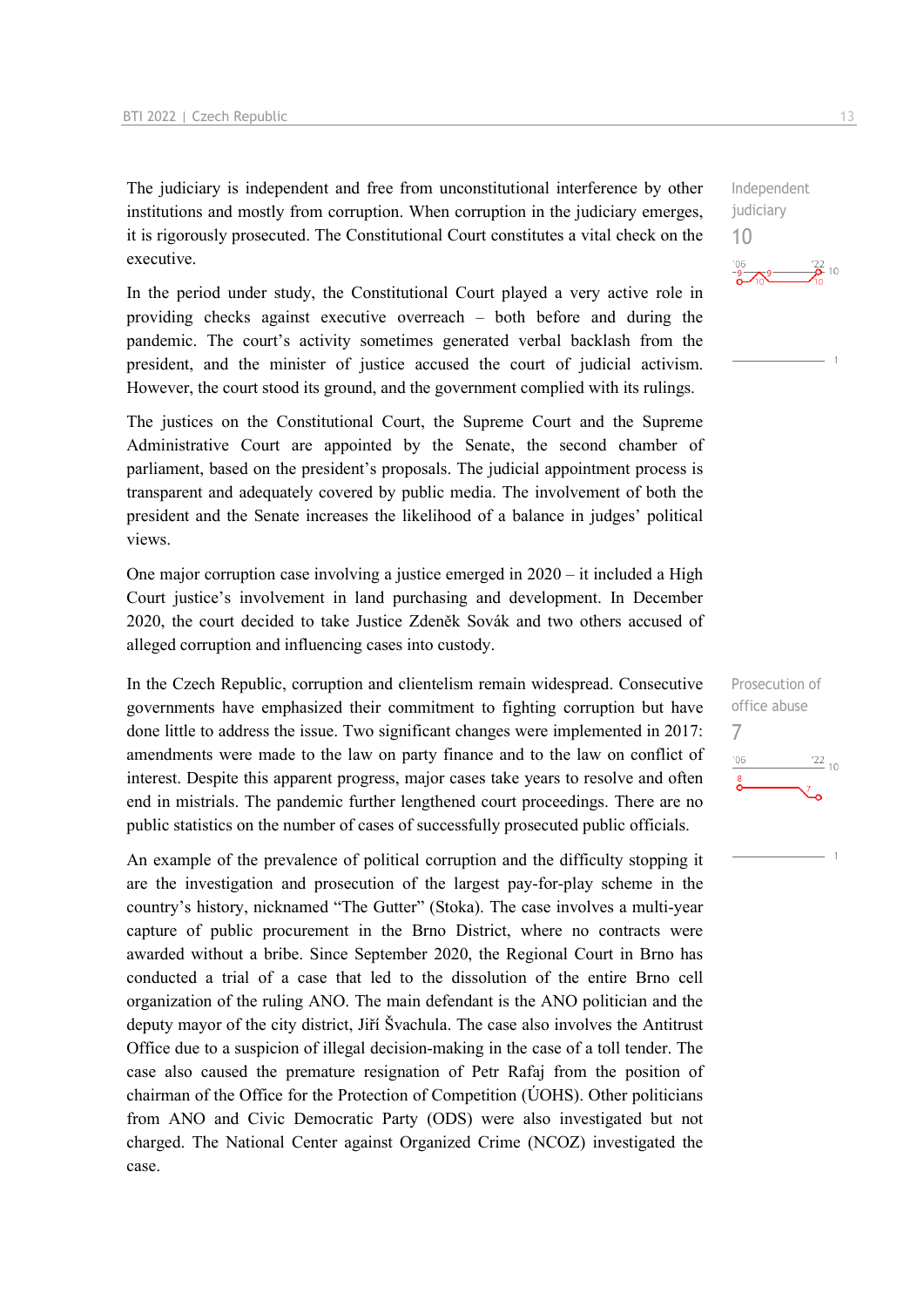The judiciary is independent and free from unconstitutional interference by other institutions and mostly from corruption. When corruption in the judiciary emerges, it is rigorously prosecuted. The Constitutional Court constitutes a vital check on the executive.

In the period under study, the Constitutional Court played a very active role in providing checks against executive overreach – both before and during the pandemic. The court's activity sometimes generated verbal backlash from the president, and the minister of justice accused the court of judicial activism. However, the court stood its ground, and the government complied with its rulings.

The justices on the Constitutional Court, the Supreme Court and the Supreme Administrative Court are appointed by the Senate, the second chamber of parliament, based on the president's proposals. The judicial appointment process is transparent and adequately covered by public media. The involvement of both the president and the Senate increases the likelihood of a balance in judges' political views.

One major corruption case involving a justice emerged in  $2020 - it$  included a High Court justice's involvement in land purchasing and development. In December 2020, the court decided to take Justice Zdeněk Sovák and two others accused of alleged corruption and influencing cases into custody.

In the Czech Republic, corruption and clientelism remain widespread. Consecutive governments have emphasized their commitment to fighting corruption but have done little to address the issue. Two significant changes were implemented in 2017: amendments were made to the law on party finance and to the law on conflict of interest. Despite this apparent progress, major cases take years to resolve and often end in mistrials. The pandemic further lengthened court proceedings. There are no public statistics on the number of cases of successfully prosecuted public officials.

An example of the prevalence of political corruption and the difficulty stopping it are the investigation and prosecution of the largest pay-for-play scheme in the country's history, nicknamed "The Gutter" (Stoka). The case involves a multi-year capture of public procurement in the Brno District, where no contracts were awarded without a bribe. Since September 2020, the Regional Court in Brno has conducted a trial of a case that led to the dissolution of the entire Brno cell organization of the ruling ANO. The main defendant is the ANO politician and the deputy mayor of the city district, Jiří Švachula. The case also involves the Antitrust Office due to a suspicion of illegal decision-making in the case of a toll tender. The case also caused the premature resignation of Petr Rafaj from the position of chairman of the Office for the Protection of Competition ( $\acute{U}OHS$ ). Other politicians from ANO and Civic Democratic Party (ODS) were also investigated but not charged. The National Center against Organized Crime (NCOZ) investigated the case.

 $\frac{106}{9}$   $\rightarrow$  9  $\frac{22}{2}$  10

Independent judiciary 10

Prosecution of office abuse 7 $06'$  $\frac{22}{10}$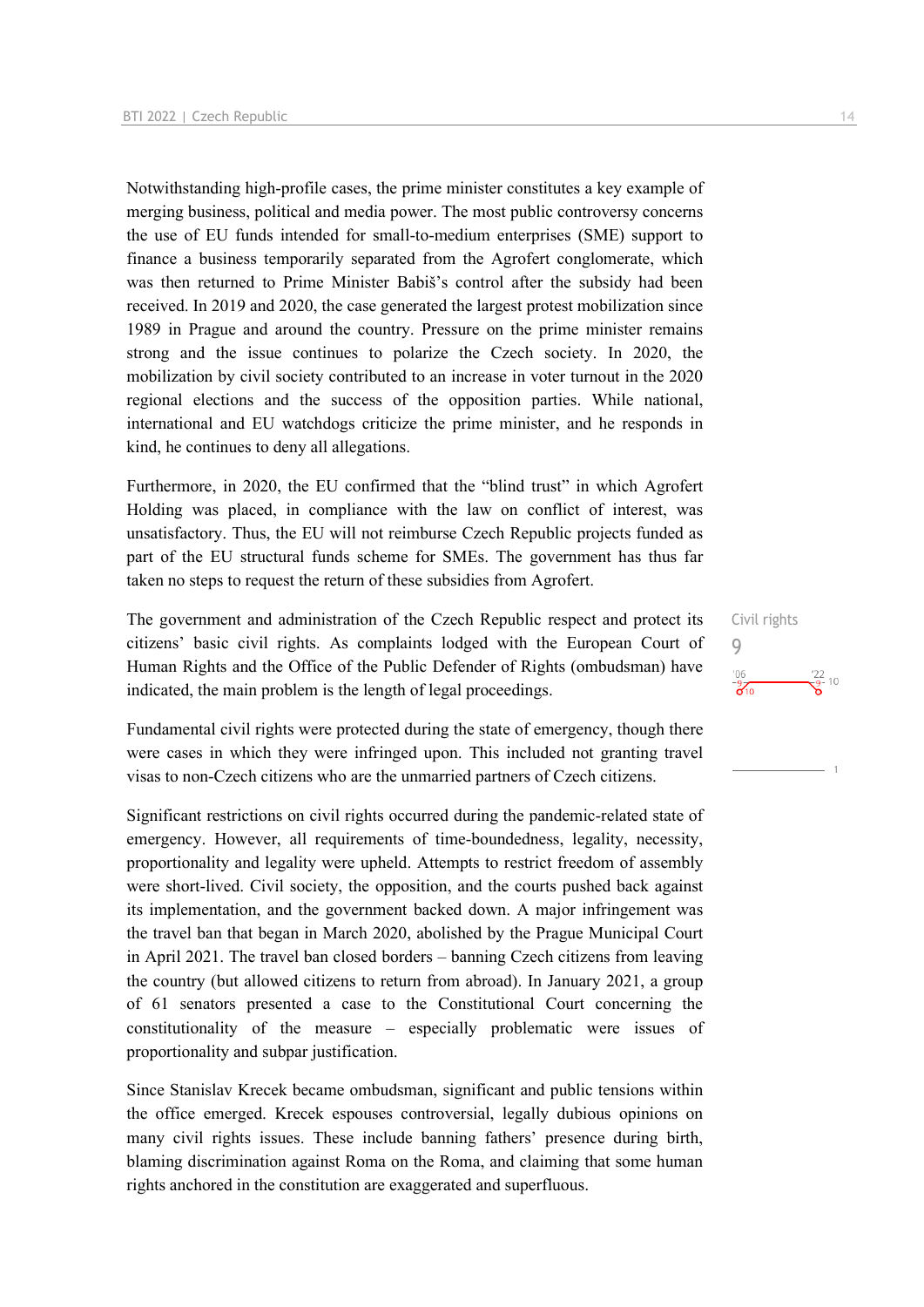Notwithstanding high-profile cases, the prime minister constitutes a key example of merging business, political and media power. The most public controversy concerns the use of EU funds intended for small-to-medium enterprises (SME) support to finance a business temporarily separated from the Agrofert conglomerate, which was then returned to Prime Minister Babiš's control after the subsidy had been received. In 2019 and 2020, the case generated the largest protest mobilization since 1989 in Prague and around the country. Pressure on the prime minister remains strong and the issue continues to polarize the Czech society. In 2020, the mobilization by civil society contributed to an increase in voter turnout in the 2020 regional elections and the success of the opposition parties. While national, international and EU watchdogs criticize the prime minister, and he responds in kind, he continues to deny all allegations.

Furthermore, in 2020, the EU confirmed that the "blind trust" in which Agrofert Holding was placed, in compliance with the law on conflict of interest, was unsatisfactory. Thus, the EU will not reimburse Czech Republic projects funded as part of the EU structural funds scheme for SMEs. The government has thus far taken no steps to request the return of these subsidies from Agrofert.

The government and administration of the Czech Republic respect and protect its citizens' basic civil rights. As complaints lodged with the European Court of Human Rights and the Office of the Public Defender of Rights (ombudsman) have indicated, the main problem is the length of legal proceedings.

Fundamental civil rights were protected during the state of emergency, though there were cases in which they were infringed upon. This included not granting travel visas to non-Czech citizens who are the unmarried partners of Czech citizens.

Significant restrictions on civil rights occurred during the pandemic-related state of emergency. However, all requirements of time-boundedness, legality, necessity, proportionality and legality were upheld. Attempts to restrict freedom of assembly were short-lived. Civil society, the opposition, and the courts pushed back against its implementation, and the government backed down. A major infringement was the travel ban that began in March 2020, abolished by the Prague Municipal Court in April 2021. The travel ban closed borders – banning Czech citizens from leaving the country (but allowed citizens to return from abroad). In January 2021, a group of 61 senators presented a case to the Constitutional Court concerning the constitutionality of the measure – especially problematic were issues of proportionality and subpar justification.

Since Stanislav Krecek became ombudsman, significant and public tensions within the office emerged. Krecek espouses controversial, legally dubious opinions on many civil rights issues. These include banning fathers' presence during birth, blaming discrimination against Roma on the Roma, and claiming that some human rights anchored in the constitution are exaggerated and superfluous.

Civil rights  $\overline{Q}$  $\frac{106}{9}$  $\frac{22}{9}$  10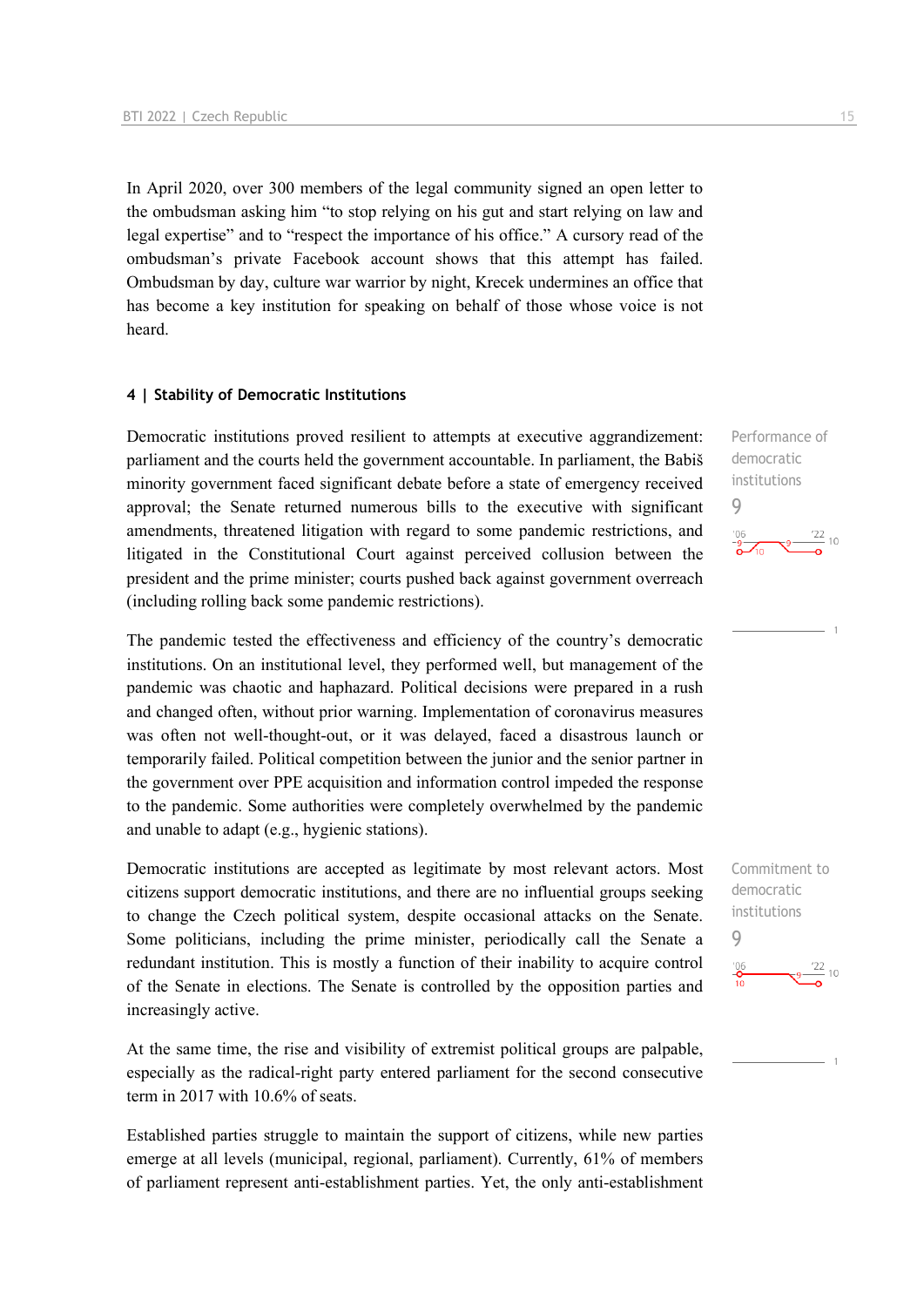In April 2020, over 300 members of the legal community signed an open letter to the ombudsman asking him "to stop relying on his gut and start relying on law and legal expertise" and to "respect the importance of his office." A cursory read of the ombudsman's private Facebook account shows that this attempt has failed. Ombudsman by day, culture war warrior by night, Krecek undermines an office that has become a key institution for speaking on behalf of those whose voice is not heard.

#### **4 | Stability of Democratic Institutions**

Democratic institutions proved resilient to attempts at executive aggrandizement: parliament and the courts held the government accountable. In parliament, the Babiš minority government faced significant debate before a state of emergency received approval; the Senate returned numerous bills to the executive with significant amendments, threatened litigation with regard to some pandemic restrictions, and litigated in the Constitutional Court against perceived collusion between the president and the prime minister; courts pushed back against government overreach (including rolling back some pandemic restrictions).

The pandemic tested the effectiveness and efficiency of the country's democratic institutions. On an institutional level, they performed well, but management of the pandemic was chaotic and haphazard. Political decisions were prepared in a rush and changed often, without prior warning. Implementation of coronavirus measures was often not well-thought-out, or it was delayed, faced a disastrous launch or temporarily failed. Political competition between the junior and the senior partner in the government over PPE acquisition and information control impeded the response to the pandemic. Some authorities were completely overwhelmed by the pandemic and unable to adapt (e.g., hygienic stations).

Democratic institutions are accepted as legitimate by most relevant actors. Most citizens support democratic institutions, and there are no influential groups seeking to change the Czech political system, despite occasional attacks on the Senate. Some politicians, including the prime minister, periodically call the Senate a redundant institution. This is mostly a function of their inability to acquire control of the Senate in elections. The Senate is controlled by the opposition parties and increasingly active.

At the same time, the rise and visibility of extremist political groups are palpable, especially as the radical-right party entered parliament for the second consecutive term in 2017 with 10.6% of seats.

Established parties struggle to maintain the support of citizens, while new parties emerge at all levels (municipal, regional, parliament). Currently, 61% of members of parliament represent anti-establishment parties. Yet, the only anti-establishment

Performance of democratic institutions 9

## $\frac{106}{2}$  $\frac{22}{10}$

Commitment to democratic institutions 9 $\frac{106}{10}$  $\frac{22}{10}$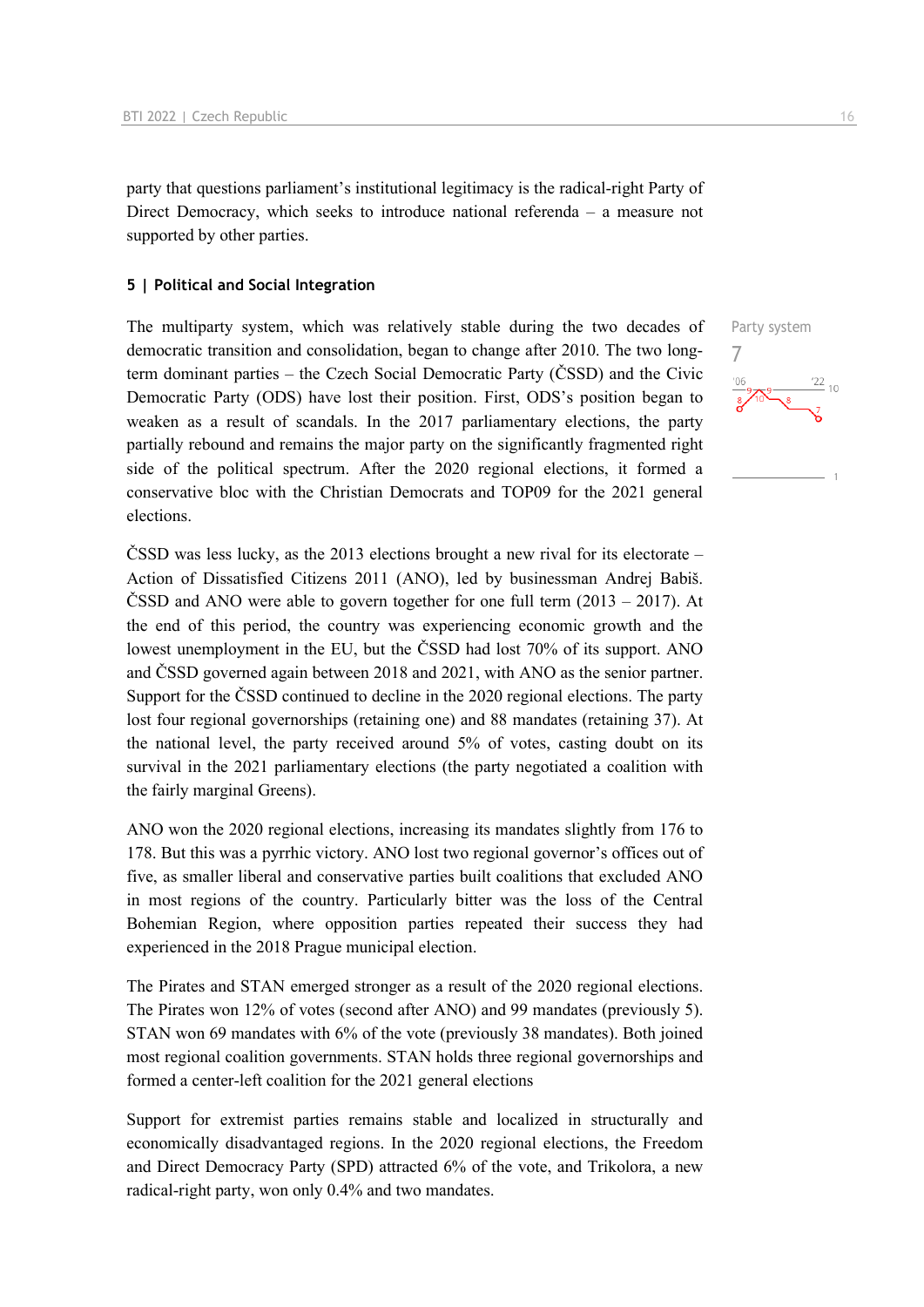party that questions parliament's institutional legitimacy is the radical-right Party of Direct Democracy, which seeks to introduce national referenda – a measure not supported by other parties.

#### **5 | Political and Social Integration**

The multiparty system, which was relatively stable during the two decades of democratic transition and consolidation, began to change after 2010. The two longterm dominant parties – the Czech Social Democratic Party (ČSSD) and the Civic Democratic Party (ODS) have lost their position. First, ODS's position began to weaken as a result of scandals. In the 2017 parliamentary elections, the party partially rebound and remains the major party on the significantly fragmented right side of the political spectrum. After the 2020 regional elections, it formed a conservative bloc with the Christian Democrats and TOP09 for the 2021 general elections.

ČSSD was less lucky, as the 2013 elections brought a new rival for its electorate – Action of Dissatisfied Citizens 2011 (ANO), led by businessman Andrej Babiš. ČSSD and ANO were able to govern together for one full term (2013 – 2017). At the end of this period, the country was experiencing economic growth and the lowest unemployment in the EU, but the ČSSD had lost 70% of its support. ANO and ČSSD governed again between 2018 and 2021, with ANO as the senior partner. Support for the ČSSD continued to decline in the 2020 regional elections. The party lost four regional governorships (retaining one) and 88 mandates (retaining 37). At the national level, the party received around 5% of votes, casting doubt on its survival in the 2021 parliamentary elections (the party negotiated a coalition with the fairly marginal Greens).

ANO won the 2020 regional elections, increasing its mandates slightly from 176 to 178. But this was a pyrrhic victory. ANO lost two regional governor's offices out of five, as smaller liberal and conservative parties built coalitions that excluded ANO in most regions of the country. Particularly bitter was the loss of the Central Bohemian Region, where opposition parties repeated their success they had experienced in the 2018 Prague municipal election.

The Pirates and STAN emerged stronger as a result of the 2020 regional elections. The Pirates won 12% of votes (second after ANO) and 99 mandates (previously 5). STAN won 69 mandates with 6% of the vote (previously 38 mandates). Both joined most regional coalition governments. STAN holds three regional governorships and formed a center-left coalition for the 2021 general elections

Support for extremist parties remains stable and localized in structurally and economically disadvantaged regions. In the 2020 regional elections, the Freedom and Direct Democracy Party (SPD) attracted 6% of the vote, and Trikolora, a new radical-right party, won only 0.4% and two mandates.

Party system 7 $\frac{22}{10}$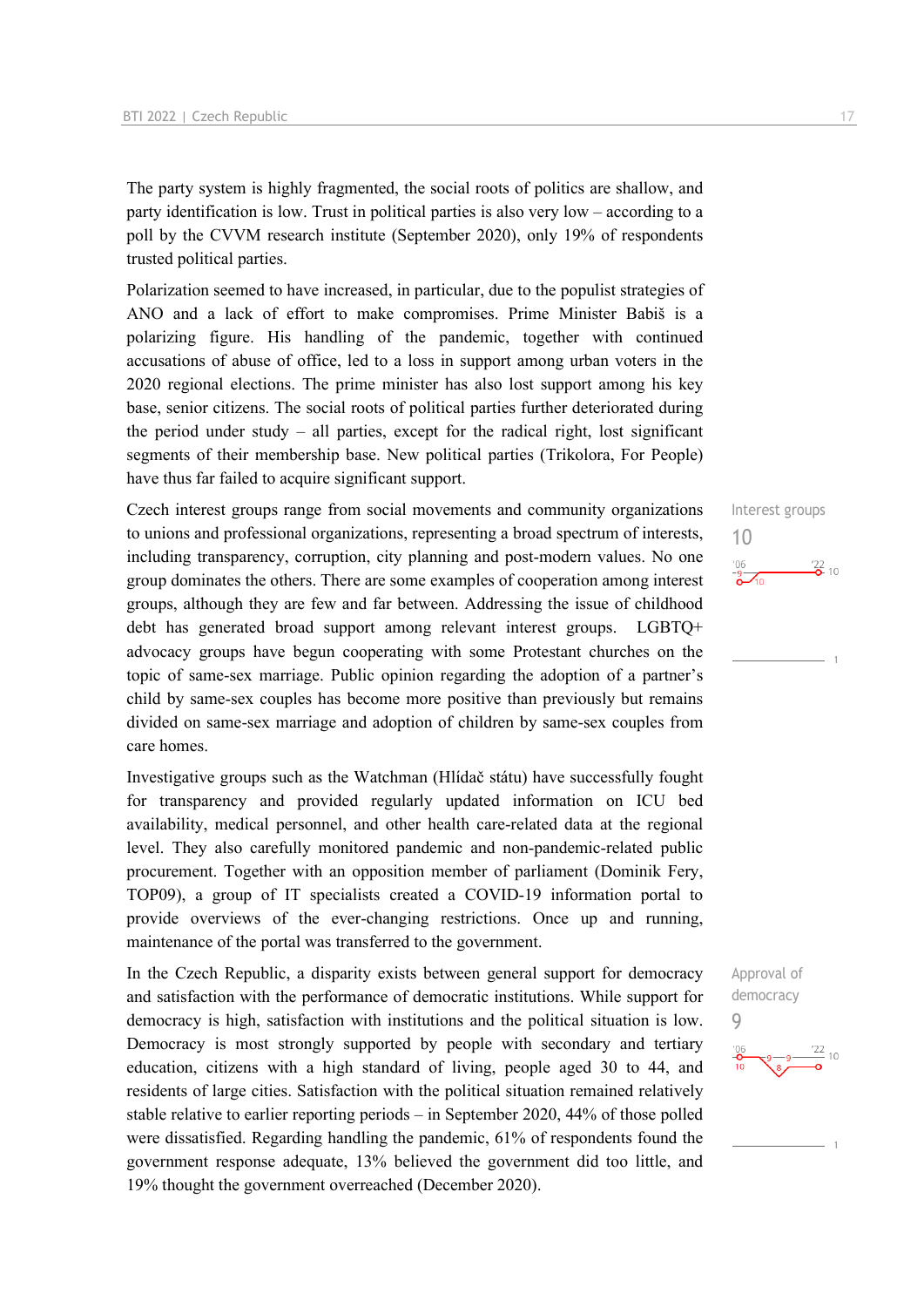The party system is highly fragmented, the social roots of politics are shallow, and party identification is low. Trust in political parties is also very low – according to a poll by the CVVM research institute (September 2020), only 19% of respondents trusted political parties.

Polarization seemed to have increased, in particular, due to the populist strategies of ANO and a lack of effort to make compromises. Prime Minister Babiš is a polarizing figure. His handling of the pandemic, together with continued accusations of abuse of office, led to a loss in support among urban voters in the 2020 regional elections. The prime minister has also lost support among his key base, senior citizens. The social roots of political parties further deteriorated during the period under study – all parties, except for the radical right, lost significant segments of their membership base. New political parties (Trikolora, For People) have thus far failed to acquire significant support.

Czech interest groups range from social movements and community organizations to unions and professional organizations, representing a broad spectrum of interests, including transparency, corruption, city planning and post-modern values. No one group dominates the others. There are some examples of cooperation among interest groups, although they are few and far between. Addressing the issue of childhood debt has generated broad support among relevant interest groups. LGBTQ+ advocacy groups have begun cooperating with some Protestant churches on the topic of same-sex marriage. Public opinion regarding the adoption of a partner's child by same-sex couples has become more positive than previously but remains divided on same-sex marriage and adoption of children by same-sex couples from care homes.

Investigative groups such as the Watchman (Hlídač státu) have successfully fought for transparency and provided regularly updated information on ICU bed availability, medical personnel, and other health care-related data at the regional level. They also carefully monitored pandemic and non-pandemic-related public procurement. Together with an opposition member of parliament (Dominik Fery, TOP09), a group of IT specialists created a COVID-19 information portal to provide overviews of the ever-changing restrictions. Once up and running, maintenance of the portal was transferred to the government.

In the Czech Republic, a disparity exists between general support for democracy and satisfaction with the performance of democratic institutions. While support for democracy is high, satisfaction with institutions and the political situation is low. Democracy is most strongly supported by people with secondary and tertiary education, citizens with a high standard of living, people aged 30 to 44, and residents of large cities. Satisfaction with the political situation remained relatively stable relative to earlier reporting periods – in September 2020, 44% of those polled were dissatisfied. Regarding handling the pandemic, 61% of respondents found the government response adequate, 13% believed the government did too little, and 19% thought the government overreached (December 2020).

Interest groups 10  $\frac{22}{2}$  10

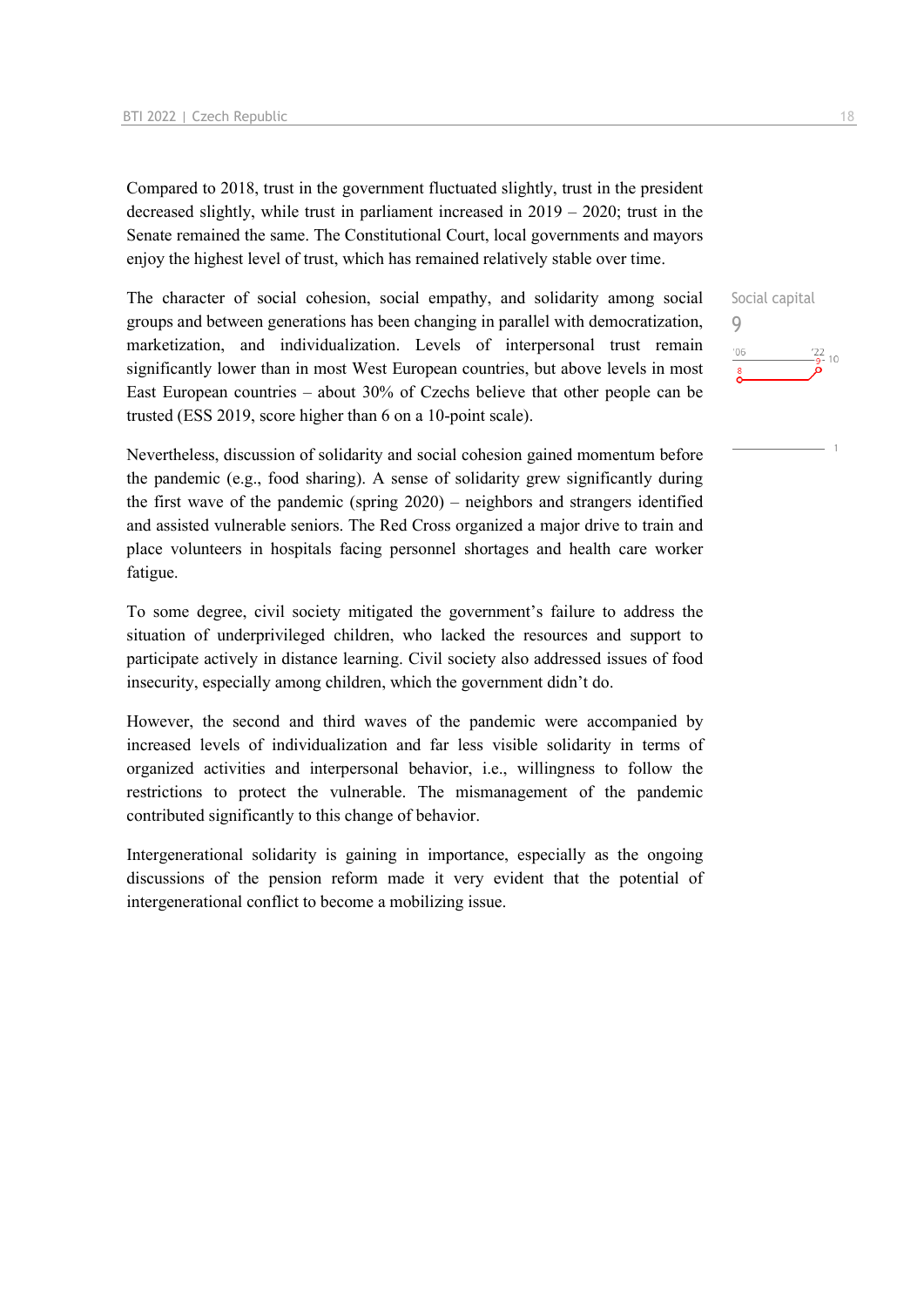Compared to 2018, trust in the government fluctuated slightly, trust in the president decreased slightly, while trust in parliament increased in 2019 – 2020; trust in the Senate remained the same. The Constitutional Court, local governments and mayors enjoy the highest level of trust, which has remained relatively stable over time.

The character of social cohesion, social empathy, and solidarity among social groups and between generations has been changing in parallel with democratization, marketization, and individualization. Levels of interpersonal trust remain significantly lower than in most West European countries, but above levels in most East European countries – about 30% of Czechs believe that other people can be trusted (ESS 2019, score higher than 6 on a 10-point scale).

Nevertheless, discussion of solidarity and social cohesion gained momentum before the pandemic (e.g., food sharing). A sense of solidarity grew significantly during the first wave of the pandemic (spring 2020) – neighbors and strangers identified and assisted vulnerable seniors. The Red Cross organized a major drive to train and place volunteers in hospitals facing personnel shortages and health care worker fatigue.

To some degree, civil society mitigated the government's failure to address the situation of underprivileged children, who lacked the resources and support to participate actively in distance learning. Civil society also addressed issues of food insecurity, especially among children, which the government didn't do.

However, the second and third waves of the pandemic were accompanied by increased levels of individualization and far less visible solidarity in terms of organized activities and interpersonal behavior, i.e., willingness to follow the restrictions to protect the vulnerable. The mismanagement of the pandemic contributed significantly to this change of behavior.

Intergenerational solidarity is gaining in importance, especially as the ongoing discussions of the pension reform made it very evident that the potential of intergenerational conflict to become a mobilizing issue.

Social capital 9 $\frac{22}{9}$ - 10  $106$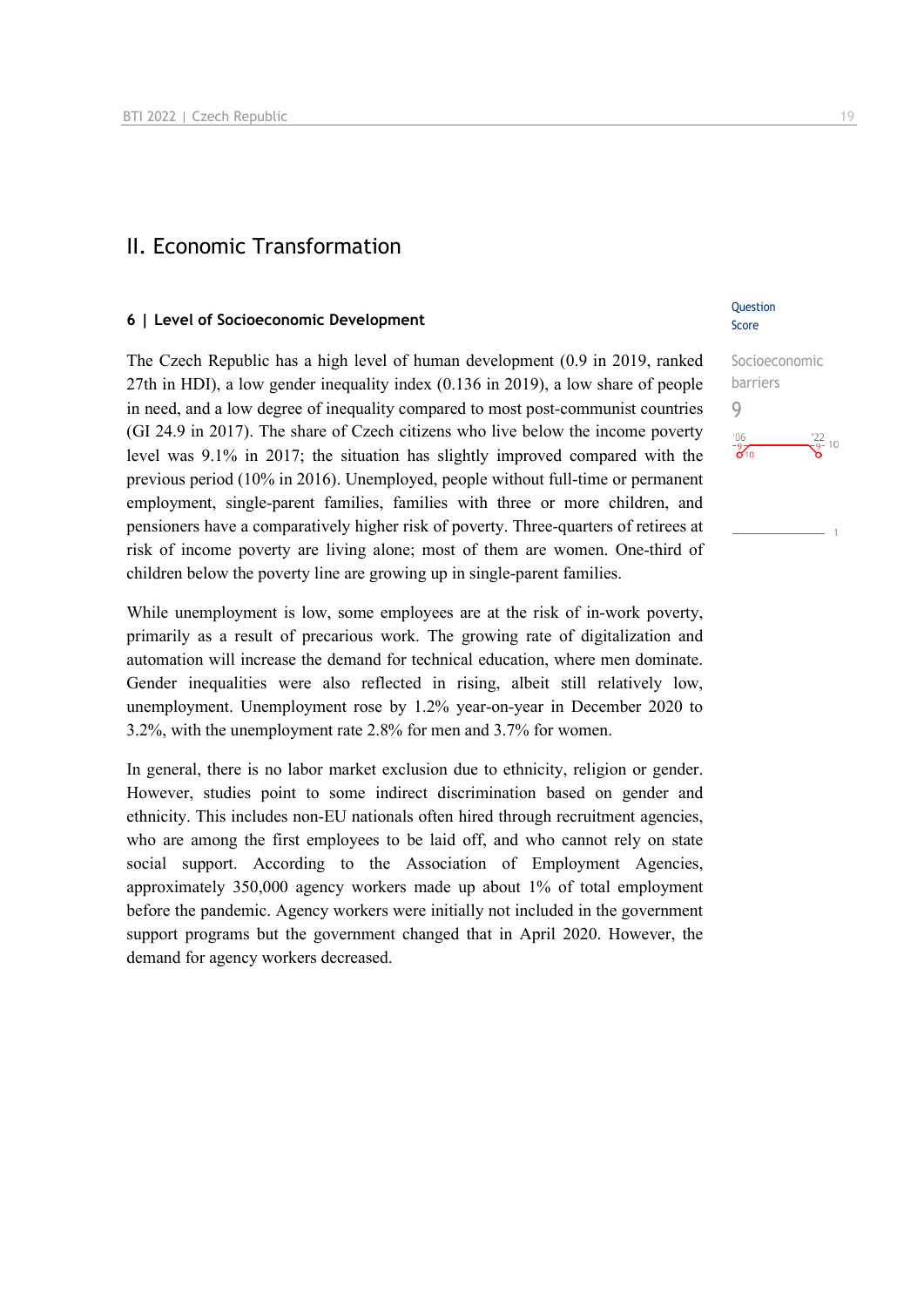## II. Economic Transformation

#### **6 | Level of Socioeconomic Development**

The Czech Republic has a high level of human development (0.9 in 2019, ranked 27th in HDI), a low gender inequality index (0.136 in 2019), a low share of people in need, and a low degree of inequality compared to most post-communist countries (GI 24.9 in 2017). The share of Czech citizens who live below the income poverty level was 9.1% in 2017; the situation has slightly improved compared with the previous period (10% in 2016). Unemployed, people without full-time or permanent employment, single-parent families, families with three or more children, and pensioners have a comparatively higher risk of poverty. Three-quarters of retirees at risk of income poverty are living alone; most of them are women. One-third of children below the poverty line are growing up in single-parent families.

While unemployment is low, some employees are at the risk of in-work poverty, primarily as a result of precarious work. The growing rate of digitalization and automation will increase the demand for technical education, where men dominate. Gender inequalities were also reflected in rising, albeit still relatively low, unemployment. Unemployment rose by 1.2% year-on-year in December 2020 to 3.2%, with the unemployment rate 2.8% for men and 3.7% for women.

In general, there is no labor market exclusion due to ethnicity, religion or gender. However, studies point to some indirect discrimination based on gender and ethnicity. This includes non-EU nationals often hired through recruitment agencies, who are among the first employees to be laid off, and who cannot rely on state social support. According to the Association of Employment Agencies, approximately 350,000 agency workers made up about 1% of total employment before the pandemic. Agency workers were initially not included in the government support programs but the government changed that in April 2020. However, the demand for agency workers decreased.

## **Ouestion** Score

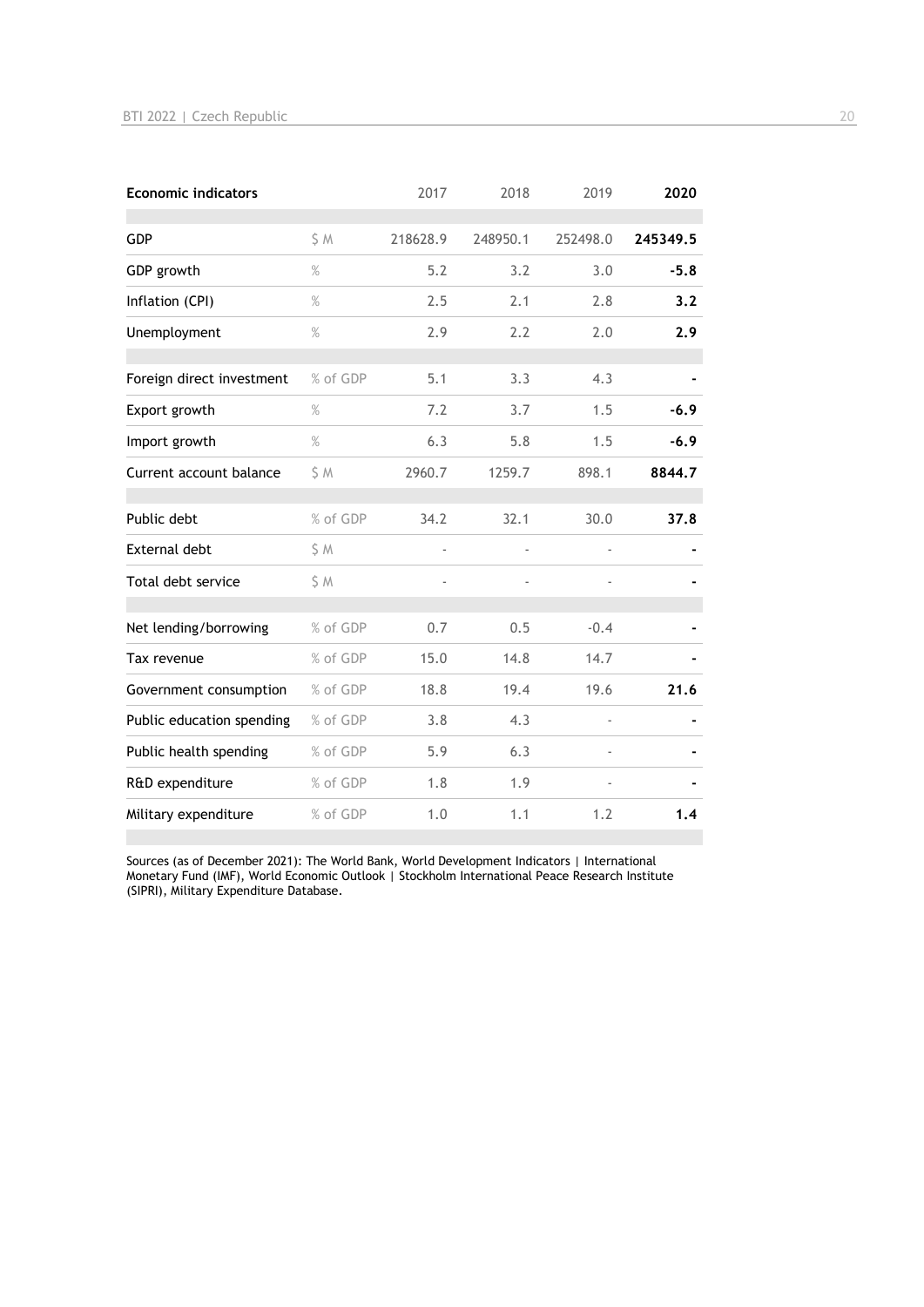| <b>Economic indicators</b> |          | 2017                     | 2018     | 2019                     | 2020     |
|----------------------------|----------|--------------------------|----------|--------------------------|----------|
| GDP                        | S M      | 218628.9                 | 248950.1 | 252498.0                 | 245349.5 |
| GDP growth                 | %        | 5.2                      | 3.2      | 3.0                      | $-5.8$   |
| Inflation (CPI)            | %        | 2.5                      | 2.1      | 2.8                      | 3.2      |
| Unemployment               | $\%$     | 2.9                      | 2.2      | 2.0                      | 2.9      |
| Foreign direct investment  | % of GDP | 5.1                      | 3.3      | 4.3                      |          |
| Export growth              | $\%$     | 7.2                      | 3.7      | 1.5                      | $-6.9$   |
| Import growth              | $\%$     | 6.3                      | 5.8      | 1.5                      | $-6.9$   |
| Current account balance    | \$M      | 2960.7                   | 1259.7   | 898.1                    | 8844.7   |
| Public debt                | % of GDP | 34.2                     | 32.1     | 30.0                     | 37.8     |
| External debt              | \$ M     | $\overline{\phantom{a}}$ |          | $\overline{a}$           |          |
| Total debt service         | \$ M     | ä,                       |          |                          |          |
| Net lending/borrowing      | % of GDP | 0.7                      | 0.5      | $-0.4$                   |          |
| Tax revenue                | % of GDP | 15.0                     | 14.8     | 14.7                     |          |
| Government consumption     | % of GDP | 18.8                     | 19.4     | 19.6                     | 21.6     |
| Public education spending  | % of GDP | 3.8                      | 4.3      | $\overline{\phantom{0}}$ |          |
| Public health spending     | % of GDP | 5.9                      | 6.3      |                          |          |
| R&D expenditure            | % of GDP | 1.8                      | 1.9      |                          |          |
| Military expenditure       | % of GDP | 1.0                      | 1.1      | 1.2                      | 1.4      |

Sources (as of December 2021): The World Bank, World Development Indicators | International Monetary Fund (IMF), World Economic Outlook | Stockholm International Peace Research Institute (SIPRI), Military Expenditure Database.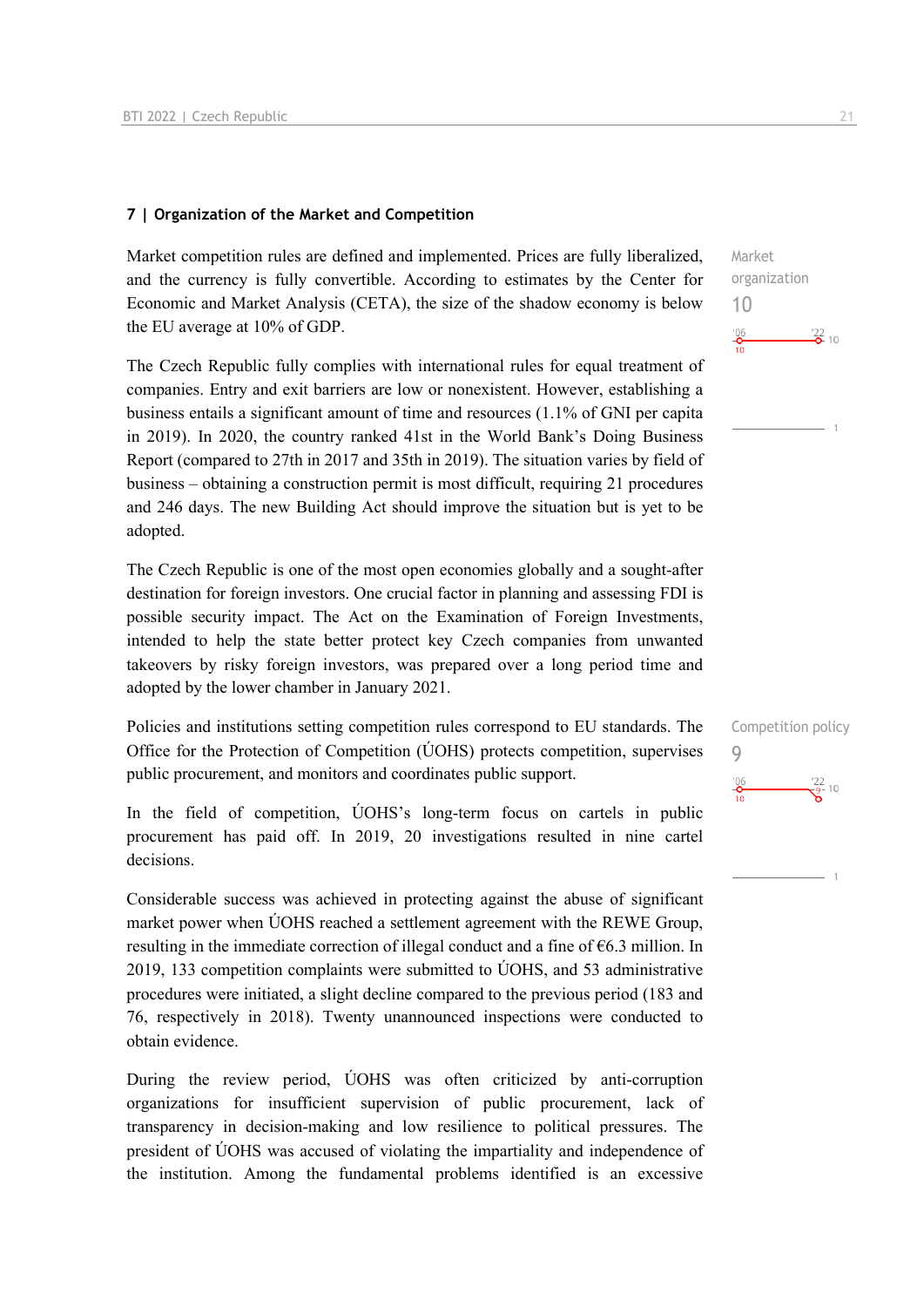#### **7 | Organization of the Market and Competition**

Market competition rules are defined and implemented. Prices are fully liberalized, and the currency is fully convertible. According to estimates by the Center for Economic and Market Analysis (CETA), the size of the shadow economy is below the EU average at 10% of GDP.

The Czech Republic fully complies with international rules for equal treatment of companies. Entry and exit barriers are low or nonexistent. However, establishing a business entails a significant amount of time and resources (1.1% of GNI per capita in 2019). In 2020, the country ranked 41st in the World Bank's Doing Business Report (compared to 27th in 2017 and 35th in 2019). The situation varies by field of business – obtaining a construction permit is most difficult, requiring 21 procedures and 246 days. The new Building Act should improve the situation but is yet to be adopted.

The Czech Republic is one of the most open economies globally and a sought-after destination for foreign investors. One crucial factor in planning and assessing FDI is possible security impact. The Act on the Examination of Foreign Investments, intended to help the state better protect key Czech companies from unwanted takeovers by risky foreign investors, was prepared over a long period time and adopted by the lower chamber in January 2021.

Policies and institutions setting competition rules correspond to EU standards. The Office for the Protection of Competition (ÚOHS) protects competition, supervises public procurement, and monitors and coordinates public support.

In the field of competition, ÚOHS's long-term focus on cartels in public procurement has paid off. In 2019, 20 investigations resulted in nine cartel decisions.

Considerable success was achieved in protecting against the abuse of significant market power when ÚOHS reached a settlement agreement with the REWE Group, resulting in the immediate correction of illegal conduct and a fine of  $\epsilon$ 6.3 million. In 2019, 133 competition complaints were submitted to ÚOHS, and 53 administrative procedures were initiated, a slight decline compared to the previous period (183 and 76, respectively in 2018). Twenty unannounced inspections were conducted to obtain evidence.

During the review period, ÚOHS was often criticized by anti-corruption organizations for insufficient supervision of public procurement, lack of transparency in decision-making and low resilience to political pressures. The president of ÚOHS was accused of violating the impartiality and independence of the institution. Among the fundamental problems identified is an excessive

 $\frac{22}{2}$  10

Market organization

Competition policy

 $\frac{22}{9}$ - 10

9

 $\frac{106}{10}$ 

10

 $^{106}_{\bullet}$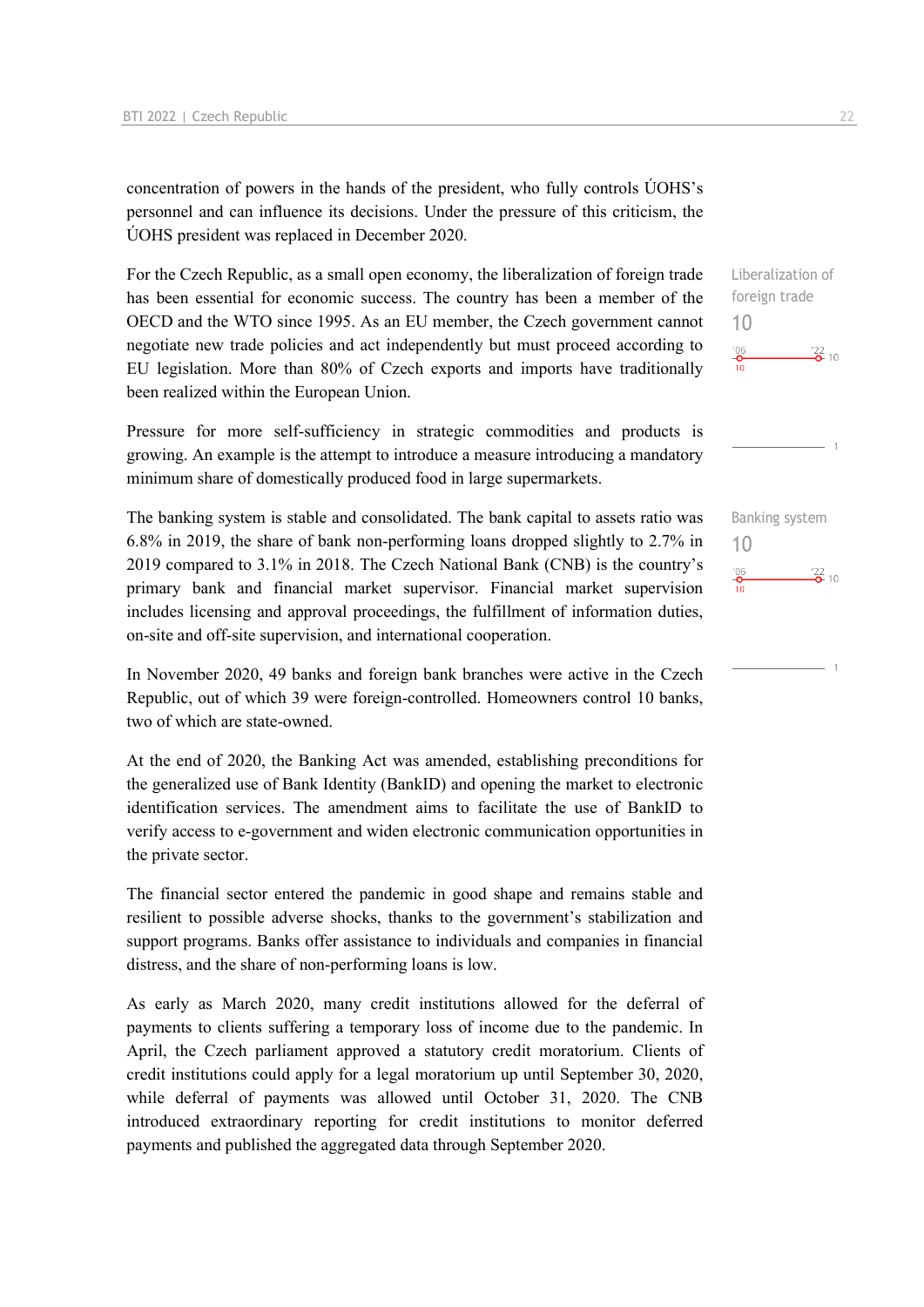concentration of powers in the hands of the president, who fully controls ÚOHS's personnel and can influence its decisions. Under the pressure of this criticism, the ÚOHS president was replaced in December 2020.

For the Czech Republic, as a small open economy, the liberalization of foreign trade has been essential for economic success. The country has been a member of the OECD and the WTO since 1995. As an EU member, the Czech government cannot negotiate new trade policies and act independently but must proceed according to EU legislation. More than 80% of Czech exports and imports have traditionally been realized within the European Union.

Pressure for more self-sufficiency in strategic commodities and products is growing. An example is the attempt to introduce a measure introducing a mandatory minimum share of domestically produced food in large supermarkets.

The banking system is stable and consolidated. The bank capital to assets ratio was 6.8% in 2019, the share of bank non-performing loans dropped slightly to 2.7% in 2019 compared to 3.1% in 2018. The Czech National Bank (CNB) is the country's primary bank and financial market supervisor. Financial market supervision includes licensing and approval proceedings, the fulfillment of information duties, on-site and off-site supervision, and international cooperation.

In November 2020, 49 banks and foreign bank branches were active in the Czech Republic, out of which 39 were foreign-controlled. Homeowners control 10 banks, two of which are state-owned.

At the end of 2020, the Banking Act was amended, establishing preconditions for the generalized use of Bank Identity (BankID) and opening the market to electronic identification services. The amendment aims to facilitate the use of BankID to verify access to e-government and widen electronic communication opportunities in the private sector.

The financial sector entered the pandemic in good shape and remains stable and resilient to possible adverse shocks, thanks to the government's stabilization and support programs. Banks offer assistance to individuals and companies in financial distress, and the share of non-performing loans is low.

As early as March 2020, many credit institutions allowed for the deferral of payments to clients suffering a temporary loss of income due to the pandemic. In April, the Czech parliament approved a statutory credit moratorium. Clients of credit institutions could apply for a legal moratorium up until September 30, 2020, while deferral of payments was allowed until October 31, 2020. The CNB introduced extraordinary reporting for credit institutions to monitor deferred payments and published the aggregated data through September 2020.

Liberalization of

10  $\frac{106}{2}$  $\frac{22}{2}$  10

foreign trade



Banking system 10 $\frac{106}{2}$  $\frac{22}{2}$  10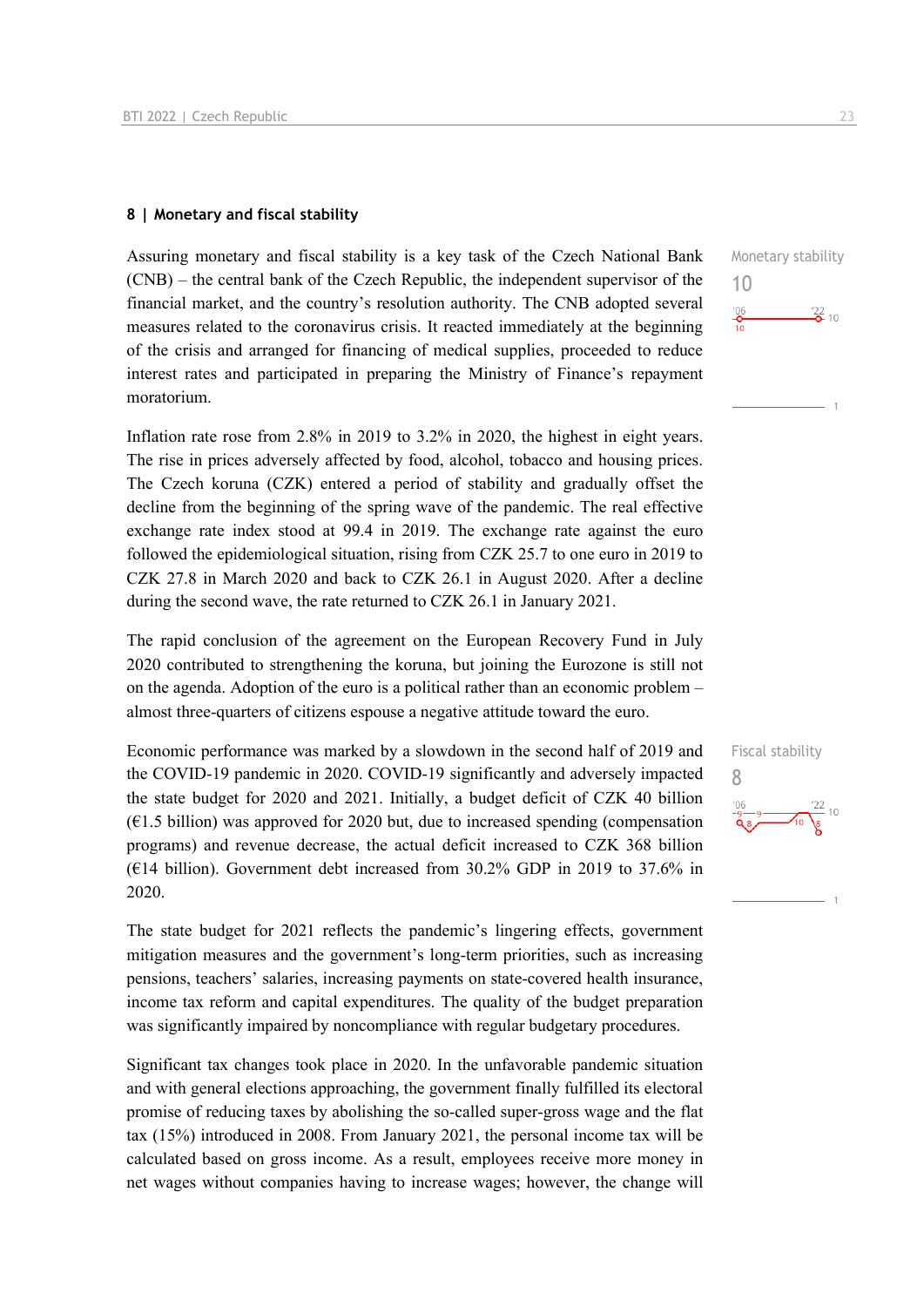#### **8 | Monetary and fiscal stability**

Assuring monetary and fiscal stability is a key task of the Czech National Bank (CNB) – the central bank of the Czech Republic, the independent supervisor of the financial market, and the country's resolution authority. The CNB adopted several measures related to the coronavirus crisis. It reacted immediately at the beginning of the crisis and arranged for financing of medical supplies, proceeded to reduce interest rates and participated in preparing the Ministry of Finance's repayment moratorium.

Inflation rate rose from 2.8% in 2019 to 3.2% in 2020, the highest in eight years. The rise in prices adversely affected by food, alcohol, tobacco and housing prices. The Czech koruna (CZK) entered a period of stability and gradually offset the decline from the beginning of the spring wave of the pandemic. The real effective exchange rate index stood at 99.4 in 2019. The exchange rate against the euro followed the epidemiological situation, rising from CZK 25.7 to one euro in 2019 to CZK 27.8 in March 2020 and back to CZK 26.1 in August 2020. After a decline during the second wave, the rate returned to CZK 26.1 in January 2021.

The rapid conclusion of the agreement on the European Recovery Fund in July 2020 contributed to strengthening the koruna, but joining the Eurozone is still not on the agenda. Adoption of the euro is a political rather than an economic problem – almost three-quarters of citizens espouse a negative attitude toward the euro.

Economic performance was marked by a slowdown in the second half of 2019 and the COVID-19 pandemic in 2020. COVID-19 significantly and adversely impacted the state budget for 2020 and 2021. Initially, a budget deficit of CZK 40 billion  $(61.5 \text{ billion})$  was approved for 2020 but, due to increased spending (compensation programs) and revenue decrease, the actual deficit increased to CZK 368 billion ( $€14$  billion). Government debt increased from 30.2% GDP in 2019 to 37.6% in 2020.

The state budget for 2021 reflects the pandemic's lingering effects, government mitigation measures and the government's long-term priorities, such as increasing pensions, teachers' salaries, increasing payments on state-covered health insurance, income tax reform and capital expenditures. The quality of the budget preparation was significantly impaired by noncompliance with regular budgetary procedures.

Significant tax changes took place in 2020. In the unfavorable pandemic situation and with general elections approaching, the government finally fulfilled its electoral promise of reducing taxes by abolishing the so-called super-gross wage and the flat tax (15%) introduced in 2008. From January 2021, the personal income tax will be calculated based on gross income. As a result, employees receive more money in net wages without companies having to increase wages; however, the change will



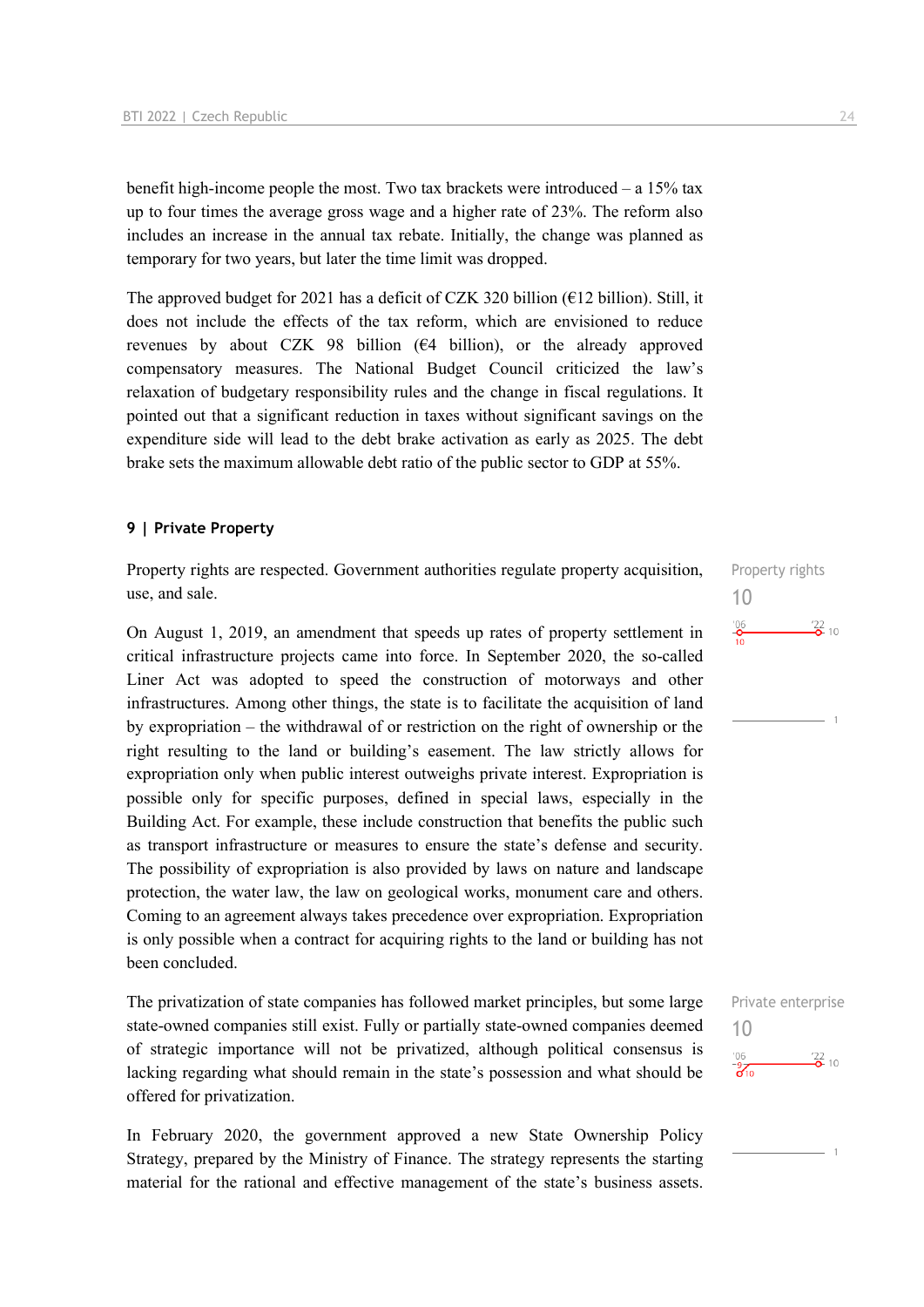benefit high-income people the most. Two tax brackets were introduced – a 15% tax up to four times the average gross wage and a higher rate of 23%. The reform also includes an increase in the annual tax rebate. Initially, the change was planned as temporary for two years, but later the time limit was dropped.

The approved budget for 2021 has a deficit of CZK 320 billion ( $E12$  billion). Still, it does not include the effects of the tax reform, which are envisioned to reduce revenues by about CZK 98 billion ( $64$  billion), or the already approved compensatory measures. The National Budget Council criticized the law's relaxation of budgetary responsibility rules and the change in fiscal regulations. It pointed out that a significant reduction in taxes without significant savings on the expenditure side will lead to the debt brake activation as early as 2025. The debt brake sets the maximum allowable debt ratio of the public sector to GDP at 55%.

## **9 | Private Property**

Property rights are respected. Government authorities regulate property acquisition, use, and sale.

On August 1, 2019, an amendment that speeds up rates of property settlement in critical infrastructure projects came into force. In September 2020, the so-called Liner Act was adopted to speed the construction of motorways and other infrastructures. Among other things, the state is to facilitate the acquisition of land by expropriation – the withdrawal of or restriction on the right of ownership or the right resulting to the land or building's easement. The law strictly allows for expropriation only when public interest outweighs private interest. Expropriation is possible only for specific purposes, defined in special laws, especially in the Building Act. For example, these include construction that benefits the public such as transport infrastructure or measures to ensure the state's defense and security. The possibility of expropriation is also provided by laws on nature and landscape protection, the water law, the law on geological works, monument care and others. Coming to an agreement always takes precedence over expropriation. Expropriation is only possible when a contract for acquiring rights to the land or building has not been concluded.

The privatization of state companies has followed market principles, but some large state-owned companies still exist. Fully or partially state-owned companies deemed of strategic importance will not be privatized, although political consensus is lacking regarding what should remain in the state's possession and what should be offered for privatization.

In February 2020, the government approved a new State Ownership Policy Strategy, prepared by the Ministry of Finance. The strategy represents the starting material for the rational and effective management of the state's business assets.

Property rights 10  $^{106}$  $\frac{22}{2}$  10

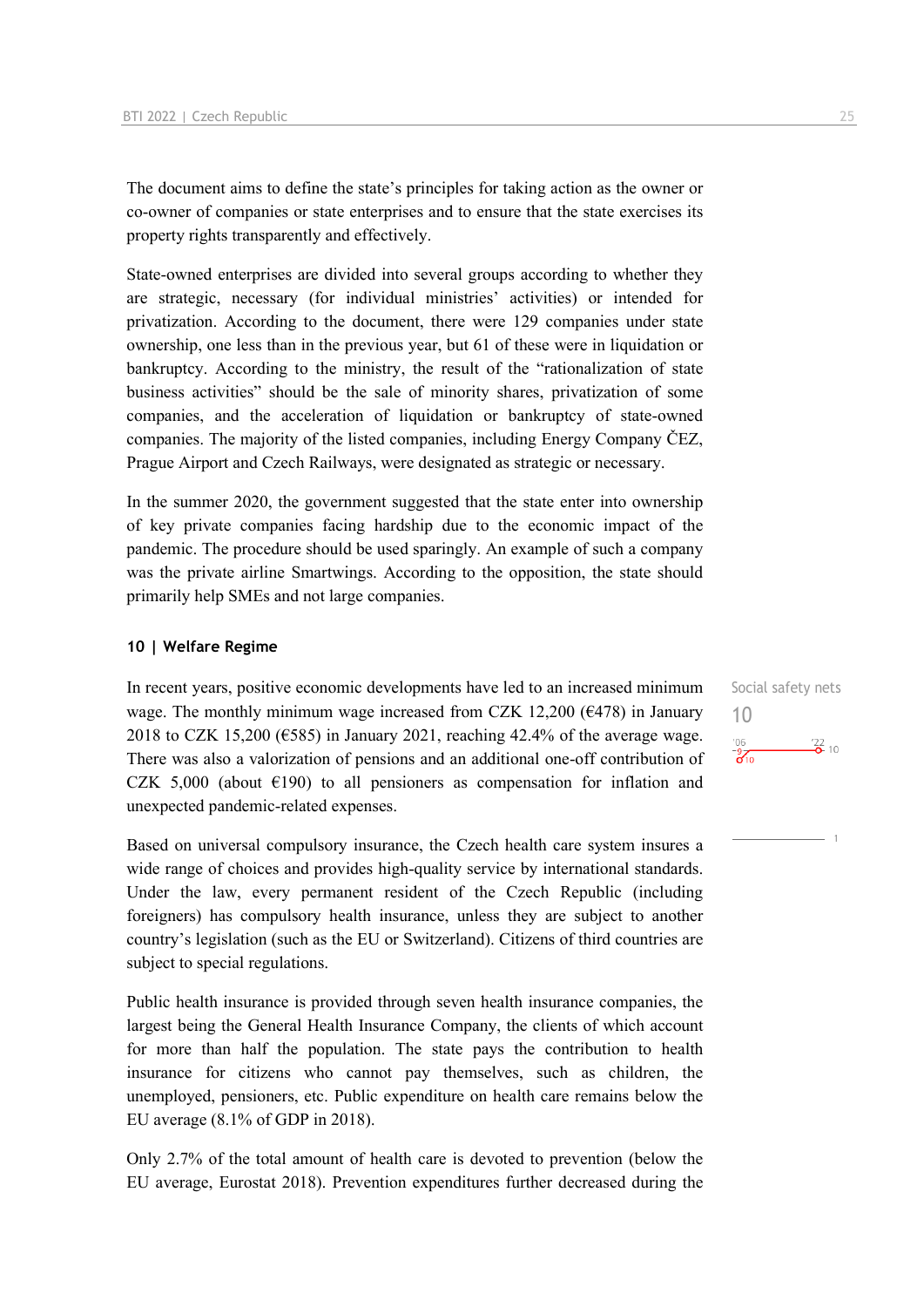The document aims to define the state's principles for taking action as the owner or co-owner of companies or state enterprises and to ensure that the state exercises its property rights transparently and effectively.

State-owned enterprises are divided into several groups according to whether they are strategic, necessary (for individual ministries' activities) or intended for privatization. According to the document, there were 129 companies under state ownership, one less than in the previous year, but 61 of these were in liquidation or bankruptcy. According to the ministry, the result of the "rationalization of state business activities" should be the sale of minority shares, privatization of some companies, and the acceleration of liquidation or bankruptcy of state-owned companies. The majority of the listed companies, including Energy Company ČEZ, Prague Airport and Czech Railways, were designated as strategic or necessary.

In the summer 2020, the government suggested that the state enter into ownership of key private companies facing hardship due to the economic impact of the pandemic. The procedure should be used sparingly. An example of such a company was the private airline Smartwings. According to the opposition, the state should primarily help SMEs and not large companies.

#### **10 | Welfare Regime**

In recent years, positive economic developments have led to an increased minimum wage. The monthly minimum wage increased from CZK 12,200 ( $\epsilon$ 478) in January 2018 to CZK 15,200 ( $\epsilon$ 585) in January 2021, reaching 42.4% of the average wage. There was also a valorization of pensions and an additional one-off contribution of CZK 5,000 (about  $E(190)$ ) to all pensioners as compensation for inflation and unexpected pandemic-related expenses.

Based on universal compulsory insurance, the Czech health care system insures a wide range of choices and provides high-quality service by international standards. Under the law, every permanent resident of the Czech Republic (including foreigners) has compulsory health insurance, unless they are subject to another country's legislation (such as the EU or Switzerland). Citizens of third countries are subject to special regulations.

Public health insurance is provided through seven health insurance companies, the largest being the General Health Insurance Company, the clients of which account for more than half the population. The state pays the contribution to health insurance for citizens who cannot pay themselves, such as children, the unemployed, pensioners, etc. Public expenditure on health care remains below the EU average (8.1% of GDP in 2018).

Only 2.7% of the total amount of health care is devoted to prevention (below the EU average, Eurostat 2018). Prevention expenditures further decreased during the Social safety nets 10 $\frac{106}{310}$  $\frac{22}{2}$  10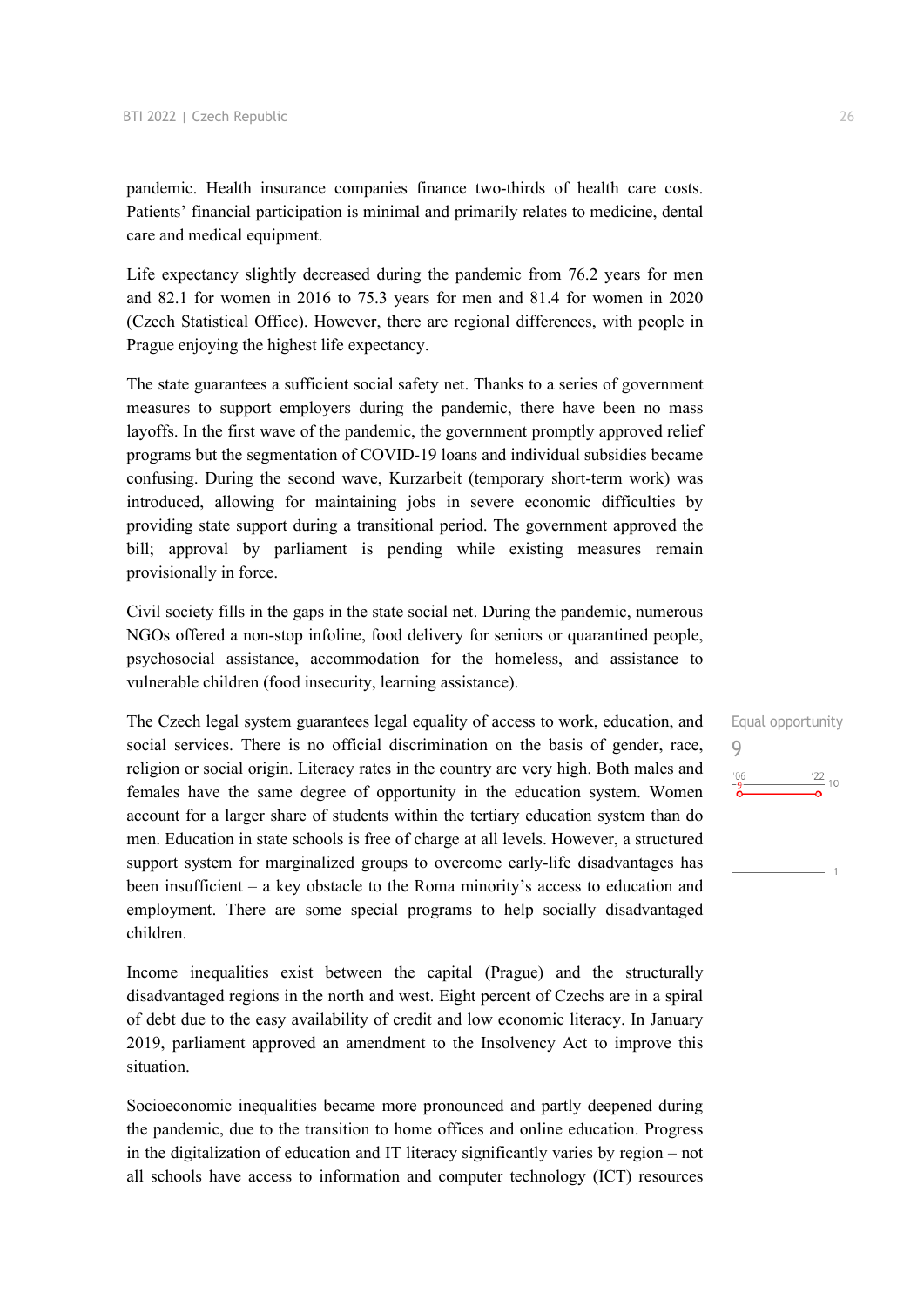pandemic. Health insurance companies finance two-thirds of health care costs. Patients' financial participation is minimal and primarily relates to medicine, dental care and medical equipment.

Life expectancy slightly decreased during the pandemic from 76.2 years for men and 82.1 for women in 2016 to 75.3 years for men and 81.4 for women in 2020 (Czech Statistical Office). However, there are regional differences, with people in Prague enjoying the highest life expectancy.

The state guarantees a sufficient social safety net. Thanks to a series of government measures to support employers during the pandemic, there have been no mass layoffs. In the first wave of the pandemic, the government promptly approved relief programs but the segmentation of COVID-19 loans and individual subsidies became confusing. During the second wave, Kurzarbeit (temporary short-term work) was introduced, allowing for maintaining jobs in severe economic difficulties by providing state support during a transitional period. The government approved the bill; approval by parliament is pending while existing measures remain provisionally in force.

Civil society fills in the gaps in the state social net. During the pandemic, numerous NGOs offered a non-stop infoline, food delivery for seniors or quarantined people, psychosocial assistance, accommodation for the homeless, and assistance to vulnerable children (food insecurity, learning assistance).

The Czech legal system guarantees legal equality of access to work, education, and social services. There is no official discrimination on the basis of gender, race, religion or social origin. Literacy rates in the country are very high. Both males and females have the same degree of opportunity in the education system. Women account for a larger share of students within the tertiary education system than do men. Education in state schools is free of charge at all levels. However, a structured support system for marginalized groups to overcome early-life disadvantages has been insufficient – a key obstacle to the Roma minority's access to education and employment. There are some special programs to help socially disadvantaged children.

Income inequalities exist between the capital (Prague) and the structurally disadvantaged regions in the north and west. Eight percent of Czechs are in a spiral of debt due to the easy availability of credit and low economic literacy. In January 2019, parliament approved an amendment to the Insolvency Act to improve this situation.

Socioeconomic inequalities became more pronounced and partly deepened during the pandemic, due to the transition to home offices and online education. Progress in the digitalization of education and IT literacy significantly varies by region – not all schools have access to information and computer technology (ICT) resources Equal opportunity 9 $\frac{22}{10}$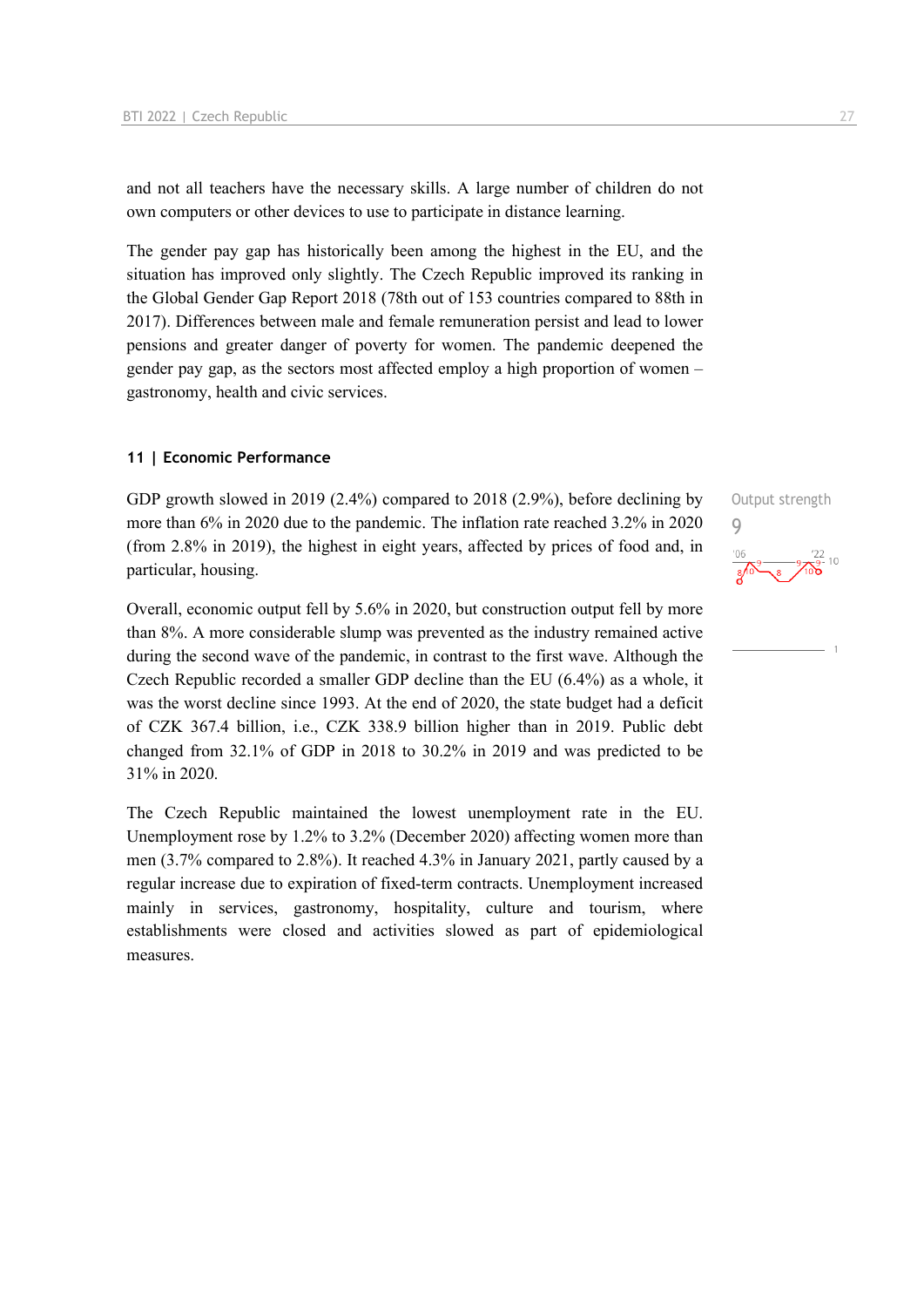and not all teachers have the necessary skills. A large number of children do not own computers or other devices to use to participate in distance learning.

The gender pay gap has historically been among the highest in the EU, and the situation has improved only slightly. The Czech Republic improved its ranking in the Global Gender Gap Report 2018 (78th out of 153 countries compared to 88th in 2017). Differences between male and female remuneration persist and lead to lower pensions and greater danger of poverty for women. The pandemic deepened the gender pay gap, as the sectors most affected employ a high proportion of women – gastronomy, health and civic services.

#### **11 | Economic Performance**

GDP growth slowed in 2019 (2.4%) compared to 2018 (2.9%), before declining by more than 6% in 2020 due to the pandemic. The inflation rate reached 3.2% in 2020 (from 2.8% in 2019), the highest in eight years, affected by prices of food and, in particular, housing.

Overall, economic output fell by 5.6% in 2020, but construction output fell by more than 8%. A more considerable slump was prevented as the industry remained active during the second wave of the pandemic, in contrast to the first wave. Although the Czech Republic recorded a smaller GDP decline than the EU (6.4%) as a whole, it was the worst decline since 1993. At the end of 2020, the state budget had a deficit of CZK 367.4 billion, i.e., CZK 338.9 billion higher than in 2019. Public debt changed from 32.1% of GDP in 2018 to 30.2% in 2019 and was predicted to be 31% in 2020.

The Czech Republic maintained the lowest unemployment rate in the EU. Unemployment rose by 1.2% to 3.2% (December 2020) affecting women more than men (3.7% compared to 2.8%). It reached 4.3% in January 2021, partly caused by a regular increase due to expiration of fixed-term contracts. Unemployment increased mainly in services, gastronomy, hospitality, culture and tourism, where establishments were closed and activities slowed as part of epidemiological measures.

Output strength 9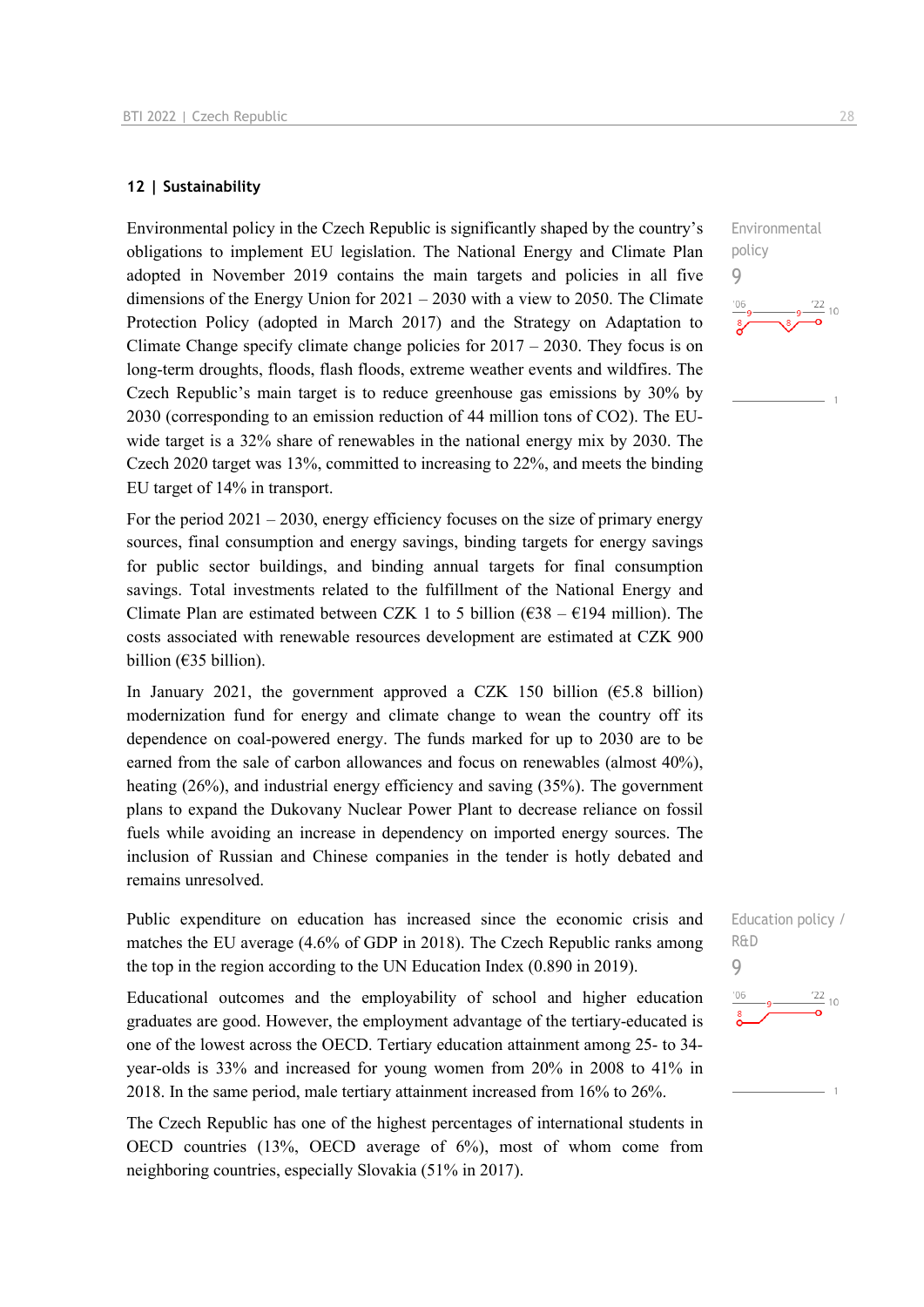#### **12 | Sustainability**

Environmental policy in the Czech Republic is significantly shaped by the country's obligations to implement EU legislation. The National Energy and Climate Plan adopted in November 2019 contains the main targets and policies in all five dimensions of the Energy Union for  $2021 - 2030$  with a view to 2050. The Climate Protection Policy (adopted in March 2017) and the Strategy on Adaptation to Climate Change specify climate change policies for  $2017 - 2030$ . They focus is on long-term droughts, floods, flash floods, extreme weather events and wildfires. The Czech Republic's main target is to reduce greenhouse gas emissions by 30% by 2030 (corresponding to an emission reduction of 44 million tons of CO2). The EUwide target is a 32% share of renewables in the national energy mix by 2030. The Czech 2020 target was 13%, committed to increasing to 22%, and meets the binding EU target of 14% in transport.

For the period  $2021 - 2030$ , energy efficiency focuses on the size of primary energy sources, final consumption and energy savings, binding targets for energy savings for public sector buildings, and binding annual targets for final consumption savings. Total investments related to the fulfillment of the National Energy and Climate Plan are estimated between CZK 1 to 5 billion ( $638 - 6194$  million). The costs associated with renewable resources development are estimated at CZK 900 billion (€35 billion).

In January 2021, the government approved a CZK 150 billion ( $65.8$  billion) modernization fund for energy and climate change to wean the country off its dependence on coal-powered energy. The funds marked for up to 2030 are to be earned from the sale of carbon allowances and focus on renewables (almost 40%), heating (26%), and industrial energy efficiency and saving (35%). The government plans to expand the Dukovany Nuclear Power Plant to decrease reliance on fossil fuels while avoiding an increase in dependency on imported energy sources. The inclusion of Russian and Chinese companies in the tender is hotly debated and remains unresolved.

Public expenditure on education has increased since the economic crisis and matches the EU average (4.6% of GDP in 2018). The Czech Republic ranks among the top in the region according to the UN Education Index (0.890 in 2019).

Educational outcomes and the employability of school and higher education graduates are good. However, the employment advantage of the tertiary-educated is one of the lowest across the OECD. Tertiary education attainment among 25- to 34 year-olds is 33% and increased for young women from 20% in 2008 to 41% in 2018. In the same period, male tertiary attainment increased from 16% to 26%.

The Czech Republic has one of the highest percentages of international students in OECD countries (13%, OECD average of 6%), most of whom come from neighboring countries, especially Slovakia (51% in 2017).

Environmental policy 9  $\frac{22}{10}$ 

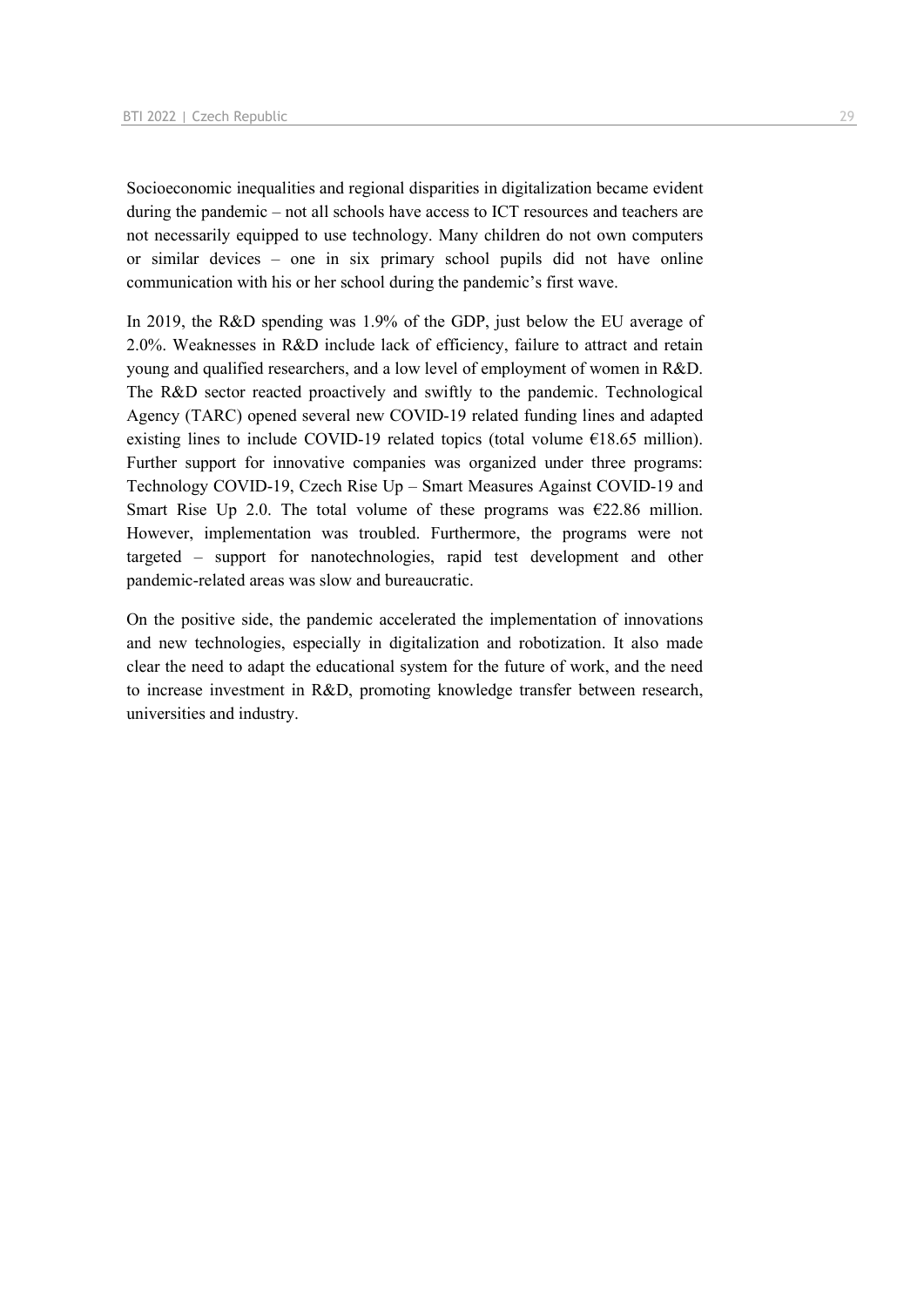Socioeconomic inequalities and regional disparities in digitalization became evident during the pandemic – not all schools have access to ICT resources and teachers are not necessarily equipped to use technology. Many children do not own computers or similar devices – one in six primary school pupils did not have online communication with his or her school during the pandemic's first wave.

In 2019, the R&D spending was 1.9% of the GDP, just below the EU average of 2.0%. Weaknesses in R&D include lack of efficiency, failure to attract and retain young and qualified researchers, and a low level of employment of women in R&D. The R&D sector reacted proactively and swiftly to the pandemic. Technological Agency (TARC) opened several new COVID-19 related funding lines and adapted existing lines to include COVID-19 related topics (total volume  $\epsilon$ 18.65 million). Further support for innovative companies was organized under three programs: Technology COVID-19, Czech Rise Up – Smart Measures Against COVID-19 and Smart Rise Up 2.0. The total volume of these programs was  $\epsilon$ 22.86 million. However, implementation was troubled. Furthermore, the programs were not targeted – support for nanotechnologies, rapid test development and other pandemic-related areas was slow and bureaucratic.

On the positive side, the pandemic accelerated the implementation of innovations and new technologies, especially in digitalization and robotization. It also made clear the need to adapt the educational system for the future of work, and the need to increase investment in R&D, promoting knowledge transfer between research, universities and industry.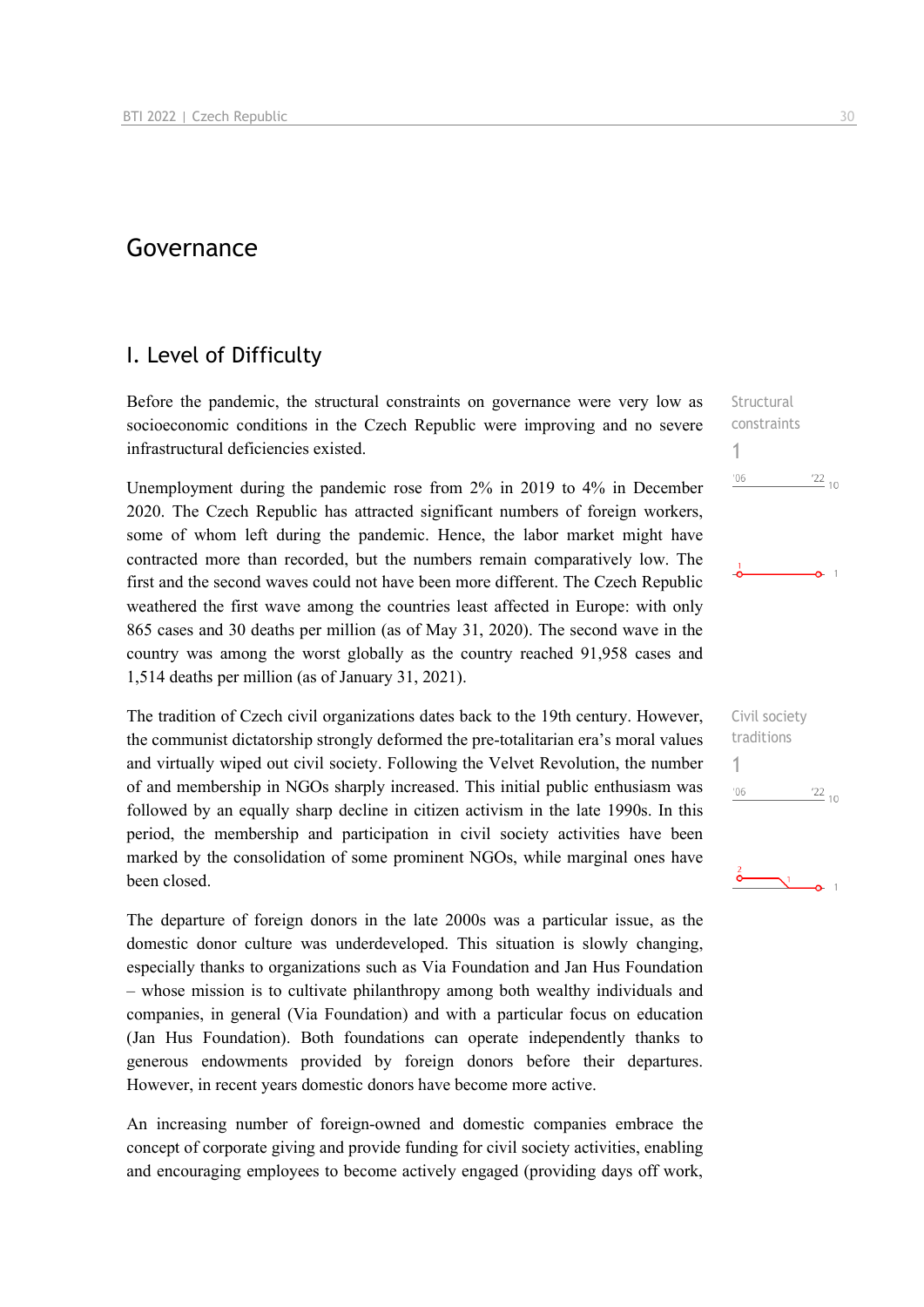# Governance

# I. Level of Difficulty

Before the pandemic, the structural constraints on governance were very low as socioeconomic conditions in the Czech Republic were improving and no severe infrastructural deficiencies existed.

Unemployment during the pandemic rose from 2% in 2019 to 4% in December 2020. The Czech Republic has attracted significant numbers of foreign workers, some of whom left during the pandemic. Hence, the labor market might have contracted more than recorded, but the numbers remain comparatively low. The first and the second waves could not have been more different. The Czech Republic weathered the first wave among the countries least affected in Europe: with only 865 cases and 30 deaths per million (as of May 31, 2020). The second wave in the country was among the worst globally as the country reached 91,958 cases and 1,514 deaths per million (as of January 31, 2021).

The tradition of Czech civil organizations dates back to the 19th century. However, the communist dictatorship strongly deformed the pre-totalitarian era's moral values and virtually wiped out civil society. Following the Velvet Revolution, the number of and membership in NGOs sharply increased. This initial public enthusiasm was followed by an equally sharp decline in citizen activism in the late 1990s. In this period, the membership and participation in civil society activities have been marked by the consolidation of some prominent NGOs, while marginal ones have been closed.

The departure of foreign donors in the late 2000s was a particular issue, as the domestic donor culture was underdeveloped. This situation is slowly changing, especially thanks to organizations such as Via Foundation and Jan Hus Foundation – whose mission is to cultivate philanthropy among both wealthy individuals and companies, in general (Via Foundation) and with a particular focus on education (Jan Hus Foundation). Both foundations can operate independently thanks to generous endowments provided by foreign donors before their departures. However, in recent years domestic donors have become more active.

An increasing number of foreign-owned and domestic companies embrace the concept of corporate giving and provide funding for civil society activities, enabling and encouraging employees to become actively engaged (providing days off work,

**Structural** constraints 1  $\frac{22}{10}$  $'06$ 

 $\Omega$  1

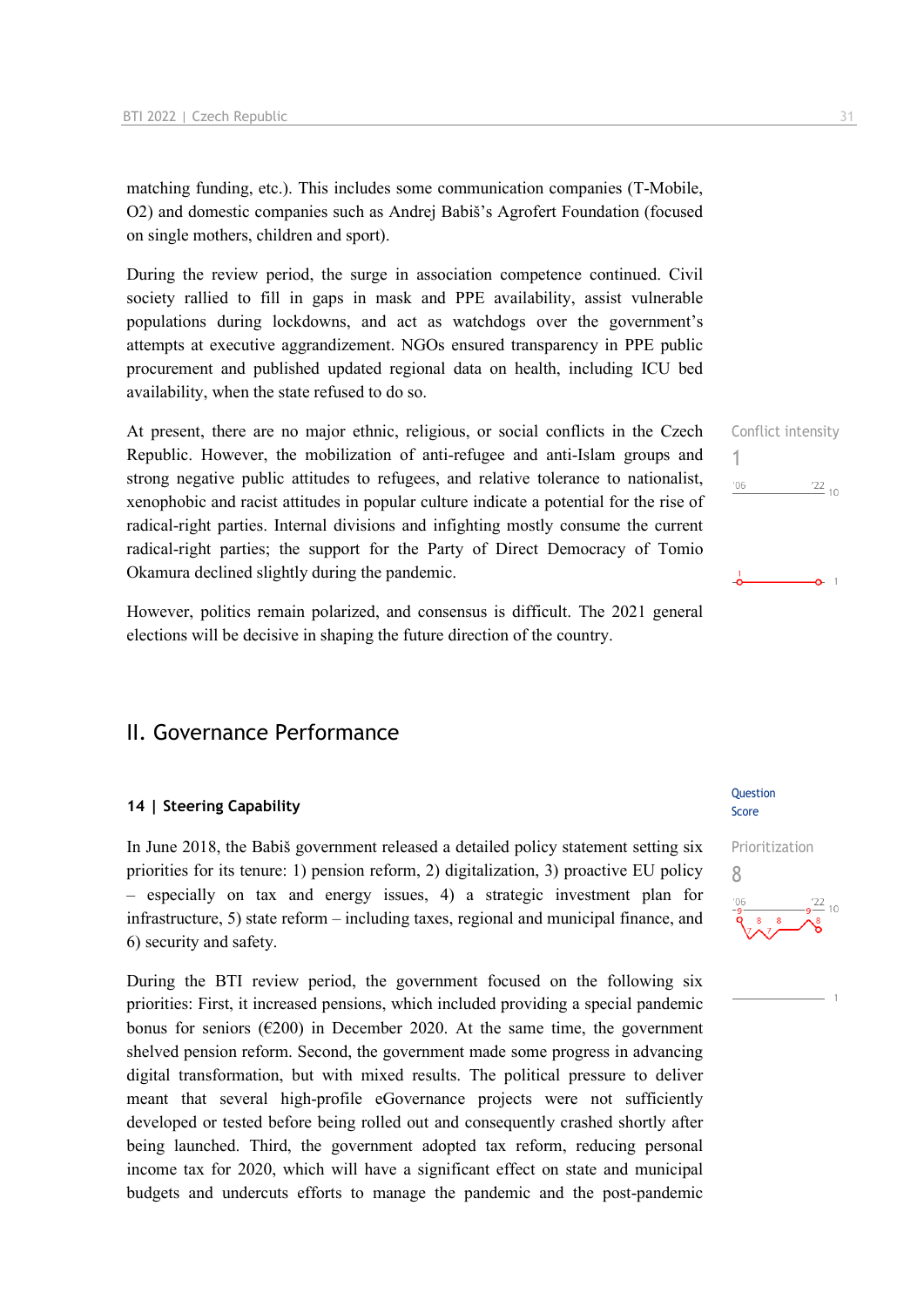matching funding, etc.). This includes some communication companies (T-Mobile, O2) and domestic companies such as Andrej Babiš's Agrofert Foundation (focused on single mothers, children and sport).

During the review period, the surge in association competence continued. Civil society rallied to fill in gaps in mask and PPE availability, assist vulnerable populations during lockdowns, and act as watchdogs over the government's attempts at executive aggrandizement. NGOs ensured transparency in PPE public procurement and published updated regional data on health, including ICU bed availability, when the state refused to do so.

At present, there are no major ethnic, religious, or social conflicts in the Czech Republic. However, the mobilization of anti-refugee and anti-Islam groups and strong negative public attitudes to refugees, and relative tolerance to nationalist, xenophobic and racist attitudes in popular culture indicate a potential for the rise of radical-right parties. Internal divisions and infighting mostly consume the current radical-right parties; the support for the Party of Direct Democracy of Tomio Okamura declined slightly during the pandemic.

However, politics remain polarized, and consensus is difficult. The 2021 general elections will be decisive in shaping the future direction of the country.

# II. Governance Performance

#### **14 | Steering Capability**

In June 2018, the Babiš government released a detailed policy statement setting six priorities for its tenure: 1) pension reform, 2) digitalization, 3) proactive EU policy – especially on tax and energy issues, 4) a strategic investment plan for infrastructure, 5) state reform – including taxes, regional and municipal finance, and 6) security and safety.

During the BTI review period, the government focused on the following six priorities: First, it increased pensions, which included providing a special pandemic bonus for seniors ( $\epsilon$ 200) in December 2020. At the same time, the government shelved pension reform. Second, the government made some progress in advancing digital transformation, but with mixed results. The political pressure to deliver meant that several high-profile eGovernance projects were not sufficiently developed or tested before being rolled out and consequently crashed shortly after being launched. Third, the government adopted tax reform, reducing personal income tax for 2020, which will have a significant effect on state and municipal budgets and undercuts efforts to manage the pandemic and the post-pandemic

#### **Ouestion** Score



Conflict intensity

 $\frac{22}{10}$ 

 $\sim$  1

1

 $^{\prime}06$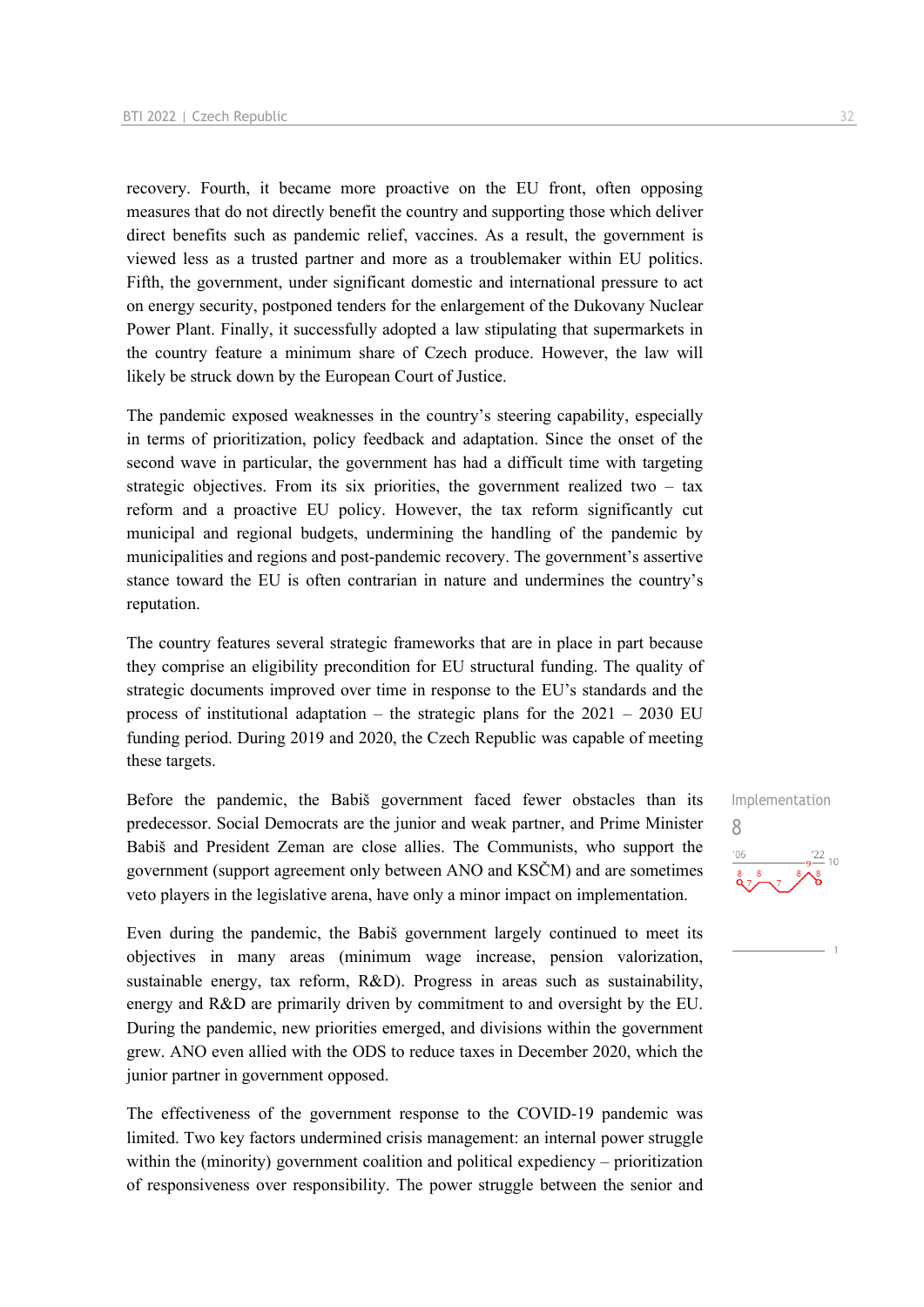recovery. Fourth, it became more proactive on the EU front, often opposing measures that do not directly benefit the country and supporting those which deliver direct benefits such as pandemic relief, vaccines. As a result, the government is viewed less as a trusted partner and more as a troublemaker within EU politics. Fifth, the government, under significant domestic and international pressure to act on energy security, postponed tenders for the enlargement of the Dukovany Nuclear Power Plant. Finally, it successfully adopted a law stipulating that supermarkets in the country feature a minimum share of Czech produce. However, the law will likely be struck down by the European Court of Justice.

The pandemic exposed weaknesses in the country's steering capability, especially in terms of prioritization, policy feedback and adaptation. Since the onset of the second wave in particular, the government has had a difficult time with targeting strategic objectives. From its six priorities, the government realized two – tax reform and a proactive EU policy. However, the tax reform significantly cut municipal and regional budgets, undermining the handling of the pandemic by municipalities and regions and post-pandemic recovery. The government's assertive stance toward the EU is often contrarian in nature and undermines the country's reputation.

The country features several strategic frameworks that are in place in part because they comprise an eligibility precondition for EU structural funding. The quality of strategic documents improved over time in response to the EU's standards and the process of institutional adaptation – the strategic plans for the  $2021 - 2030$  EU funding period. During 2019 and 2020, the Czech Republic was capable of meeting these targets.

Before the pandemic, the Babiš government faced fewer obstacles than its predecessor. Social Democrats are the junior and weak partner, and Prime Minister Babiš and President Zeman are close allies. The Communists, who support the government (support agreement only between ANO and KSČM) and are sometimes veto players in the legislative arena, have only a minor impact on implementation.

Even during the pandemic, the Babiš government largely continued to meet its objectives in many areas (minimum wage increase, pension valorization, sustainable energy, tax reform, R&D). Progress in areas such as sustainability, energy and R&D are primarily driven by commitment to and oversight by the EU. During the pandemic, new priorities emerged, and divisions within the government grew. ANO even allied with the ODS to reduce taxes in December 2020, which the junior partner in government opposed.

The effectiveness of the government response to the COVID-19 pandemic was limited. Two key factors undermined crisis management: an internal power struggle within the (minority) government coalition and political expediency – prioritization of responsiveness over responsibility. The power struggle between the senior and Implementation 8 $10$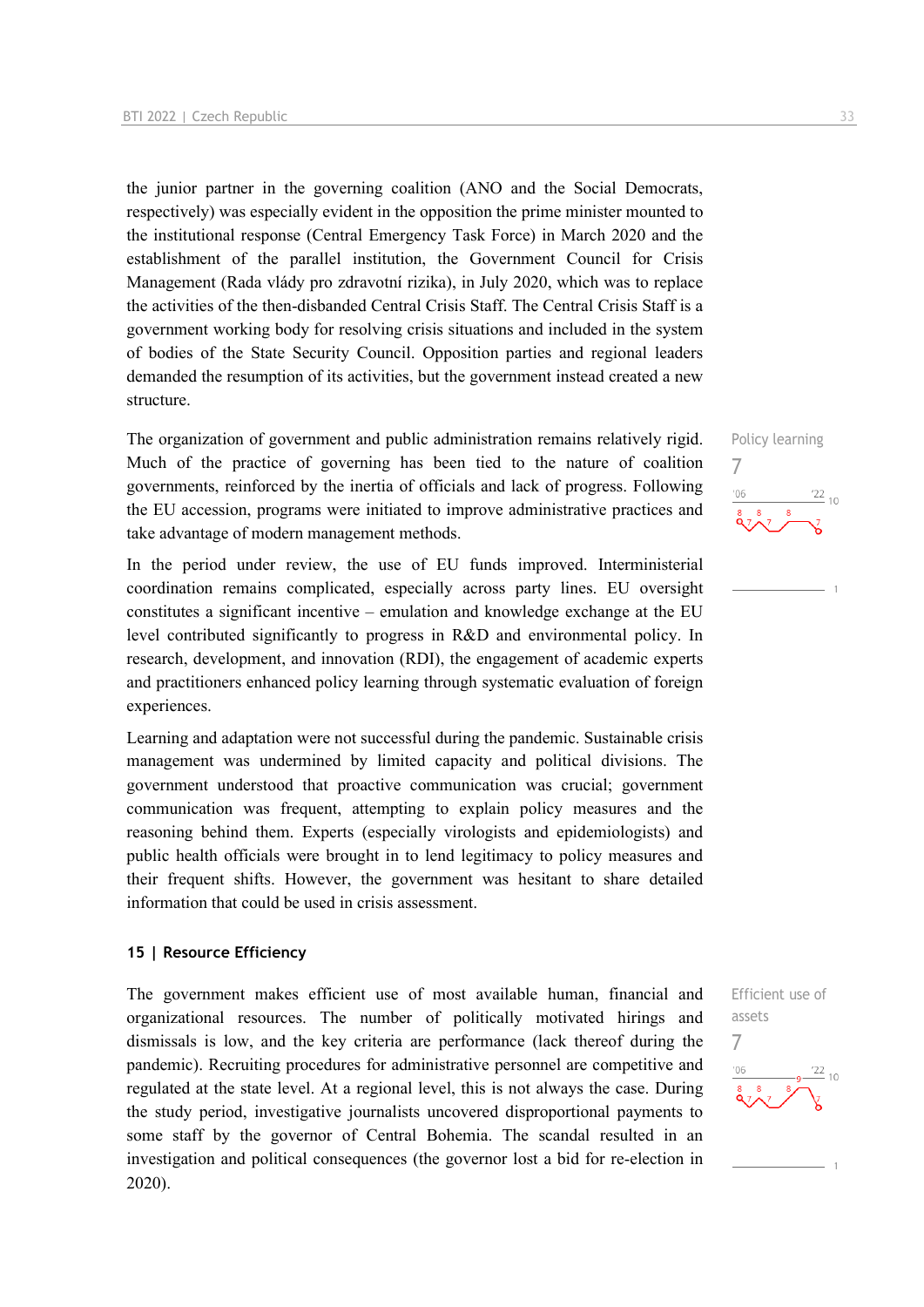the junior partner in the governing coalition (ANO and the Social Democrats, respectively) was especially evident in the opposition the prime minister mounted to the institutional response (Central Emergency Task Force) in March 2020 and the establishment of the parallel institution, the Government Council for Crisis Management (Rada vlády pro zdravotní rizika), in July 2020, which was to replace the activities of the then-disbanded Central Crisis Staff. The Central Crisis Staff is a government working body for resolving crisis situations and included in the system of bodies of the State Security Council. Opposition parties and regional leaders demanded the resumption of its activities, but the government instead created a new structure.

The organization of government and public administration remains relatively rigid. Much of the practice of governing has been tied to the nature of coalition governments, reinforced by the inertia of officials and lack of progress. Following the EU accession, programs were initiated to improve administrative practices and take advantage of modern management methods.

In the period under review, the use of EU funds improved. Interministerial coordination remains complicated, especially across party lines. EU oversight constitutes a significant incentive – emulation and knowledge exchange at the EU level contributed significantly to progress in R&D and environmental policy. In research, development, and innovation (RDI), the engagement of academic experts and practitioners enhanced policy learning through systematic evaluation of foreign experiences.

Learning and adaptation were not successful during the pandemic. Sustainable crisis management was undermined by limited capacity and political divisions. The government understood that proactive communication was crucial; government communication was frequent, attempting to explain policy measures and the reasoning behind them. Experts (especially virologists and epidemiologists) and public health officials were brought in to lend legitimacy to policy measures and their frequent shifts. However, the government was hesitant to share detailed information that could be used in crisis assessment.

#### **15 | Resource Efficiency**

The government makes efficient use of most available human, financial and organizational resources. The number of politically motivated hirings and dismissals is low, and the key criteria are performance (lack thereof during the pandemic). Recruiting procedures for administrative personnel are competitive and regulated at the state level. At a regional level, this is not always the case. During the study period, investigative journalists uncovered disproportional payments to some staff by the governor of Central Bohemia. The scandal resulted in an investigation and political consequences (the governor lost a bid for re-election in 2020).

Policy learning 7  $\frac{22}{10}$ 

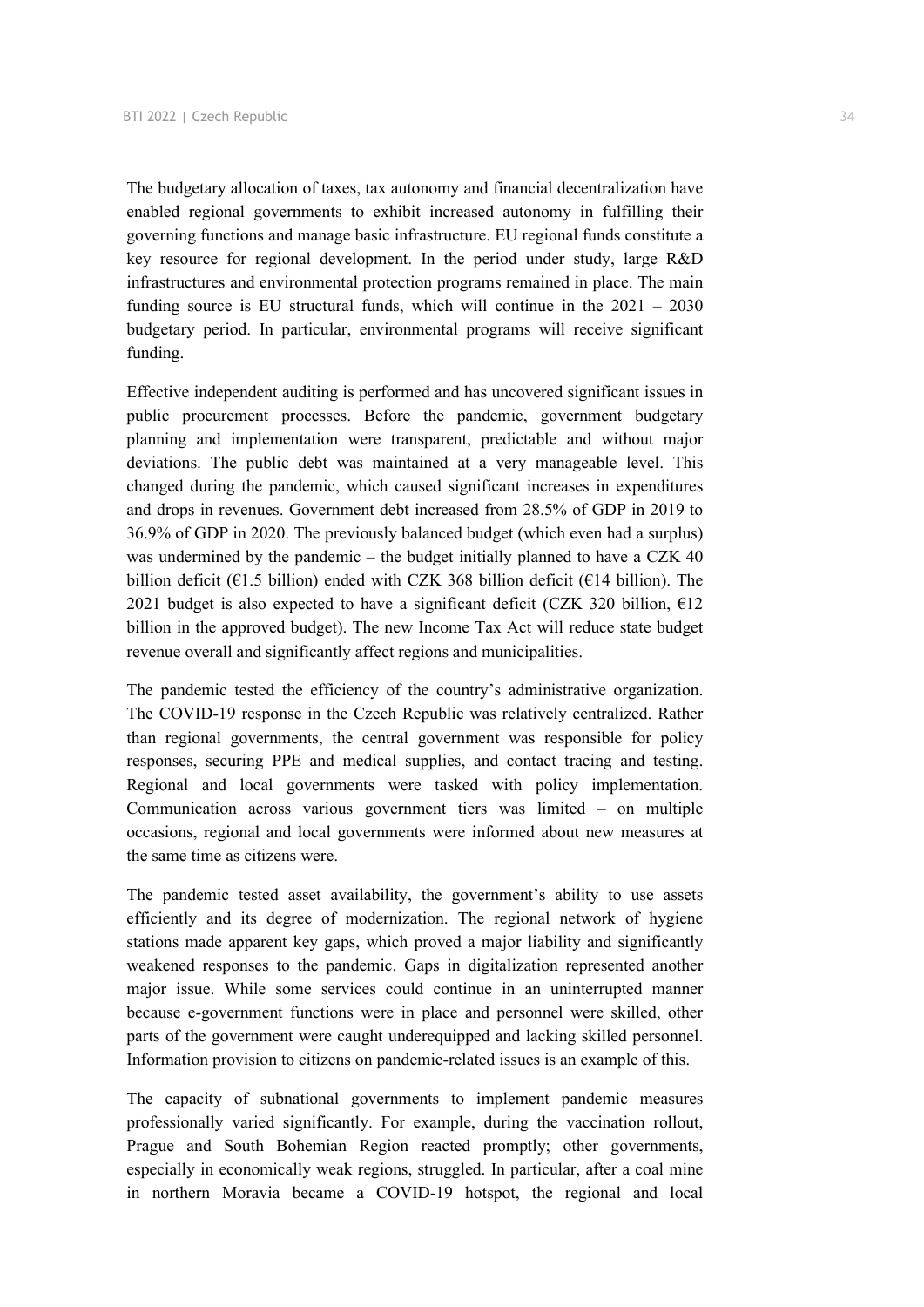The budgetary allocation of taxes, tax autonomy and financial decentralization have enabled regional governments to exhibit increased autonomy in fulfilling their governing functions and manage basic infrastructure. EU regional funds constitute a key resource for regional development. In the period under study, large R&D infrastructures and environmental protection programs remained in place. The main funding source is EU structural funds, which will continue in the 2021 – 2030 budgetary period. In particular, environmental programs will receive significant funding.

Effective independent auditing is performed and has uncovered significant issues in public procurement processes. Before the pandemic, government budgetary planning and implementation were transparent, predictable and without major deviations. The public debt was maintained at a very manageable level. This changed during the pandemic, which caused significant increases in expenditures and drops in revenues. Government debt increased from 28.5% of GDP in 2019 to 36.9% of GDP in 2020. The previously balanced budget (which even had a surplus) was undermined by the pandemic – the budget initially planned to have a CZK 40 billion deficit ( $\epsilon$ 1.5 billion) ended with CZK 368 billion deficit ( $\epsilon$ 14 billion). The 2021 budget is also expected to have a significant deficit (CZK 320 billion,  $E12$ billion in the approved budget). The new Income Tax Act will reduce state budget revenue overall and significantly affect regions and municipalities.

The pandemic tested the efficiency of the country's administrative organization. The COVID-19 response in the Czech Republic was relatively centralized. Rather than regional governments, the central government was responsible for policy responses, securing PPE and medical supplies, and contact tracing and testing. Regional and local governments were tasked with policy implementation. Communication across various government tiers was limited – on multiple occasions, regional and local governments were informed about new measures at the same time as citizens were.

The pandemic tested asset availability, the government's ability to use assets efficiently and its degree of modernization. The regional network of hygiene stations made apparent key gaps, which proved a major liability and significantly weakened responses to the pandemic. Gaps in digitalization represented another major issue. While some services could continue in an uninterrupted manner because e-government functions were in place and personnel were skilled, other parts of the government were caught underequipped and lacking skilled personnel. Information provision to citizens on pandemic-related issues is an example of this.

The capacity of subnational governments to implement pandemic measures professionally varied significantly. For example, during the vaccination rollout, Prague and South Bohemian Region reacted promptly; other governments, especially in economically weak regions, struggled. In particular, after a coal mine in northern Moravia became a COVID-19 hotspot, the regional and local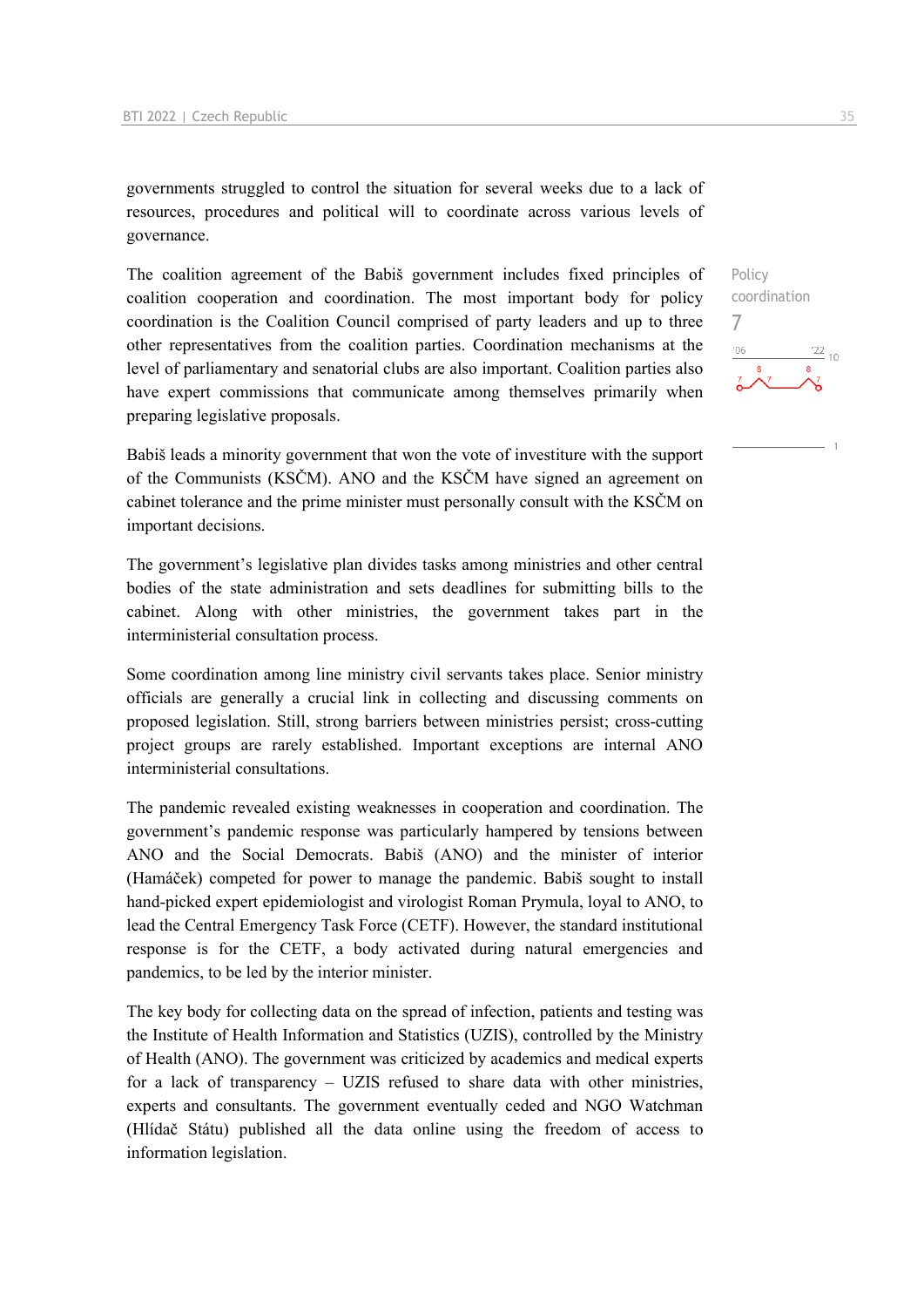governments struggled to control the situation for several weeks due to a lack of resources, procedures and political will to coordinate across various levels of governance.

The coalition agreement of the Babiš government includes fixed principles of coalition cooperation and coordination. The most important body for policy coordination is the Coalition Council comprised of party leaders and up to three other representatives from the coalition parties. Coordination mechanisms at the level of parliamentary and senatorial clubs are also important. Coalition parties also have expert commissions that communicate among themselves primarily when preparing legislative proposals.

Babiš leads a minority government that won the vote of investiture with the support of the Communists (KSČM). ANO and the KSČM have signed an agreement on cabinet tolerance and the prime minister must personally consult with the KSČM on important decisions.

The government's legislative plan divides tasks among ministries and other central bodies of the state administration and sets deadlines for submitting bills to the cabinet. Along with other ministries, the government takes part in the interministerial consultation process.

Some coordination among line ministry civil servants takes place. Senior ministry officials are generally a crucial link in collecting and discussing comments on proposed legislation. Still, strong barriers between ministries persist; cross-cutting project groups are rarely established. Important exceptions are internal ANO interministerial consultations.

The pandemic revealed existing weaknesses in cooperation and coordination. The government's pandemic response was particularly hampered by tensions between ANO and the Social Democrats. Babiš (ANO) and the minister of interior (Hamáček) competed for power to manage the pandemic. Babiš sought to install hand-picked expert epidemiologist and virologist Roman Prymula, loyal to ANO, to lead the Central Emergency Task Force (CETF). However, the standard institutional response is for the CETF, a body activated during natural emergencies and pandemics, to be led by the interior minister.

The key body for collecting data on the spread of infection, patients and testing was the Institute of Health Information and Statistics (UZIS), controlled by the Ministry of Health (ANO). The government was criticized by academics and medical experts for a lack of transparency – UZIS refused to share data with other ministries, experts and consultants. The government eventually ceded and NGO Watchman (Hlídač Státu) published all the data online using the freedom of access to information legislation.

Policy coordination 7 $\frac{22}{10}$  $106$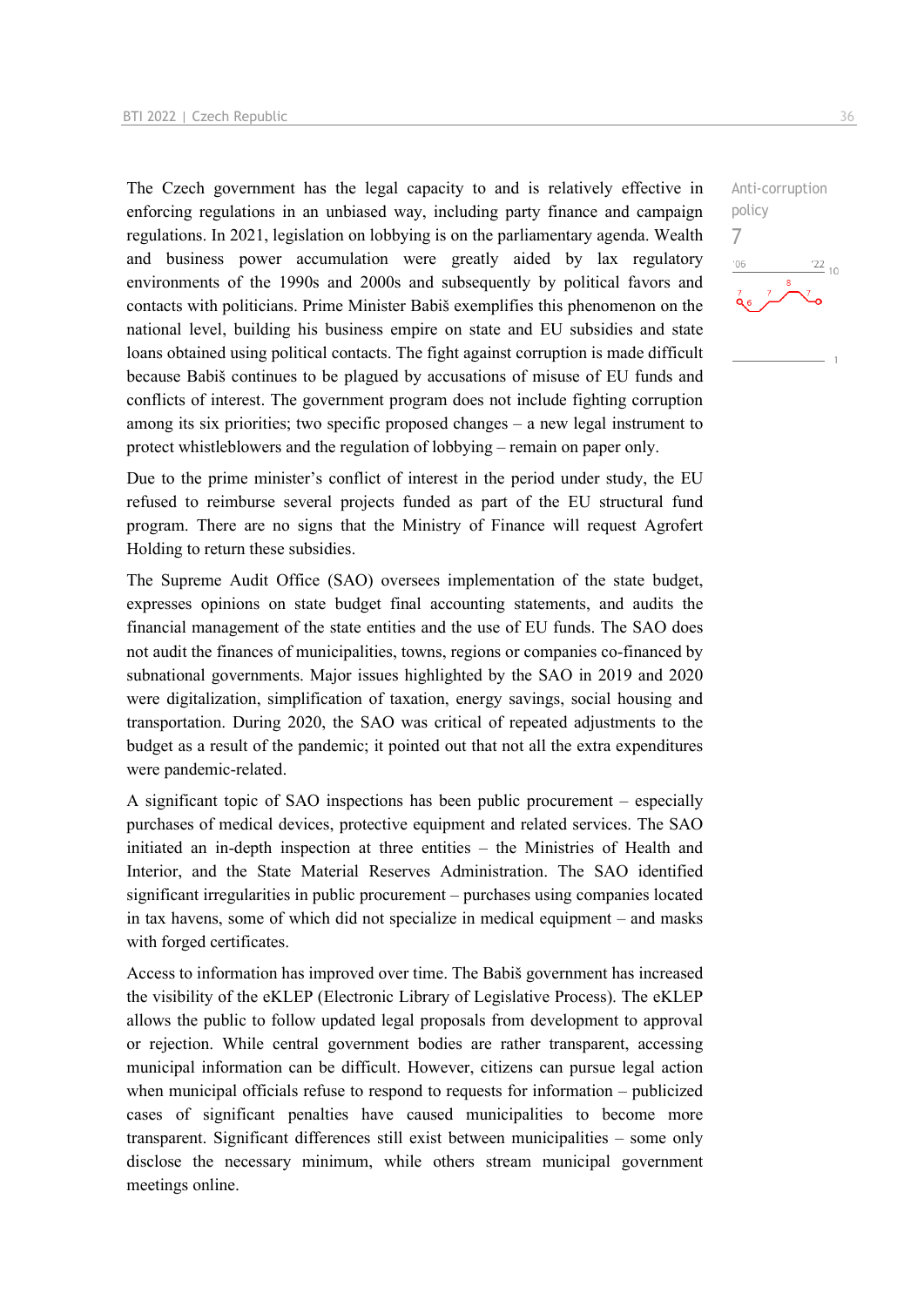The Czech government has the legal capacity to and is relatively effective in enforcing regulations in an unbiased way, including party finance and campaign regulations. In 2021, legislation on lobbying is on the parliamentary agenda. Wealth and business power accumulation were greatly aided by lax regulatory environments of the 1990s and 2000s and subsequently by political favors and contacts with politicians. Prime Minister Babiš exemplifies this phenomenon on the national level, building his business empire on state and EU subsidies and state loans obtained using political contacts. The fight against corruption is made difficult because Babiš continues to be plagued by accusations of misuse of EU funds and conflicts of interest. The government program does not include fighting corruption among its six priorities; two specific proposed changes – a new legal instrument to protect whistleblowers and the regulation of lobbying – remain on paper only.

Due to the prime minister's conflict of interest in the period under study, the EU refused to reimburse several projects funded as part of the EU structural fund program. There are no signs that the Ministry of Finance will request Agrofert Holding to return these subsidies.

The Supreme Audit Office (SAO) oversees implementation of the state budget, expresses opinions on state budget final accounting statements, and audits the financial management of the state entities and the use of EU funds. The SAO does not audit the finances of municipalities, towns, regions or companies co-financed by subnational governments. Major issues highlighted by the SAO in 2019 and 2020 were digitalization, simplification of taxation, energy savings, social housing and transportation. During 2020, the SAO was critical of repeated adjustments to the budget as a result of the pandemic; it pointed out that not all the extra expenditures were pandemic-related.

A significant topic of SAO inspections has been public procurement – especially purchases of medical devices, protective equipment and related services. The SAO initiated an in-depth inspection at three entities – the Ministries of Health and Interior, and the State Material Reserves Administration. The SAO identified significant irregularities in public procurement – purchases using companies located in tax havens, some of which did not specialize in medical equipment – and masks with forged certificates.

Access to information has improved over time. The Babiš government has increased the visibility of the eKLEP (Electronic Library of Legislative Process). The eKLEP allows the public to follow updated legal proposals from development to approval or rejection. While central government bodies are rather transparent, accessing municipal information can be difficult. However, citizens can pursue legal action when municipal officials refuse to respond to requests for information – publicized cases of significant penalties have caused municipalities to become more transparent. Significant differences still exist between municipalities – some only disclose the necessary minimum, while others stream municipal government meetings online.

 $\frac{22}{10}$ 

Anti-corruption

policy 7 $-06$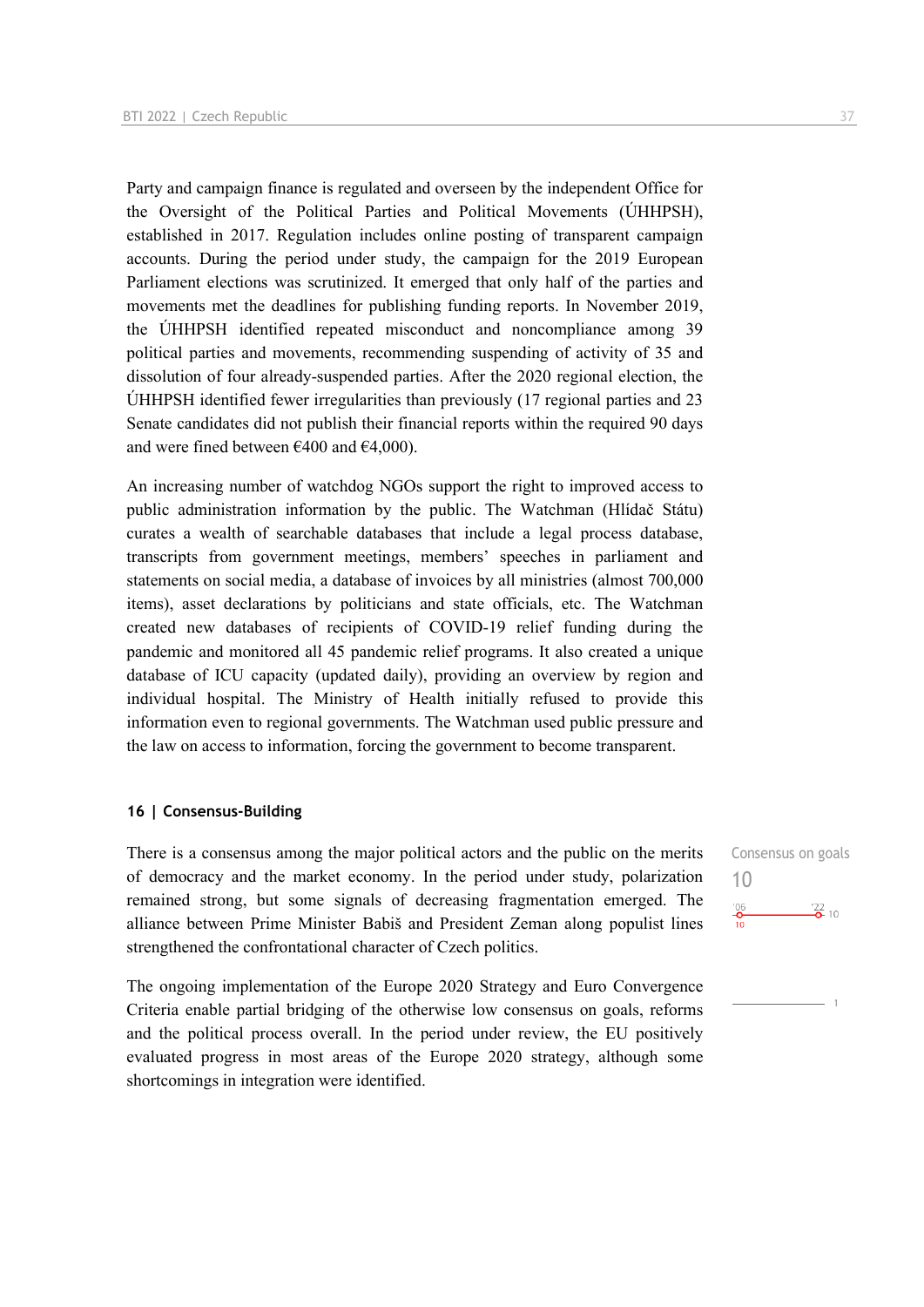Party and campaign finance is regulated and overseen by the independent Office for the Oversight of the Political Parties and Political Movements (ÚHHPSH), established in 2017. Regulation includes online posting of transparent campaign accounts. During the period under study, the campaign for the 2019 European Parliament elections was scrutinized. It emerged that only half of the parties and movements met the deadlines for publishing funding reports. In November 2019, the ÚHHPSH identified repeated misconduct and noncompliance among 39 political parties and movements, recommending suspending of activity of 35 and dissolution of four already-suspended parties. After the 2020 regional election, the ÚHHPSH identified fewer irregularities than previously (17 regional parties and 23 Senate candidates did not publish their financial reports within the required 90 days and were fined between  $\text{\textsterling}400$  and  $\text{\textsterling}4,000$ ).

An increasing number of watchdog NGOs support the right to improved access to public administration information by the public. The Watchman (Hlídač Státu) curates a wealth of searchable databases that include a legal process database, transcripts from government meetings, members' speeches in parliament and statements on social media, a database of invoices by all ministries (almost 700,000 items), asset declarations by politicians and state officials, etc. The Watchman created new databases of recipients of COVID-19 relief funding during the pandemic and monitored all 45 pandemic relief programs. It also created a unique database of ICU capacity (updated daily), providing an overview by region and individual hospital. The Ministry of Health initially refused to provide this information even to regional governments. The Watchman used public pressure and the law on access to information, forcing the government to become transparent.

#### **16 | Consensus-Building**

There is a consensus among the major political actors and the public on the merits of democracy and the market economy. In the period under study, polarization remained strong, but some signals of decreasing fragmentation emerged. The alliance between Prime Minister Babiš and President Zeman along populist lines strengthened the confrontational character of Czech politics.

The ongoing implementation of the Europe 2020 Strategy and Euro Convergence Criteria enable partial bridging of the otherwise low consensus on goals, reforms and the political process overall. In the period under review, the EU positively evaluated progress in most areas of the Europe 2020 strategy, although some shortcomings in integration were identified.

Consensus on goals 10 $^{106}_{-0}$  $\frac{22}{2}$  10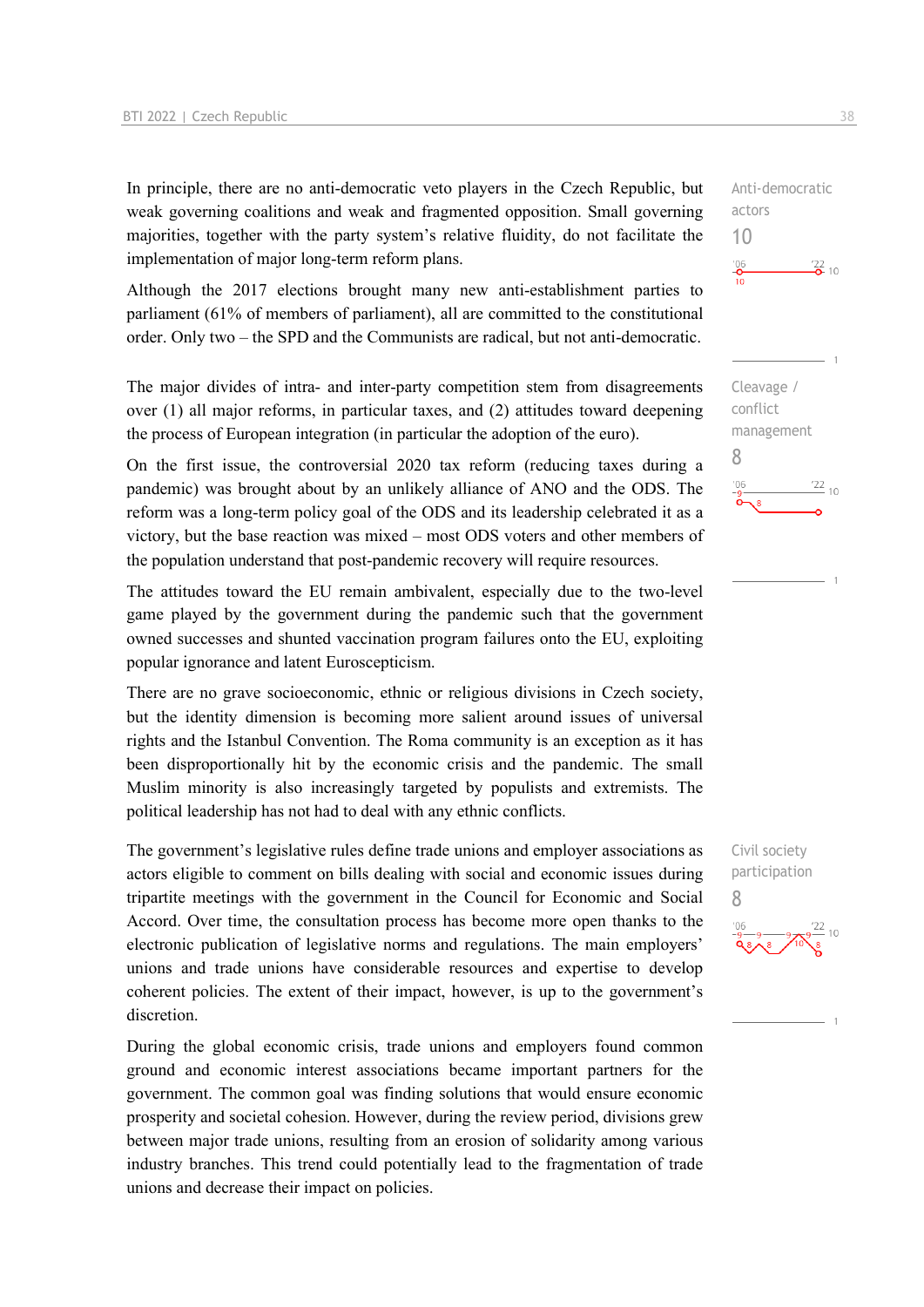In principle, there are no anti-democratic veto players in the Czech Republic, but weak governing coalitions and weak and fragmented opposition. Small governing majorities, together with the party system's relative fluidity, do not facilitate the implementation of major long-term reform plans.

Although the 2017 elections brought many new anti-establishment parties to parliament (61% of members of parliament), all are committed to the constitutional order. Only two – the SPD and the Communists are radical, but not anti-democratic.

The major divides of intra- and inter-party competition stem from disagreements over (1) all major reforms, in particular taxes, and (2) attitudes toward deepening the process of European integration (in particular the adoption of the euro).

On the first issue, the controversial 2020 tax reform (reducing taxes during a pandemic) was brought about by an unlikely alliance of ANO and the ODS. The reform was a long-term policy goal of the ODS and its leadership celebrated it as a victory, but the base reaction was mixed – most ODS voters and other members of the population understand that post-pandemic recovery will require resources.

The attitudes toward the EU remain ambivalent, especially due to the two-level game played by the government during the pandemic such that the government owned successes and shunted vaccination program failures onto the EU, exploiting popular ignorance and latent Euroscepticism.

There are no grave socioeconomic, ethnic or religious divisions in Czech society, but the identity dimension is becoming more salient around issues of universal rights and the Istanbul Convention. The Roma community is an exception as it has been disproportionally hit by the economic crisis and the pandemic. The small Muslim minority is also increasingly targeted by populists and extremists. The political leadership has not had to deal with any ethnic conflicts.

The government's legislative rules define trade unions and employer associations as actors eligible to comment on bills dealing with social and economic issues during tripartite meetings with the government in the Council for Economic and Social Accord. Over time, the consultation process has become more open thanks to the electronic publication of legislative norms and regulations. The main employers' unions and trade unions have considerable resources and expertise to develop coherent policies. The extent of their impact, however, is up to the government's discretion.

During the global economic crisis, trade unions and employers found common ground and economic interest associations became important partners for the government. The common goal was finding solutions that would ensure economic prosperity and societal cohesion. However, during the review period, divisions grew between major trade unions, resulting from an erosion of solidarity among various industry branches. This trend could potentially lead to the fragmentation of trade unions and decrease their impact on policies.



Anti-democratic

actors 10

Civil society participation 8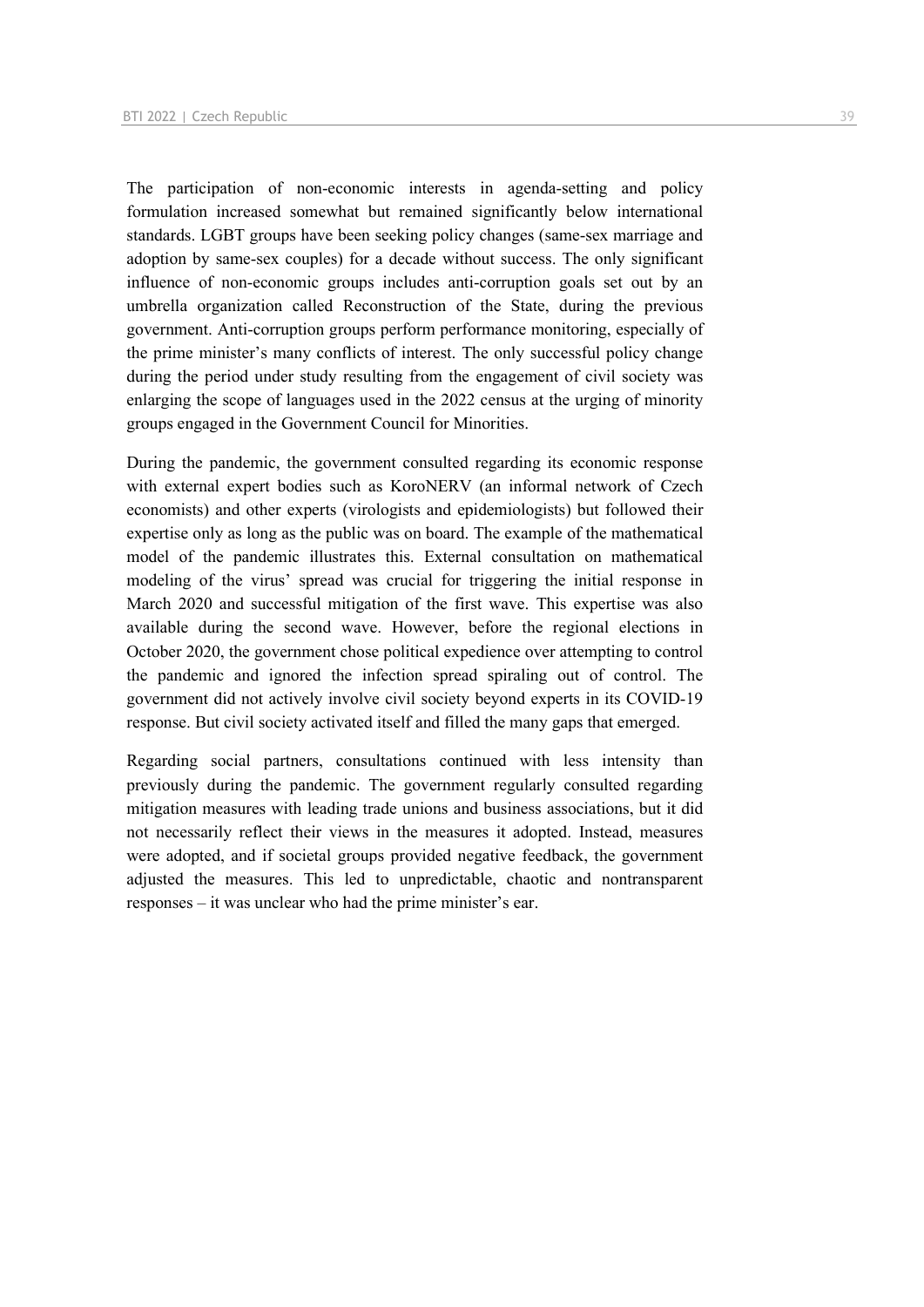The participation of non-economic interests in agenda-setting and policy formulation increased somewhat but remained significantly below international standards. LGBT groups have been seeking policy changes (same-sex marriage and adoption by same-sex couples) for a decade without success. The only significant influence of non-economic groups includes anti-corruption goals set out by an umbrella organization called Reconstruction of the State, during the previous government. Anti-corruption groups perform performance monitoring, especially of the prime minister's many conflicts of interest. The only successful policy change during the period under study resulting from the engagement of civil society was enlarging the scope of languages used in the 2022 census at the urging of minority groups engaged in the Government Council for Minorities.

During the pandemic, the government consulted regarding its economic response with external expert bodies such as KoroNERV (an informal network of Czech economists) and other experts (virologists and epidemiologists) but followed their expertise only as long as the public was on board. The example of the mathematical model of the pandemic illustrates this. External consultation on mathematical modeling of the virus' spread was crucial for triggering the initial response in March 2020 and successful mitigation of the first wave. This expertise was also available during the second wave. However, before the regional elections in October 2020, the government chose political expedience over attempting to control the pandemic and ignored the infection spread spiraling out of control. The government did not actively involve civil society beyond experts in its COVID-19 response. But civil society activated itself and filled the many gaps that emerged.

Regarding social partners, consultations continued with less intensity than previously during the pandemic. The government regularly consulted regarding mitigation measures with leading trade unions and business associations, but it did not necessarily reflect their views in the measures it adopted. Instead, measures were adopted, and if societal groups provided negative feedback, the government adjusted the measures. This led to unpredictable, chaotic and nontransparent responses – it was unclear who had the prime minister's ear.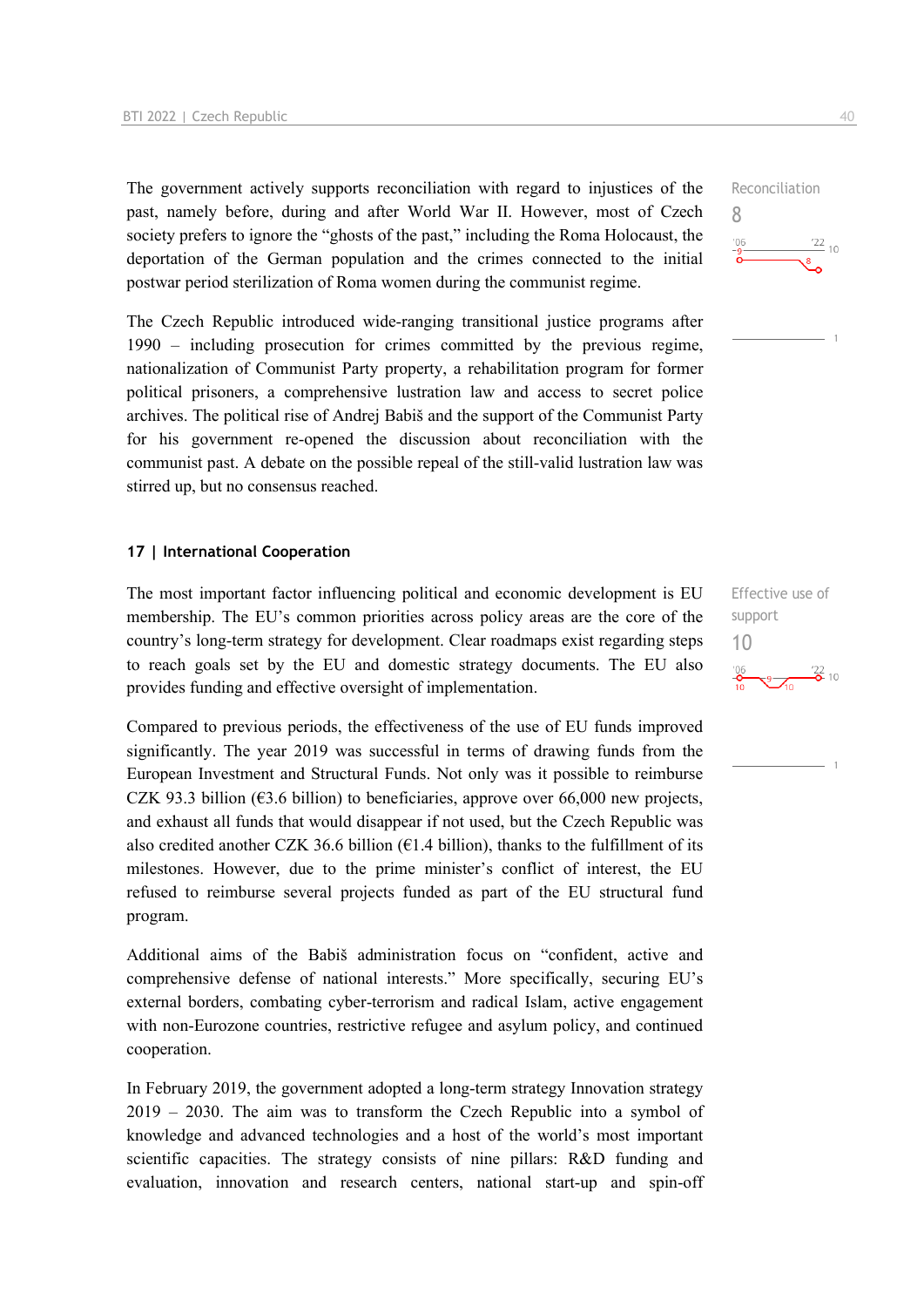The government actively supports reconciliation with regard to injustices of the past, namely before, during and after World War II. However, most of Czech society prefers to ignore the "ghosts of the past," including the Roma Holocaust, the deportation of the German population and the crimes connected to the initial postwar period sterilization of Roma women during the communist regime.

The Czech Republic introduced wide-ranging transitional justice programs after 1990 – including prosecution for crimes committed by the previous regime, nationalization of Communist Party property, a rehabilitation program for former political prisoners, a comprehensive lustration law and access to secret police archives. The political rise of Andrej Babiš and the support of the Communist Party for his government re-opened the discussion about reconciliation with the communist past. A debate on the possible repeal of the still-valid lustration law was stirred up, but no consensus reached.

#### **17 | International Cooperation**

The most important factor influencing political and economic development is EU membership. The EU's common priorities across policy areas are the core of the country's long-term strategy for development. Clear roadmaps exist regarding steps to reach goals set by the EU and domestic strategy documents. The EU also provides funding and effective oversight of implementation.

Compared to previous periods, the effectiveness of the use of EU funds improved significantly. The year 2019 was successful in terms of drawing funds from the European Investment and Structural Funds. Not only was it possible to reimburse CZK 93.3 billion ( $63.6$  billion) to beneficiaries, approve over 66,000 new projects, and exhaust all funds that would disappear if not used, but the Czech Republic was also credited another CZK 36.6 billion ( $61.4$  billion), thanks to the fulfillment of its milestones. However, due to the prime minister's conflict of interest, the EU refused to reimburse several projects funded as part of the EU structural fund program.

Additional aims of the Babiš administration focus on "confident, active and comprehensive defense of national interests." More specifically, securing EU's external borders, combating cyber-terrorism and radical Islam, active engagement with non-Eurozone countries, restrictive refugee and asylum policy, and continued cooperation.

In February 2019, the government adopted a long-term strategy Innovation strategy 2019 – 2030. The aim was to transform the Czech Republic into a symbol of knowledge and advanced technologies and a host of the world's most important scientific capacities. The strategy consists of nine pillars: R&D funding and evaluation, innovation and research centers, national start-up and spin-off

Effective use of support 10 $\frac{9}{10}$   $\frac{722}{0}$  10



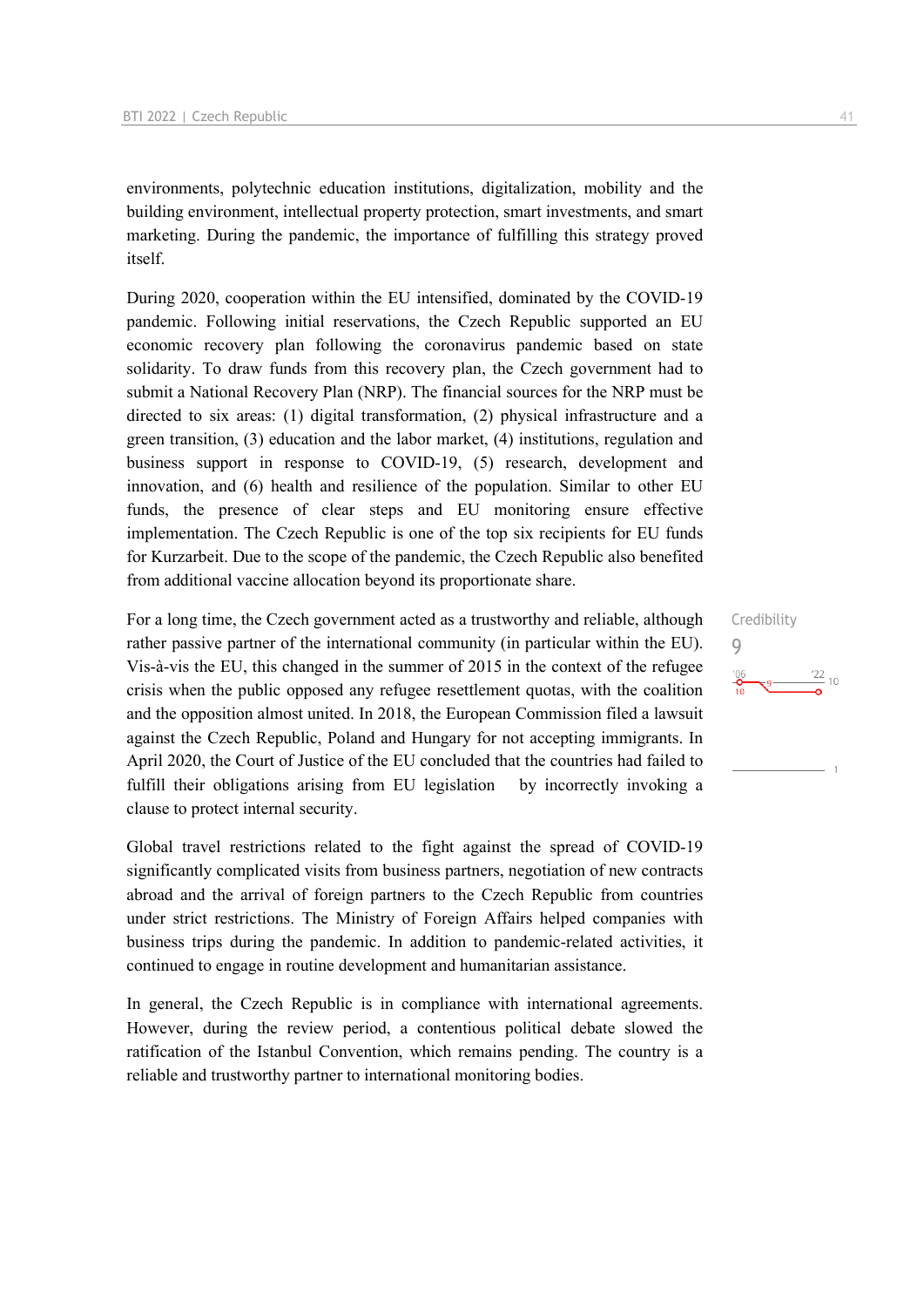environments, polytechnic education institutions, digitalization, mobility and the building environment, intellectual property protection, smart investments, and smart marketing. During the pandemic, the importance of fulfilling this strategy proved itself.

During 2020, cooperation within the EU intensified, dominated by the COVID-19 pandemic. Following initial reservations, the Czech Republic supported an EU economic recovery plan following the coronavirus pandemic based on state solidarity. To draw funds from this recovery plan, the Czech government had to submit a National Recovery Plan (NRP). The financial sources for the NRP must be directed to six areas: (1) digital transformation, (2) physical infrastructure and a green transition, (3) education and the labor market, (4) institutions, regulation and business support in response to COVID-19, (5) research, development and innovation, and (6) health and resilience of the population. Similar to other EU funds, the presence of clear steps and EU monitoring ensure effective implementation. The Czech Republic is one of the top six recipients for EU funds for Kurzarbeit. Due to the scope of the pandemic, the Czech Republic also benefited from additional vaccine allocation beyond its proportionate share.

For a long time, the Czech government acted as a trustworthy and reliable, although rather passive partner of the international community (in particular within the EU). Vis-à-vis the EU, this changed in the summer of 2015 in the context of the refugee crisis when the public opposed any refugee resettlement quotas, with the coalition and the opposition almost united. In 2018, the European Commission filed a lawsuit against the Czech Republic, Poland and Hungary for not accepting immigrants. In April 2020, the Court of Justice of the EU concluded that the countries had failed to fulfill their obligations arising from EU legislation by incorrectly invoking a clause to protect internal security.

Global travel restrictions related to the fight against the spread of COVID-19 significantly complicated visits from business partners, negotiation of new contracts abroad and the arrival of foreign partners to the Czech Republic from countries under strict restrictions. The Ministry of Foreign Affairs helped companies with business trips during the pandemic. In addition to pandemic-related activities, it continued to engage in routine development and humanitarian assistance.

In general, the Czech Republic is in compliance with international agreements. However, during the review period, a contentious political debate slowed the ratification of the Istanbul Convention, which remains pending. The country is a reliable and trustworthy partner to international monitoring bodies.

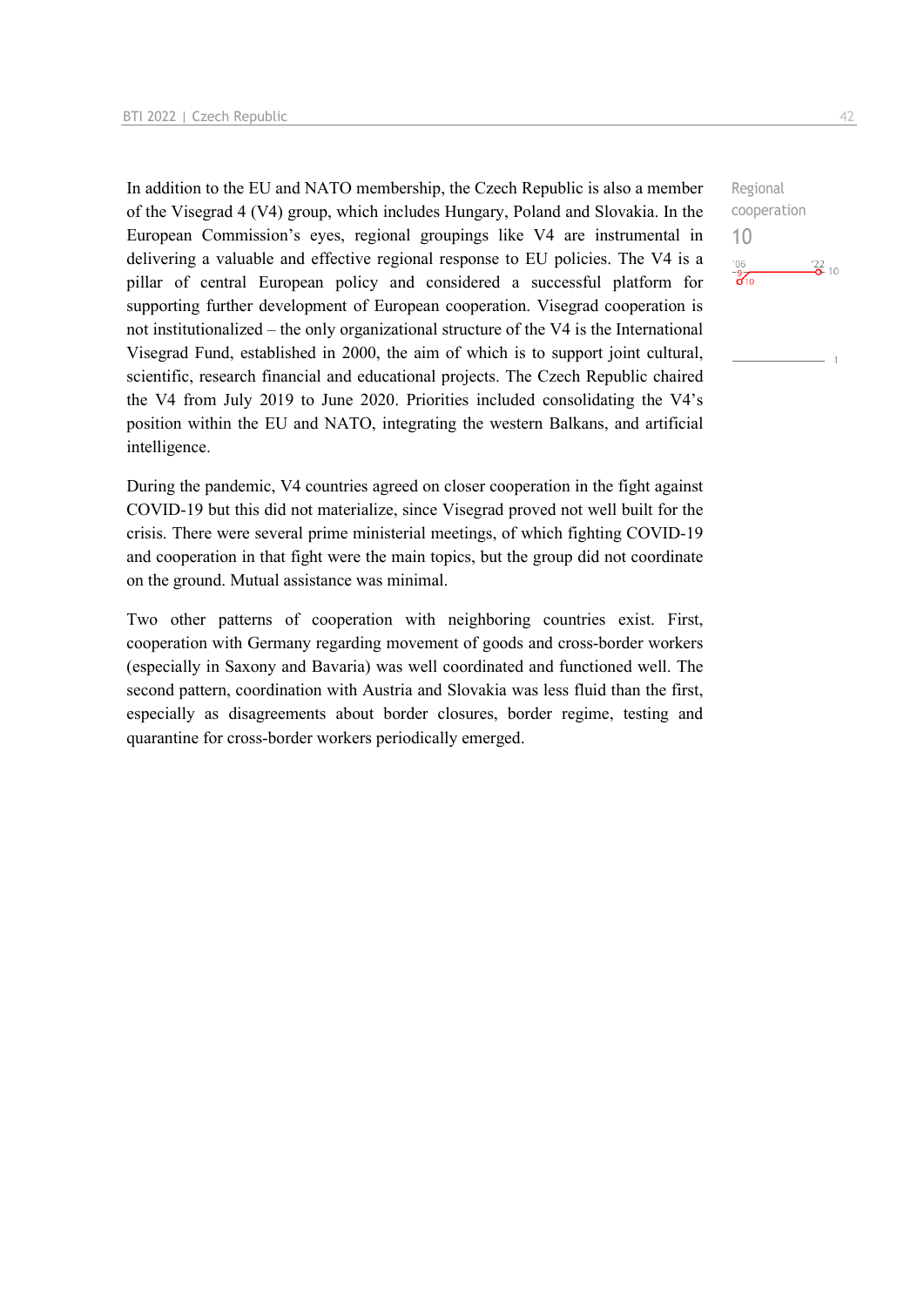In addition to the EU and NATO membership, the Czech Republic is also a member of the Visegrad 4 (V4) group, which includes Hungary, Poland and Slovakia. In the European Commission's eyes, regional groupings like V4 are instrumental in delivering a valuable and effective regional response to EU policies. The V4 is a pillar of central European policy and considered a successful platform for supporting further development of European cooperation. Visegrad cooperation is not institutionalized – the only organizational structure of the V4 is the International Visegrad Fund, established in 2000, the aim of which is to support joint cultural, scientific, research financial and educational projects. The Czech Republic chaired the V4 from July 2019 to June 2020. Priorities included consolidating the V4's position within the EU and NATO, integrating the western Balkans, and artificial intelligence.

During the pandemic, V4 countries agreed on closer cooperation in the fight against COVID-19 but this did not materialize, since Visegrad proved not well built for the crisis. There were several prime ministerial meetings, of which fighting COVID-19 and cooperation in that fight were the main topics, but the group did not coordinate on the ground. Mutual assistance was minimal.

Two other patterns of cooperation with neighboring countries exist. First, cooperation with Germany regarding movement of goods and cross-border workers (especially in Saxony and Bavaria) was well coordinated and functioned well. The second pattern, coordination with Austria and Slovakia was less fluid than the first, especially as disagreements about border closures, border regime, testing and quarantine for cross-border workers periodically emerged.

Regional cooperation 10 $-06$  $\frac{22}{2}$  10  $\frac{9}{6}$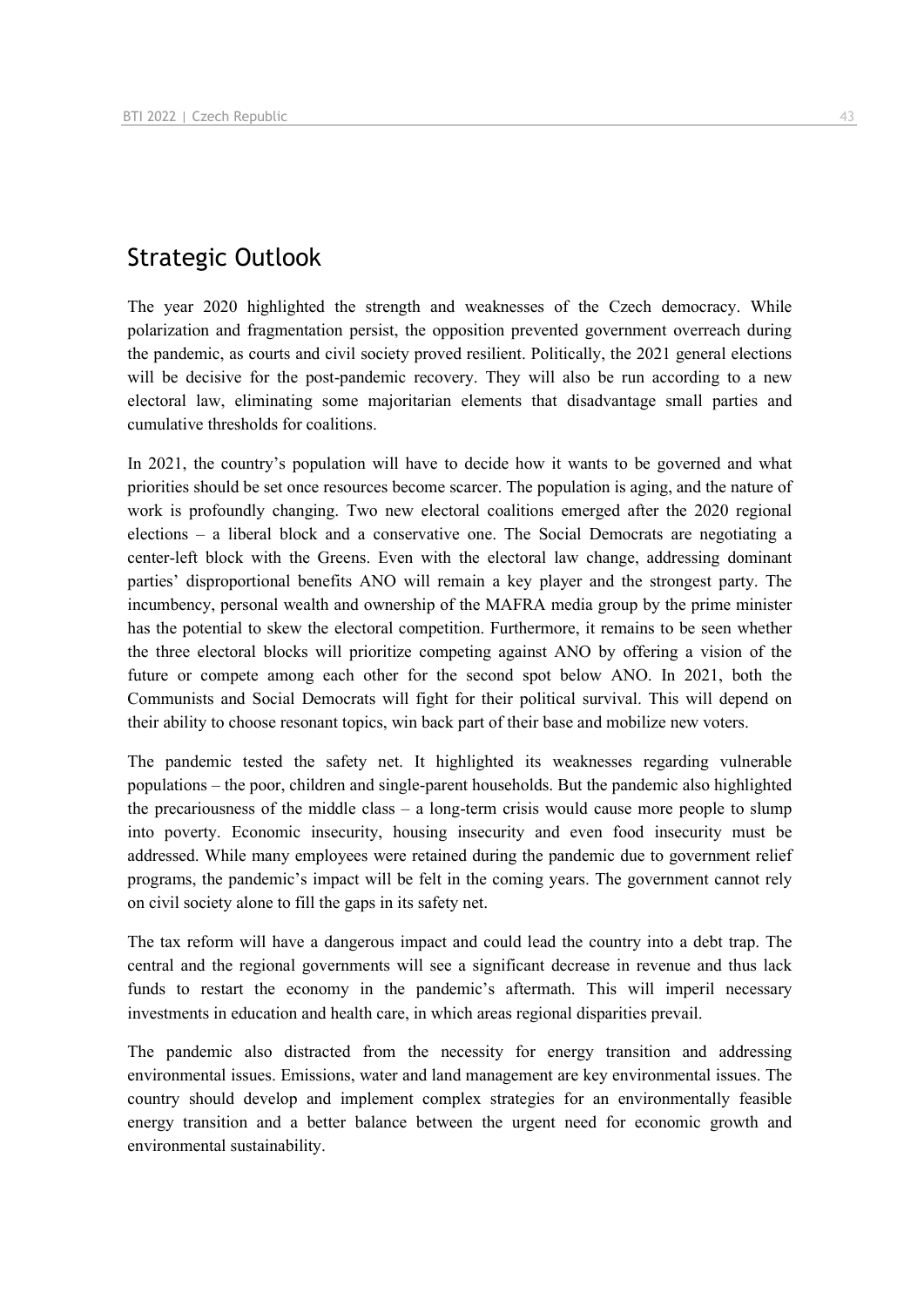# Strategic Outlook

The year 2020 highlighted the strength and weaknesses of the Czech democracy. While polarization and fragmentation persist, the opposition prevented government overreach during the pandemic, as courts and civil society proved resilient. Politically, the 2021 general elections will be decisive for the post-pandemic recovery. They will also be run according to a new electoral law, eliminating some majoritarian elements that disadvantage small parties and cumulative thresholds for coalitions.

In 2021, the country's population will have to decide how it wants to be governed and what priorities should be set once resources become scarcer. The population is aging, and the nature of work is profoundly changing. Two new electoral coalitions emerged after the 2020 regional elections – a liberal block and a conservative one. The Social Democrats are negotiating a center-left block with the Greens. Even with the electoral law change, addressing dominant parties' disproportional benefits ANO will remain a key player and the strongest party. The incumbency, personal wealth and ownership of the MAFRA media group by the prime minister has the potential to skew the electoral competition. Furthermore, it remains to be seen whether the three electoral blocks will prioritize competing against ANO by offering a vision of the future or compete among each other for the second spot below ANO. In 2021, both the Communists and Social Democrats will fight for their political survival. This will depend on their ability to choose resonant topics, win back part of their base and mobilize new voters.

The pandemic tested the safety net. It highlighted its weaknesses regarding vulnerable populations – the poor, children and single-parent households. But the pandemic also highlighted the precariousness of the middle class – a long-term crisis would cause more people to slump into poverty. Economic insecurity, housing insecurity and even food insecurity must be addressed. While many employees were retained during the pandemic due to government relief programs, the pandemic's impact will be felt in the coming years. The government cannot rely on civil society alone to fill the gaps in its safety net.

The tax reform will have a dangerous impact and could lead the country into a debt trap. The central and the regional governments will see a significant decrease in revenue and thus lack funds to restart the economy in the pandemic's aftermath. This will imperil necessary investments in education and health care, in which areas regional disparities prevail.

The pandemic also distracted from the necessity for energy transition and addressing environmental issues. Emissions, water and land management are key environmental issues. The country should develop and implement complex strategies for an environmentally feasible energy transition and a better balance between the urgent need for economic growth and environmental sustainability.